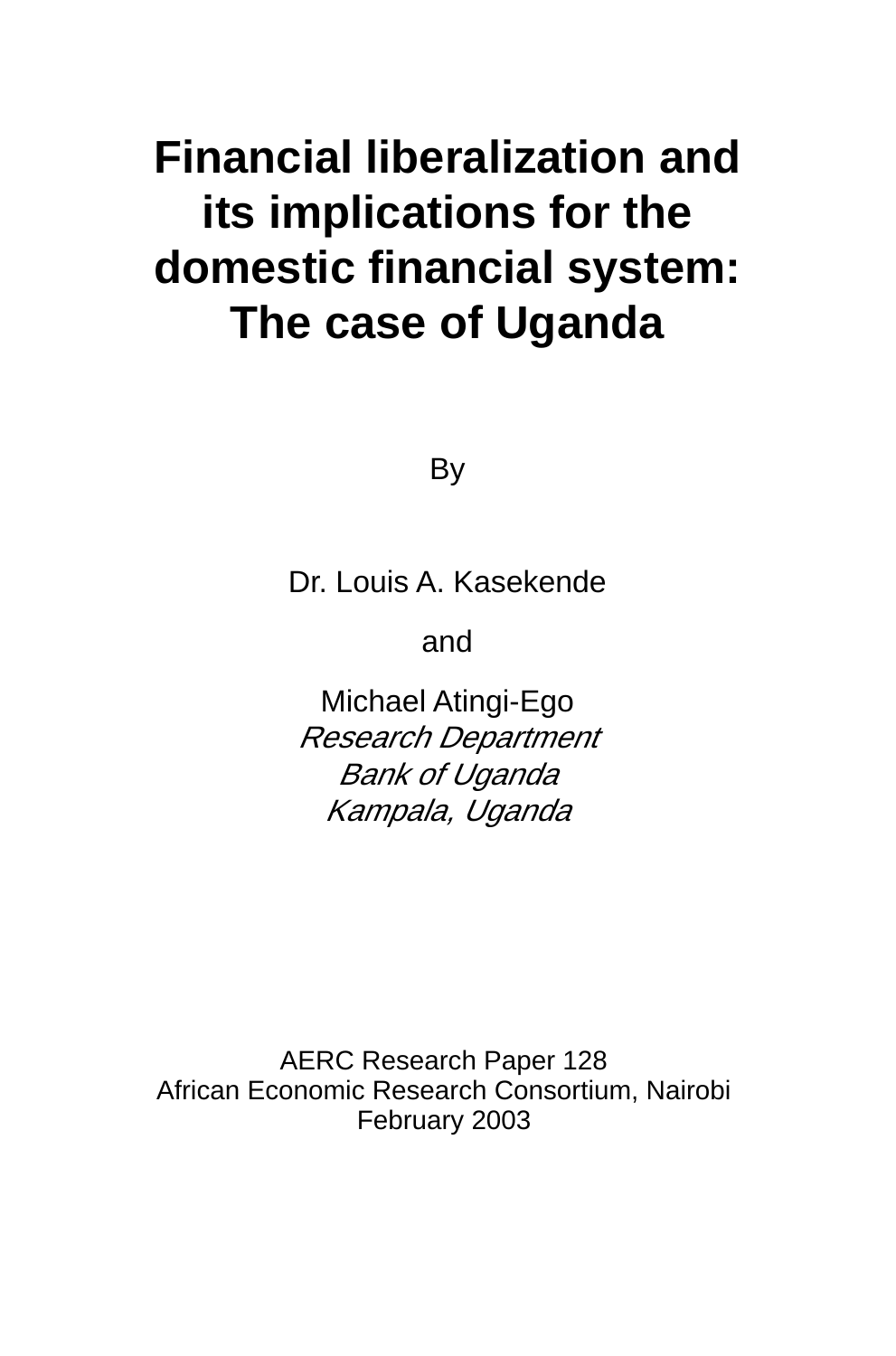# **Financial liberalization and its implications for the domestic financial system: The case of Uganda**

By

Dr. Louis A. Kasekende

and

Michael Atingi-Ego Research Department Bank of Uganda Kampala, Uganda

AERC Research Paper 128 African Economic Research Consortium, Nairobi February 2003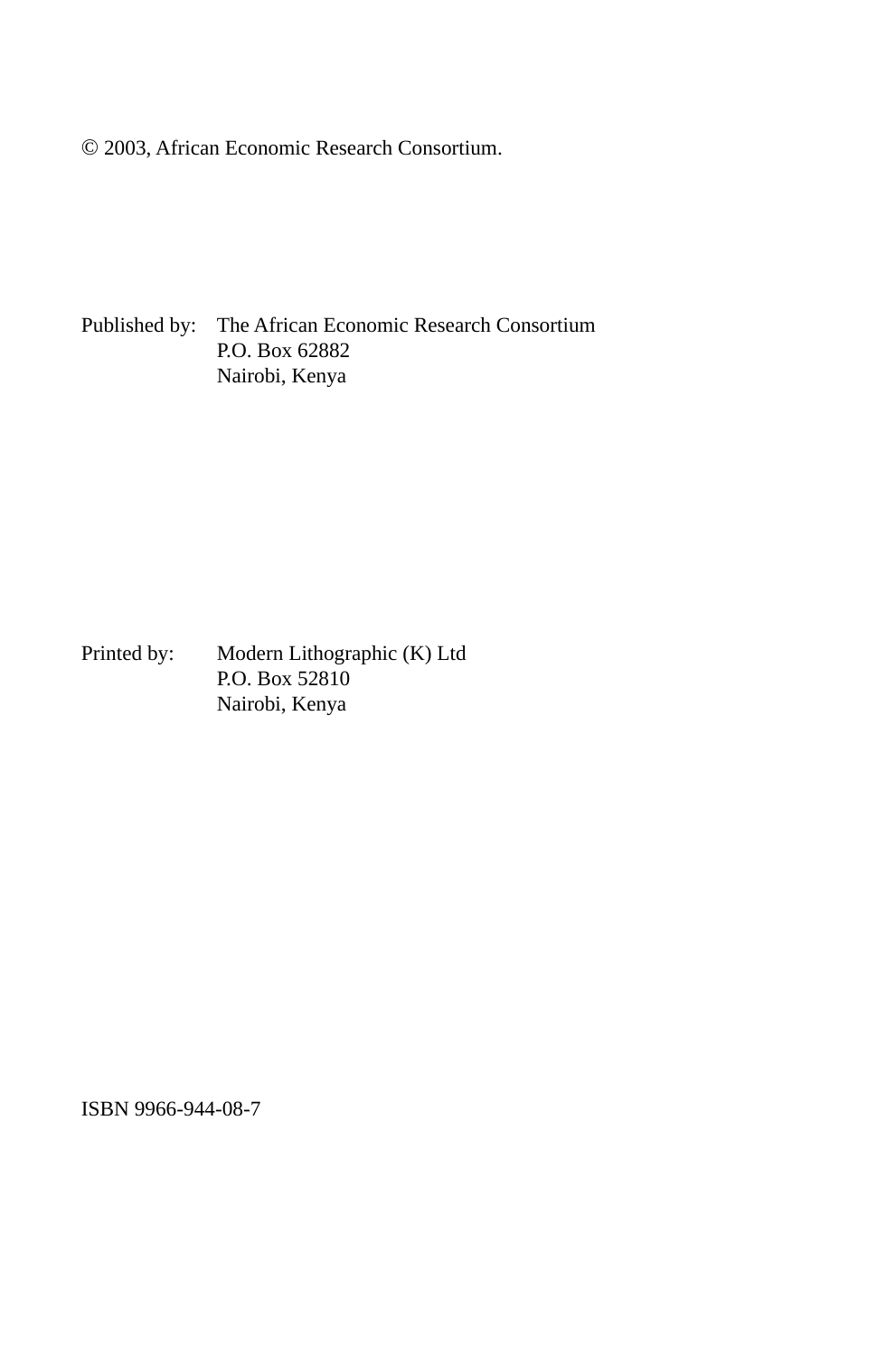© 2003, African Economic Research Consortium.

Published by: The African Economic Research Consortium P.O. Box 62882 Nairobi, Kenya

Printed by: Modern Lithographic (K) Ltd P.O. Box 52810 Nairobi, Kenya

ISBN 9966-944-08-7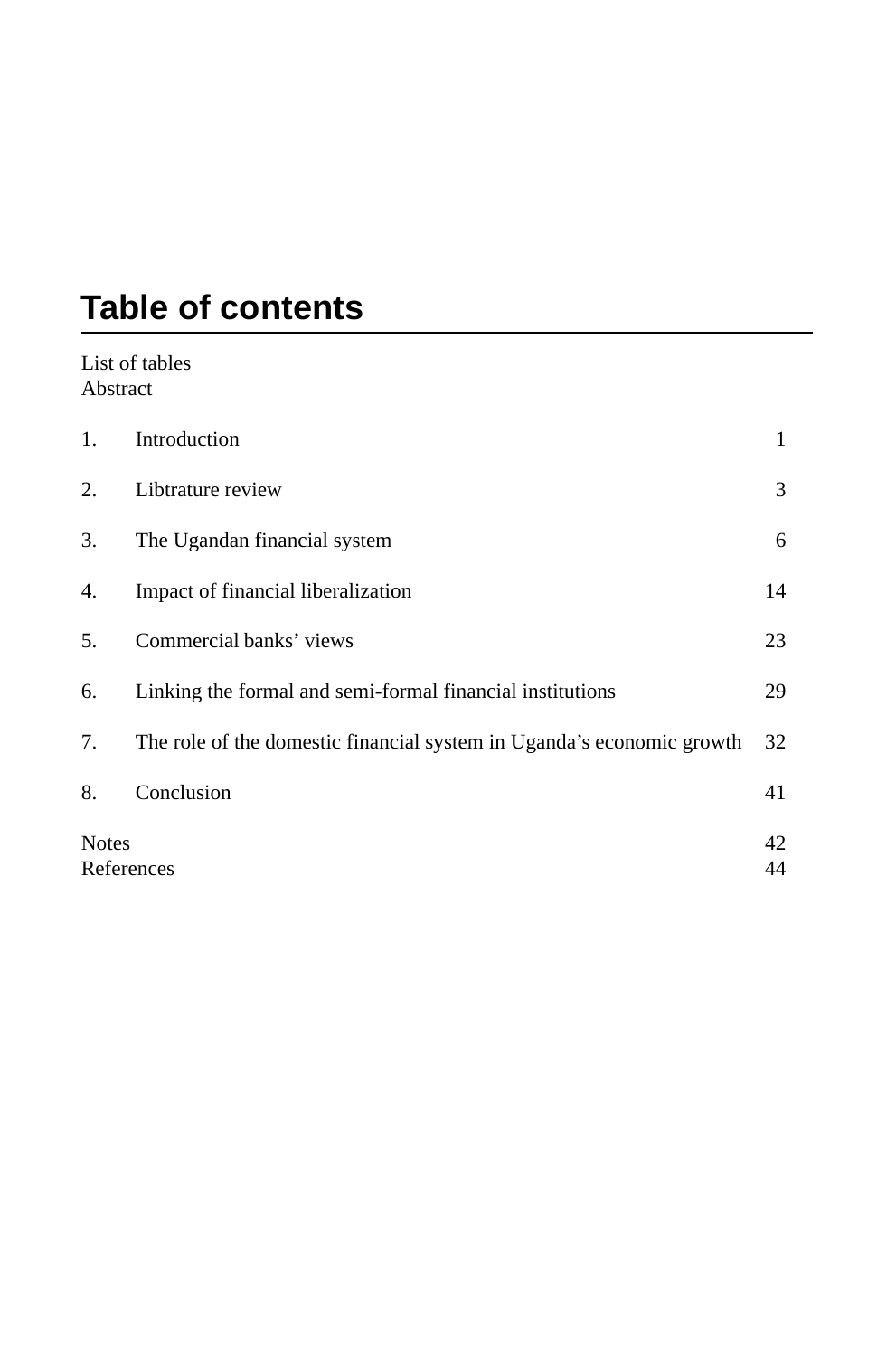# **Table of contents**

#### List of tables Abstract

| 1.                         | Introduction                                                          |          |
|----------------------------|-----------------------------------------------------------------------|----------|
| 2.                         | Libtrature review                                                     | 3        |
| 3.                         | The Ugandan financial system                                          | 6        |
| 4.                         | Impact of financial liberalization                                    | 14       |
| 5.                         | Commercial banks' views                                               | 23       |
| 6.                         | Linking the formal and semi-formal financial institutions             | 29       |
| 7.                         | The role of the domestic financial system in Uganda's economic growth | 32       |
| 8.                         | Conclusion                                                            | 41       |
| <b>Notes</b><br>References |                                                                       | 42<br>44 |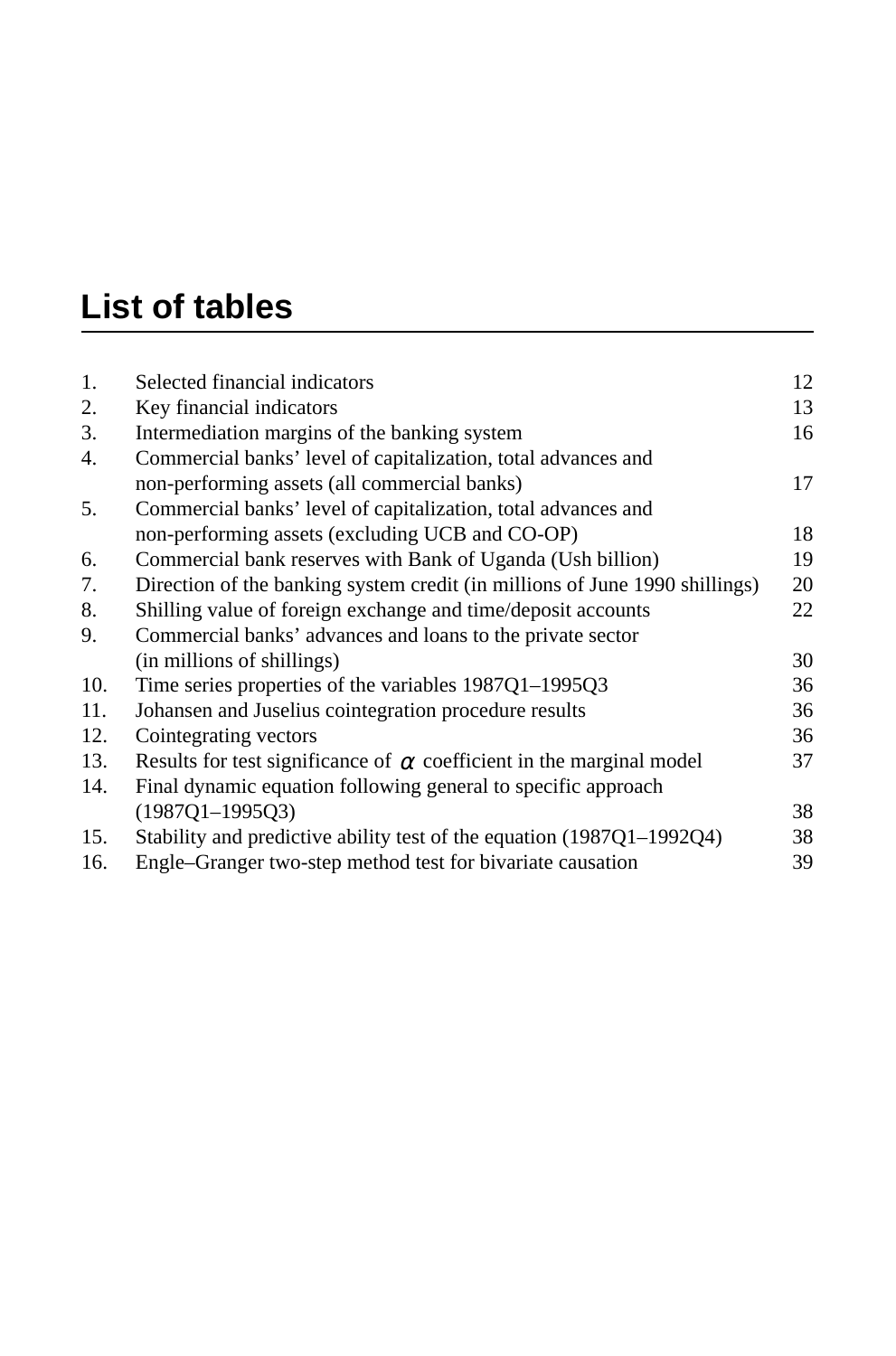# **List of tables**

| 1.  | Selected financial indicators                                               | 12 |
|-----|-----------------------------------------------------------------------------|----|
| 2.  | Key financial indicators                                                    | 13 |
| 3.  | Intermediation margins of the banking system                                | 16 |
| 4.  | Commercial banks' level of capitalization, total advances and               |    |
|     | non-performing assets (all commercial banks)                                | 17 |
| 5.  | Commercial banks' level of capitalization, total advances and               |    |
|     | non-performing assets (excluding UCB and CO-OP)                             | 18 |
| 6.  | Commercial bank reserves with Bank of Uganda (Ush billion)                  | 19 |
| 7.  | Direction of the banking system credit (in millions of June 1990 shillings) | 20 |
| 8.  | Shilling value of foreign exchange and time/deposit accounts                | 22 |
| 9.  | Commercial banks' advances and loans to the private sector                  |    |
|     | (in millions of shillings)                                                  | 30 |
| 10. | Time series properties of the variables 1987Q1-1995Q3                       | 36 |
| 11. | Johansen and Juselius cointegration procedure results                       | 36 |
| 12. | Cointegrating vectors                                                       | 36 |
| 13. | Results for test significance of $\alpha$ coefficient in the marginal model | 37 |
| 14. | Final dynamic equation following general to specific approach               |    |
|     | $(1987Q1 - 1995Q3)$                                                         | 38 |
| 15. | Stability and predictive ability test of the equation (1987Q1-1992Q4)       | 38 |
| 16. | Engle-Granger two-step method test for bivariate causation                  | 39 |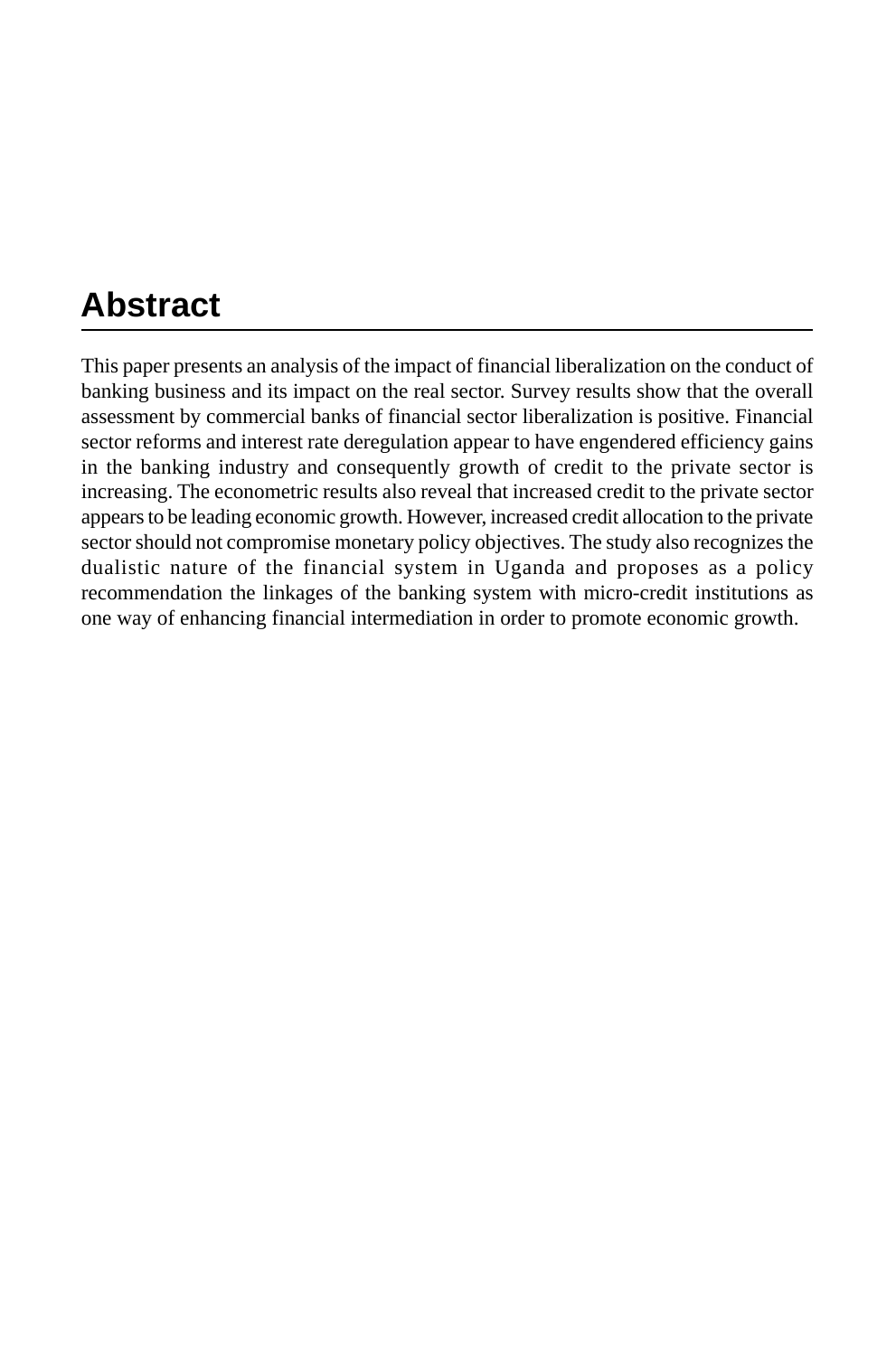# **Abstract**

This paper presents an analysis of the impact of financial liberalization on the conduct of banking business and its impact on the real sector. Survey results show that the overall assessment by commercial banks of financial sector liberalization is positive. Financial sector reforms and interest rate deregulation appear to have engendered efficiency gains in the banking industry and consequently growth of credit to the private sector is increasing. The econometric results also reveal that increased credit to the private sector appears to be leading economic growth. However, increased credit allocation to the private sector should not compromise monetary policy objectives. The study also recognizes the dualistic nature of the financial system in Uganda and proposes as a policy recommendation the linkages of the banking system with micro-credit institutions as one way of enhancing financial intermediation in order to promote economic growth.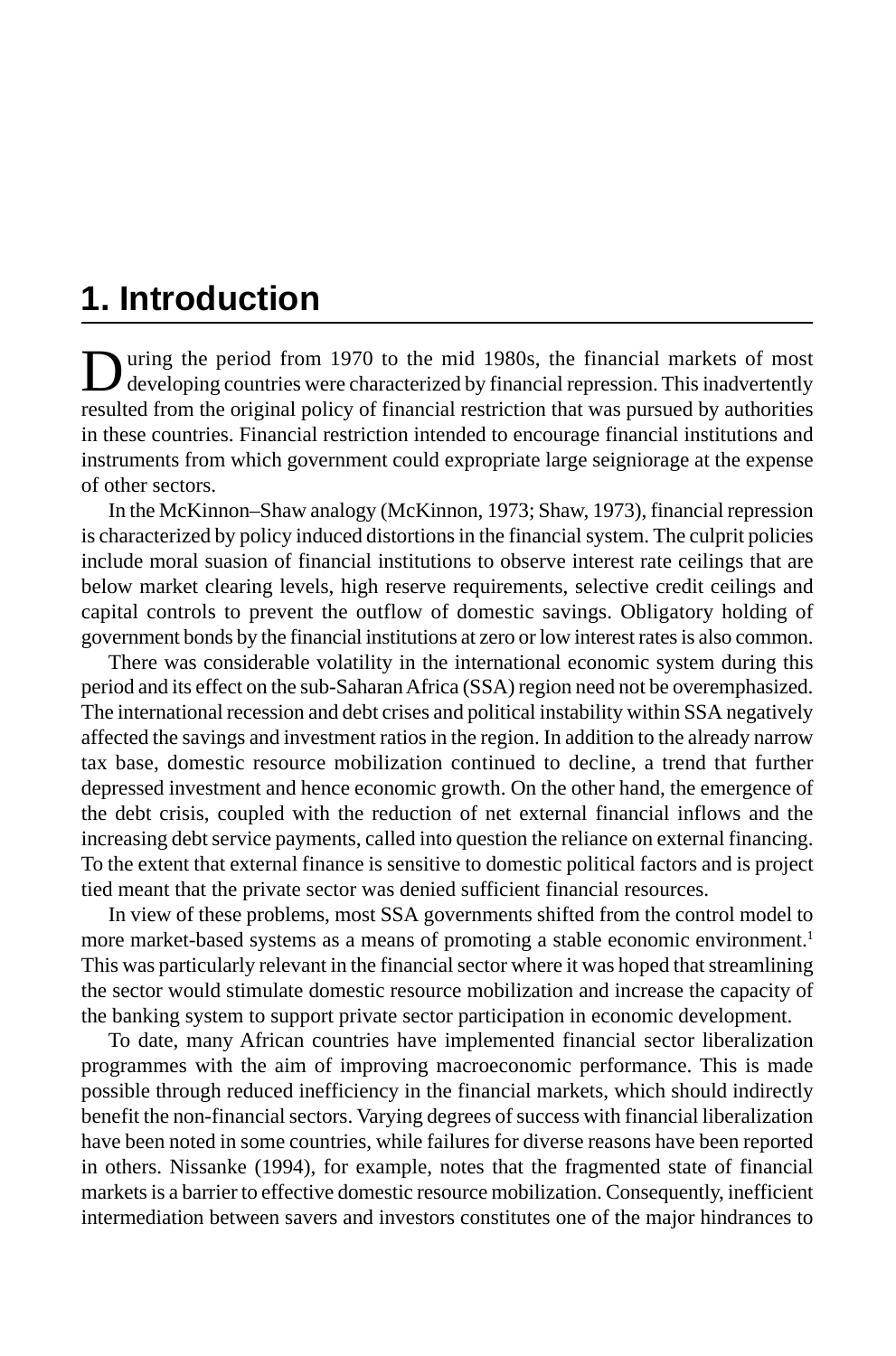# **1. Introduction**

During the period from 1970 to the mid 1980s, the financial markets of most developing countries were characterized by financial repression. This inadvertently resulted from the original policy of financial restriction that was pursued by authorities in these countries. Financial restriction intended to encourage financial institutions and instruments from which government could expropriate large seigniorage at the expense of other sectors.

In the McKinnon–Shaw analogy (McKinnon, 1973; Shaw, 1973), financial repression is characterized by policy induced distortions in the financial system. The culprit policies include moral suasion of financial institutions to observe interest rate ceilings that are below market clearing levels, high reserve requirements, selective credit ceilings and capital controls to prevent the outflow of domestic savings. Obligatory holding of government bonds by the financial institutions at zero or low interest rates is also common.

There was considerable volatility in the international economic system during this period and its effect on the sub-Saharan Africa (SSA) region need not be overemphasized. The international recession and debt crises and political instability within SSA negatively affected the savings and investment ratios in the region. In addition to the already narrow tax base, domestic resource mobilization continued to decline, a trend that further depressed investment and hence economic growth. On the other hand, the emergence of the debt crisis, coupled with the reduction of net external financial inflows and the increasing debt service payments, called into question the reliance on external financing. To the extent that external finance is sensitive to domestic political factors and is project tied meant that the private sector was denied sufficient financial resources.

In view of these problems, most SSA governments shifted from the control model to more market-based systems as a means of promoting a stable economic environment.<sup>1</sup> This was particularly relevant in the financial sector where it was hoped that streamlining the sector would stimulate domestic resource mobilization and increase the capacity of the banking system to support private sector participation in economic development.

To date, many African countries have implemented financial sector liberalization programmes with the aim of improving macroeconomic performance. This is made possible through reduced inefficiency in the financial markets, which should indirectly benefit the non-financial sectors. Varying degrees of success with financial liberalization have been noted in some countries, while failures for diverse reasons have been reported in others. Nissanke (1994), for example, notes that the fragmented state of financial markets is a barrier to effective domestic resource mobilization. Consequently, inefficient intermediation between savers and investors constitutes one of the major hindrances to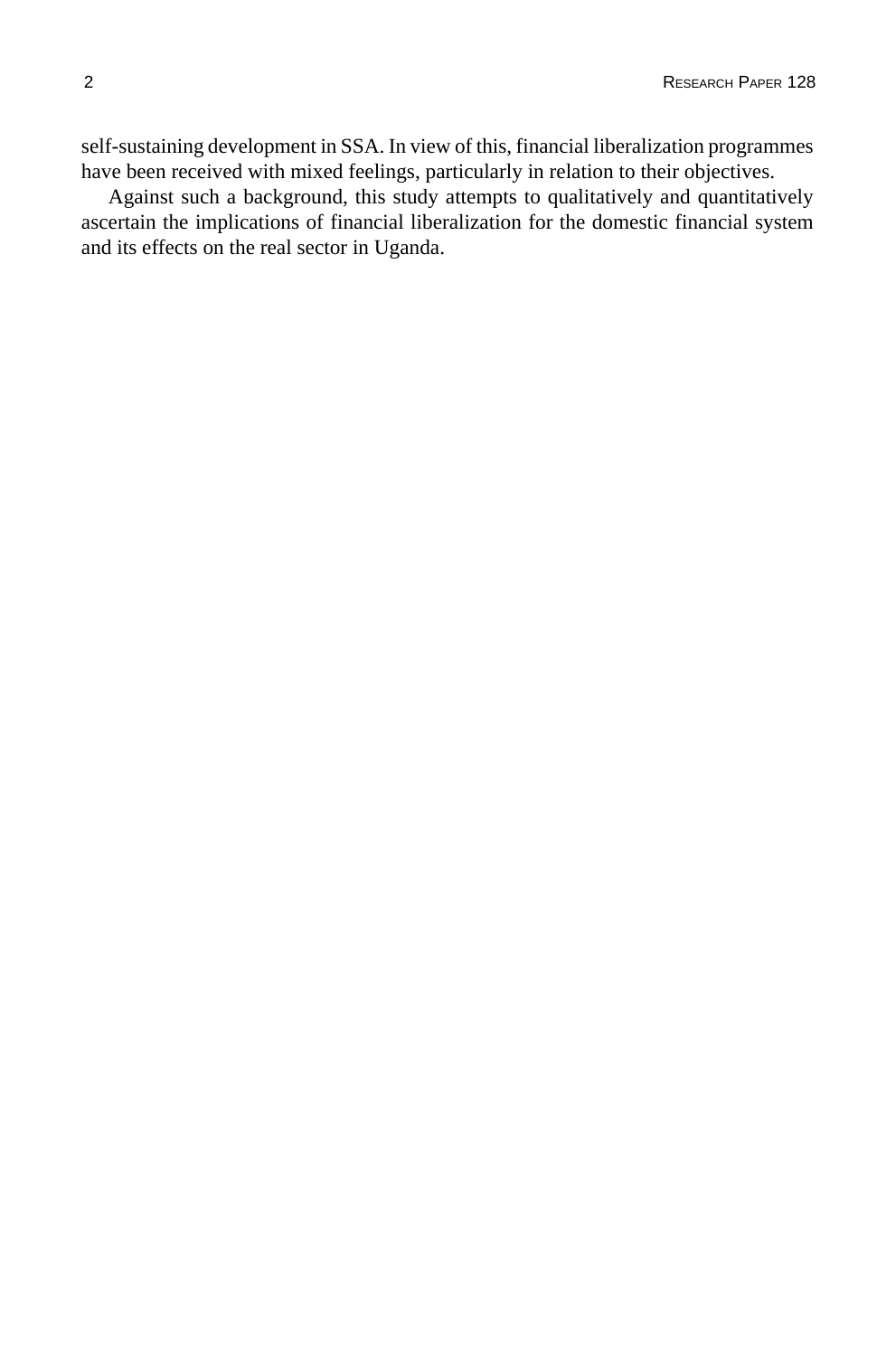self-sustaining development in SSA. In view of this, financial liberalization programmes have been received with mixed feelings, particularly in relation to their objectives.

Against such a background, this study attempts to qualitatively and quantitatively ascertain the implications of financial liberalization for the domestic financial system and its effects on the real sector in Uganda.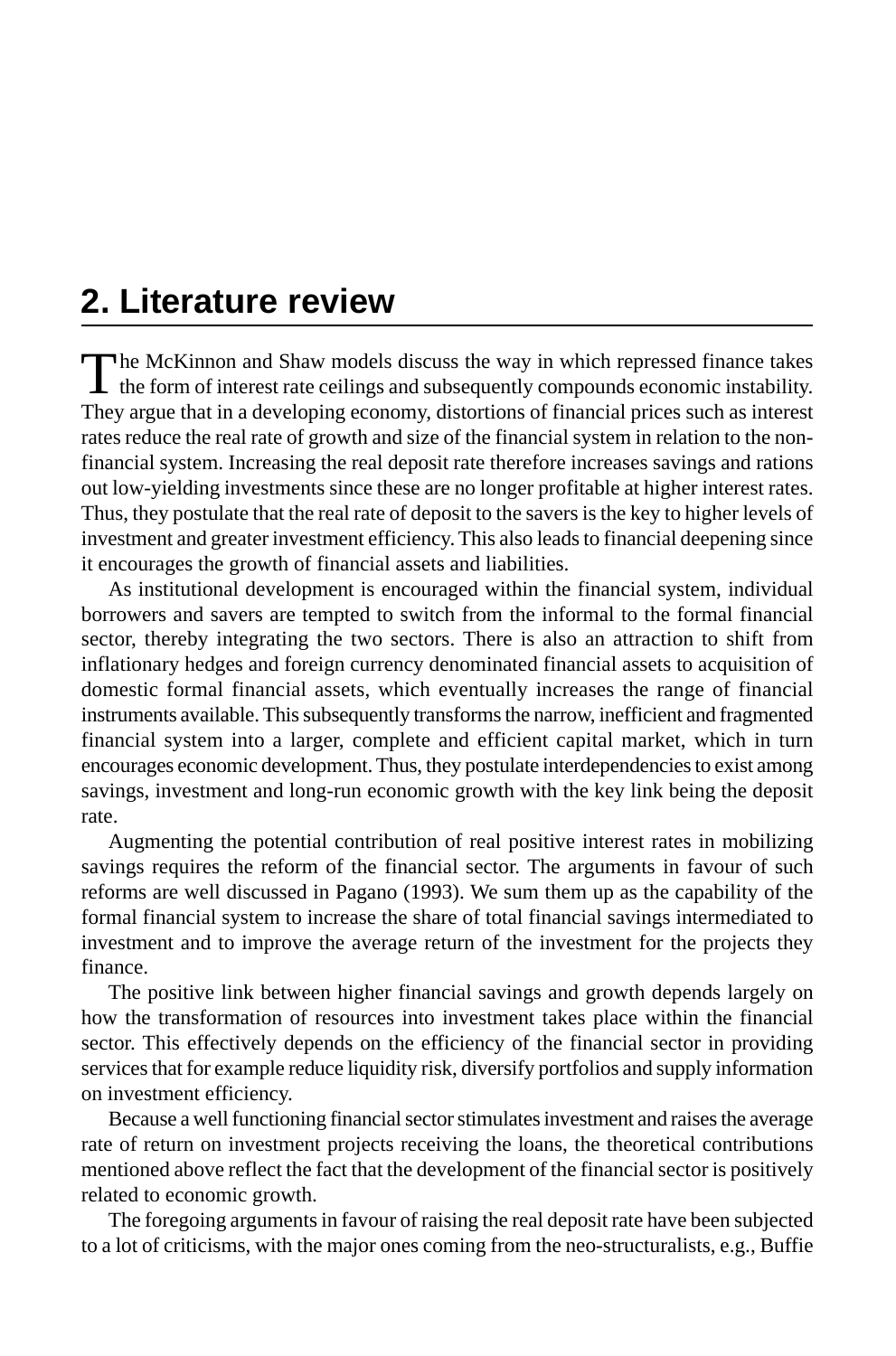# **2. Literature review**

The McKinnon and Shaw models discuss the way in which repressed finance takes the form of interest rate ceilings and subsequently compounds economic instability. They argue that in a developing economy, distortions of financial prices such as interest rates reduce the real rate of growth and size of the financial system in relation to the nonfinancial system. Increasing the real deposit rate therefore increases savings and rations out low-yielding investments since these are no longer profitable at higher interest rates. Thus, they postulate that the real rate of deposit to the savers is the key to higher levels of investment and greater investment efficiency. This also leads to financial deepening since it encourages the growth of financial assets and liabilities.

As institutional development is encouraged within the financial system, individual borrowers and savers are tempted to switch from the informal to the formal financial sector, thereby integrating the two sectors. There is also an attraction to shift from inflationary hedges and foreign currency denominated financial assets to acquisition of domestic formal financial assets, which eventually increases the range of financial instruments available. This subsequently transforms the narrow, inefficient and fragmented financial system into a larger, complete and efficient capital market, which in turn encourages economic development. Thus, they postulate interdependencies to exist among savings, investment and long-run economic growth with the key link being the deposit rate.

Augmenting the potential contribution of real positive interest rates in mobilizing savings requires the reform of the financial sector. The arguments in favour of such reforms are well discussed in Pagano (1993). We sum them up as the capability of the formal financial system to increase the share of total financial savings intermediated to investment and to improve the average return of the investment for the projects they finance.

The positive link between higher financial savings and growth depends largely on how the transformation of resources into investment takes place within the financial sector. This effectively depends on the efficiency of the financial sector in providing services that for example reduce liquidity risk, diversify portfolios and supply information on investment efficiency.

Because a well functioning financial sector stimulates investment and raises the average rate of return on investment projects receiving the loans, the theoretical contributions mentioned above reflect the fact that the development of the financial sector is positively related to economic growth.

The foregoing arguments in favour of raising the real deposit rate have been subjected to a lot of criticisms, with the major ones coming from the neo-structuralists, e.g., Buffie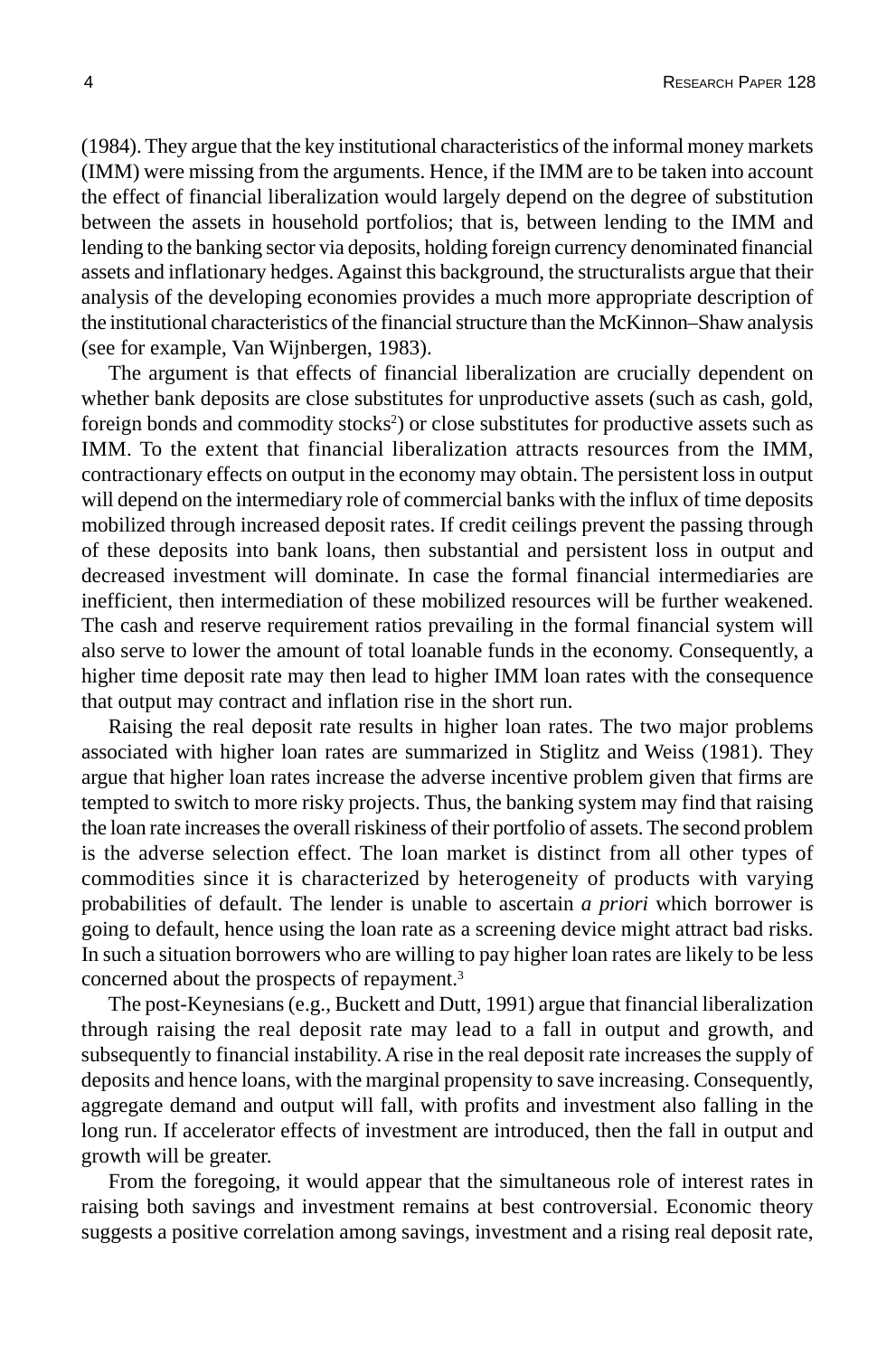(1984). They argue that the key institutional characteristics of the informal money markets (IMM) were missing from the arguments. Hence, if the IMM are to be taken into account the effect of financial liberalization would largely depend on the degree of substitution between the assets in household portfolios; that is, between lending to the IMM and lending to the banking sector via deposits, holding foreign currency denominated financial assets and inflationary hedges. Against this background, the structuralists argue that their analysis of the developing economies provides a much more appropriate description of the institutional characteristics of the financial structure than the McKinnon–Shaw analysis (see for example, Van Wijnbergen, 1983).

The argument is that effects of financial liberalization are crucially dependent on whether bank deposits are close substitutes for unproductive assets (such as cash, gold, foreign bonds and commodity stocks<sup>2</sup>) or close substitutes for productive assets such as IMM. To the extent that financial liberalization attracts resources from the IMM, contractionary effects on output in the economy may obtain. The persistent loss in output will depend on the intermediary role of commercial banks with the influx of time deposits mobilized through increased deposit rates. If credit ceilings prevent the passing through of these deposits into bank loans, then substantial and persistent loss in output and decreased investment will dominate. In case the formal financial intermediaries are inefficient, then intermediation of these mobilized resources will be further weakened. The cash and reserve requirement ratios prevailing in the formal financial system will also serve to lower the amount of total loanable funds in the economy. Consequently, a higher time deposit rate may then lead to higher IMM loan rates with the consequence that output may contract and inflation rise in the short run.

Raising the real deposit rate results in higher loan rates. The two major problems associated with higher loan rates are summarized in Stiglitz and Weiss (1981). They argue that higher loan rates increase the adverse incentive problem given that firms are tempted to switch to more risky projects. Thus, the banking system may find that raising the loan rate increases the overall riskiness of their portfolio of assets. The second problem is the adverse selection effect. The loan market is distinct from all other types of commodities since it is characterized by heterogeneity of products with varying probabilities of default. The lender is unable to ascertain *a priori* which borrower is going to default, hence using the loan rate as a screening device might attract bad risks. In such a situation borrowers who are willing to pay higher loan rates are likely to be less concerned about the prospects of repayment.3

The post-Keynesians (e.g., Buckett and Dutt, 1991) argue that financial liberalization through raising the real deposit rate may lead to a fall in output and growth, and subsequently to financial instability. A rise in the real deposit rate increases the supply of deposits and hence loans, with the marginal propensity to save increasing. Consequently, aggregate demand and output will fall, with profits and investment also falling in the long run. If accelerator effects of investment are introduced, then the fall in output and growth will be greater.

From the foregoing, it would appear that the simultaneous role of interest rates in raising both savings and investment remains at best controversial. Economic theory suggests a positive correlation among savings, investment and a rising real deposit rate,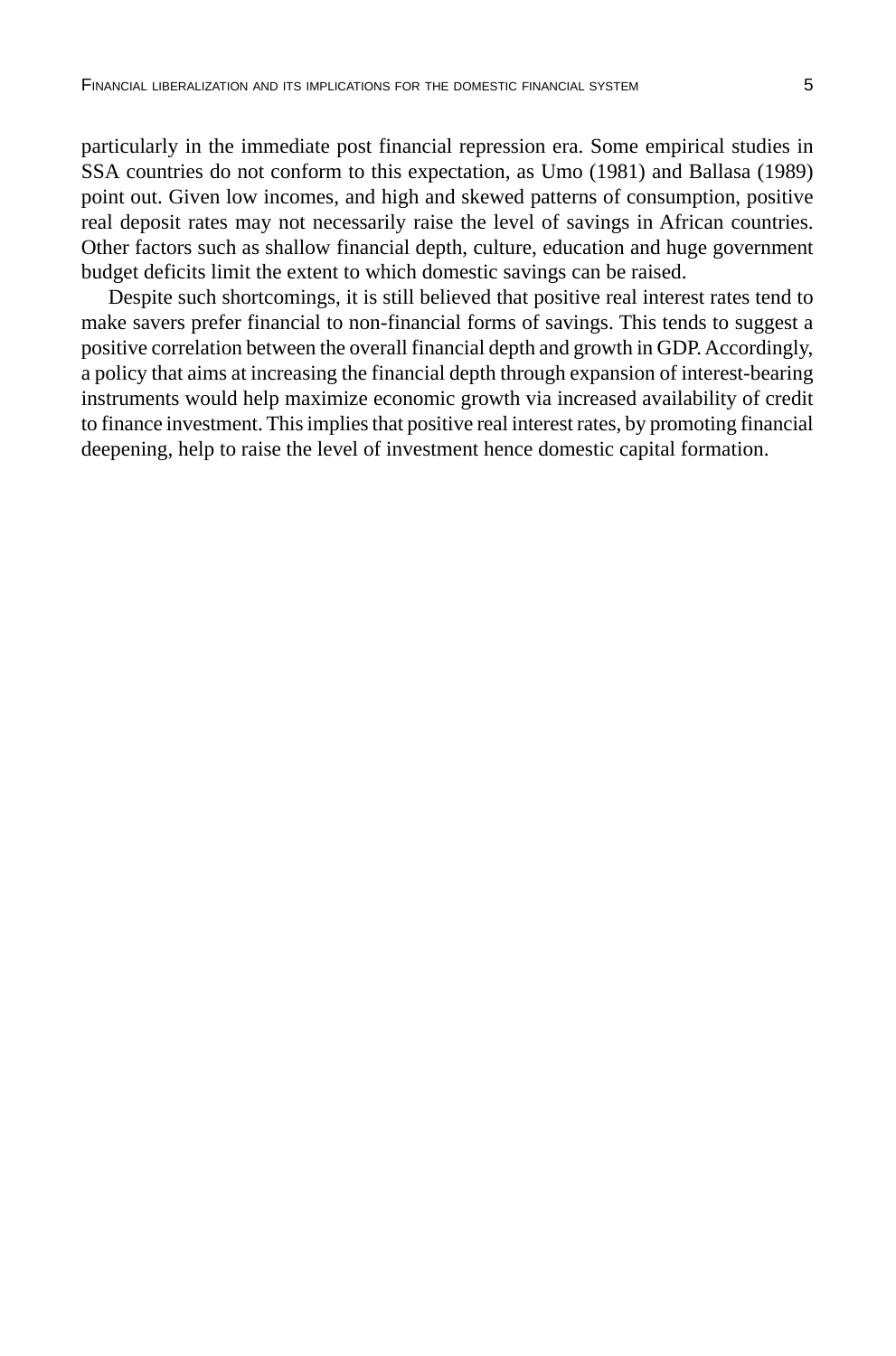particularly in the immediate post financial repression era. Some empirical studies in SSA countries do not conform to this expectation, as Umo (1981) and Ballasa (1989) point out. Given low incomes, and high and skewed patterns of consumption, positive real deposit rates may not necessarily raise the level of savings in African countries. Other factors such as shallow financial depth, culture, education and huge government budget deficits limit the extent to which domestic savings can be raised.

Despite such shortcomings, it is still believed that positive real interest rates tend to make savers prefer financial to non-financial forms of savings. This tends to suggest a positive correlation between the overall financial depth and growth in GDP. Accordingly, a policy that aims at increasing the financial depth through expansion of interest-bearing instruments would help maximize economic growth via increased availability of credit to finance investment. This implies that positive real interest rates, by promoting financial deepening, help to raise the level of investment hence domestic capital formation.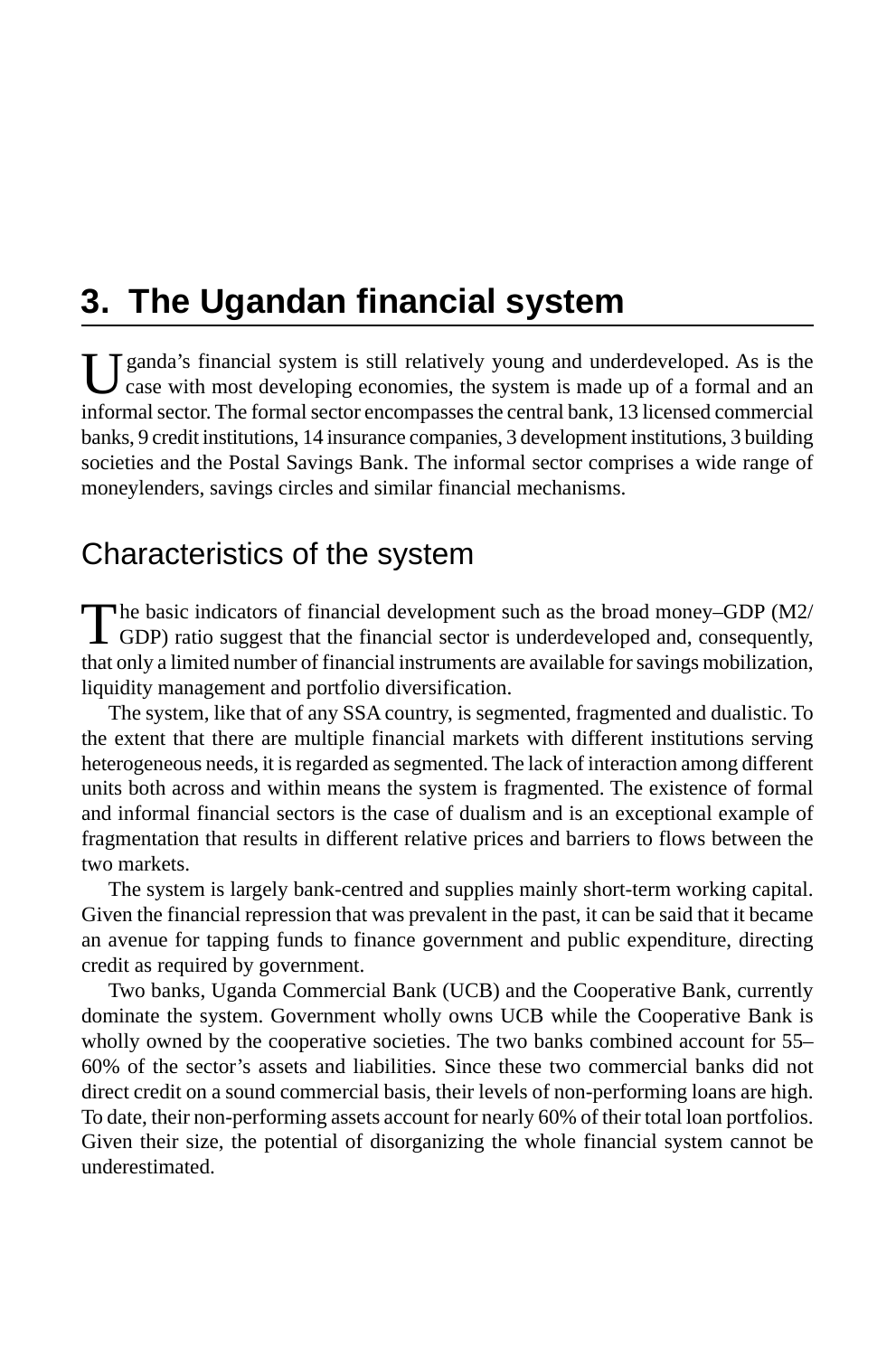# **3. The Ugandan financial system**

I Janda's financial system is still relatively young and underdeveloped. As is the case with most developing economies, the system is made up of a formal and an informal sector. The formal sector encompasses the central bank, 13 licensed commercial banks, 9 credit institutions, 14 insurance companies, 3 development institutions, 3 building societies and the Postal Savings Bank. The informal sector comprises a wide range of moneylenders, savings circles and similar financial mechanisms.

## Characteristics of the system

The basic indicators of financial development such as the broad money–GDP (M2/GDP) ratio suggest that the financial sector is underdeveloped and, consequently, that only a limited number of financial instruments are available for savings mobilization, liquidity management and portfolio diversification.

The system, like that of any SSA country, is segmented, fragmented and dualistic. To the extent that there are multiple financial markets with different institutions serving heterogeneous needs, it is regarded as segmented. The lack of interaction among different units both across and within means the system is fragmented. The existence of formal and informal financial sectors is the case of dualism and is an exceptional example of fragmentation that results in different relative prices and barriers to flows between the two markets.

The system is largely bank-centred and supplies mainly short-term working capital. Given the financial repression that was prevalent in the past, it can be said that it became an avenue for tapping funds to finance government and public expenditure, directing credit as required by government.

Two banks, Uganda Commercial Bank (UCB) and the Cooperative Bank, currently dominate the system. Government wholly owns UCB while the Cooperative Bank is wholly owned by the cooperative societies. The two banks combined account for 55– 60% of the sector's assets and liabilities. Since these two commercial banks did not direct credit on a sound commercial basis, their levels of non-performing loans are high. To date, their non-performing assets account for nearly 60% of their total loan portfolios. Given their size, the potential of disorganizing the whole financial system cannot be underestimated.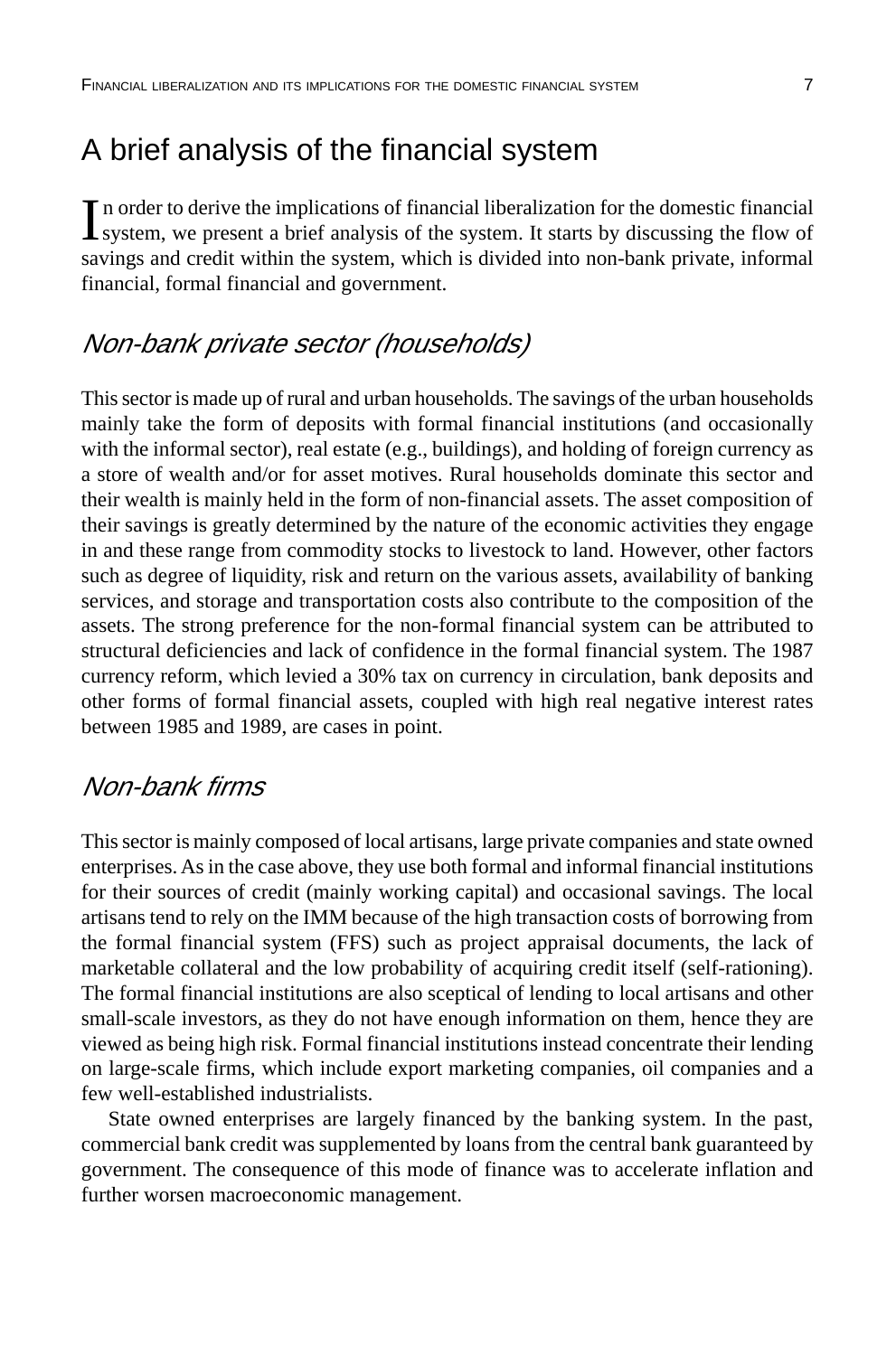## A brief analysis of the financial system

In order to derive the implications of financial liberalization for the domestic financial system, we present a brief analysis of the system. It starts by discussing the flow of system, we present a brief analysis of the system. It starts by discussing the flow of savings and credit within the system, which is divided into non-bank private, informal financial, formal financial and government.

### Non-bank private sector (households)

This sector is made up of rural and urban households. The savings of the urban households mainly take the form of deposits with formal financial institutions (and occasionally with the informal sector), real estate (e.g., buildings), and holding of foreign currency as a store of wealth and/or for asset motives. Rural households dominate this sector and their wealth is mainly held in the form of non-financial assets. The asset composition of their savings is greatly determined by the nature of the economic activities they engage in and these range from commodity stocks to livestock to land. However, other factors such as degree of liquidity, risk and return on the various assets, availability of banking services, and storage and transportation costs also contribute to the composition of the assets. The strong preference for the non-formal financial system can be attributed to structural deficiencies and lack of confidence in the formal financial system. The 1987 currency reform, which levied a 30% tax on currency in circulation, bank deposits and other forms of formal financial assets, coupled with high real negative interest rates between 1985 and 1989, are cases in point.

### Non-bank firms

This sector is mainly composed of local artisans, large private companies and state owned enterprises. As in the case above, they use both formal and informal financial institutions for their sources of credit (mainly working capital) and occasional savings. The local artisans tend to rely on the IMM because of the high transaction costs of borrowing from the formal financial system (FFS) such as project appraisal documents, the lack of marketable collateral and the low probability of acquiring credit itself (self-rationing). The formal financial institutions are also sceptical of lending to local artisans and other small-scale investors, as they do not have enough information on them, hence they are viewed as being high risk. Formal financial institutions instead concentrate their lending on large-scale firms, which include export marketing companies, oil companies and a few well-established industrialists.

State owned enterprises are largely financed by the banking system. In the past, commercial bank credit was supplemented by loans from the central bank guaranteed by government. The consequence of this mode of finance was to accelerate inflation and further worsen macroeconomic management.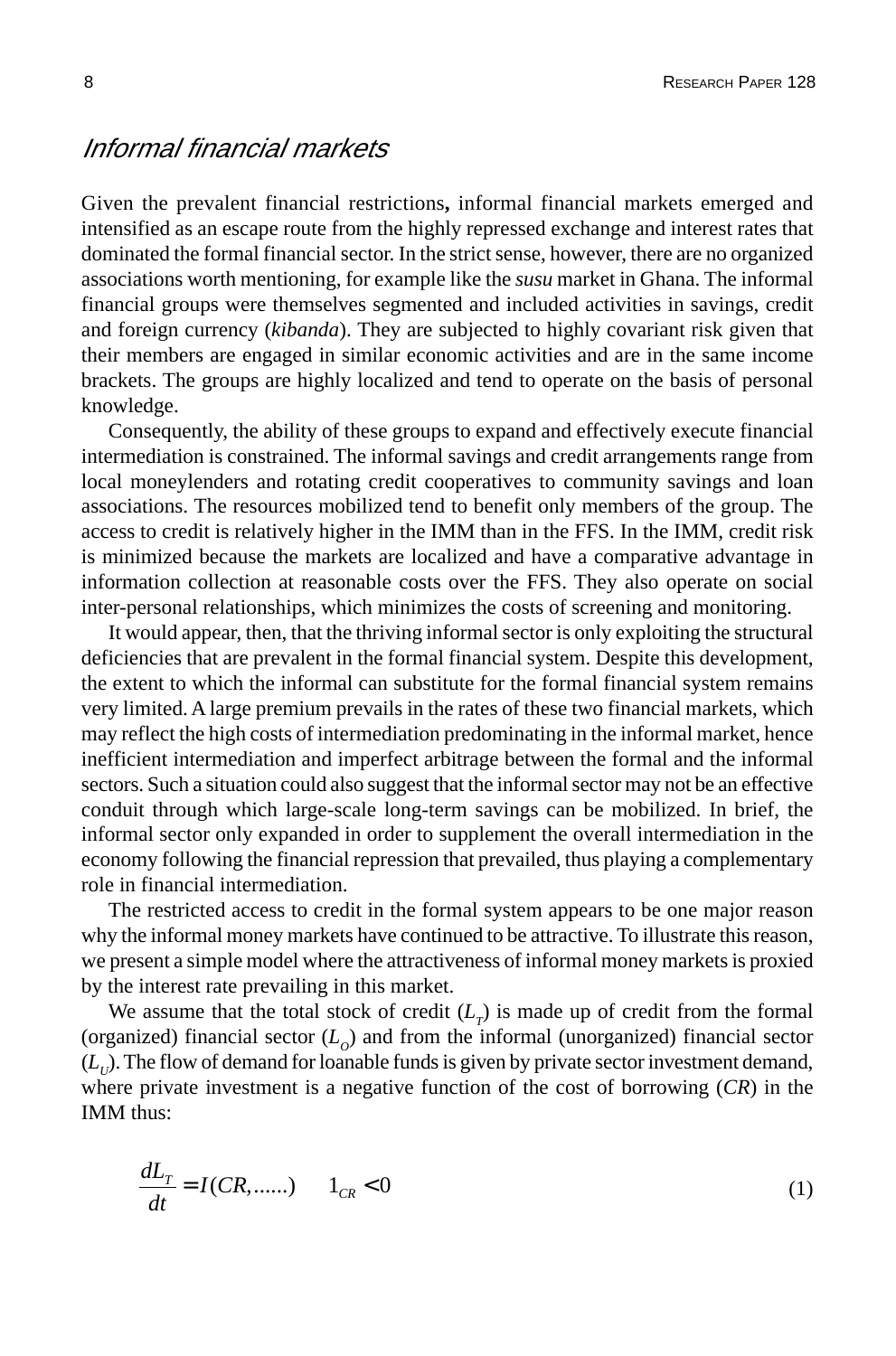#### Informal financial markets

Given the prevalent financial restrictions**,** informal financial markets emerged and intensified as an escape route from the highly repressed exchange and interest rates that dominated the formal financial sector. In the strict sense, however, there are no organized associations worth mentioning, for example like the *susu* market in Ghana. The informal financial groups were themselves segmented and included activities in savings, credit and foreign currency (*kibanda*). They are subjected to highly covariant risk given that their members are engaged in similar economic activities and are in the same income brackets. The groups are highly localized and tend to operate on the basis of personal knowledge.

Consequently, the ability of these groups to expand and effectively execute financial intermediation is constrained. The informal savings and credit arrangements range from local moneylenders and rotating credit cooperatives to community savings and loan associations. The resources mobilized tend to benefit only members of the group. The access to credit is relatively higher in the IMM than in the FFS. In the IMM, credit risk is minimized because the markets are localized and have a comparative advantage in information collection at reasonable costs over the FFS. They also operate on social inter-personal relationships, which minimizes the costs of screening and monitoring.

It would appear, then, that the thriving informal sector is only exploiting the structural deficiencies that are prevalent in the formal financial system. Despite this development, the extent to which the informal can substitute for the formal financial system remains very limited. A large premium prevails in the rates of these two financial markets, which may reflect the high costs of intermediation predominating in the informal market, hence inefficient intermediation and imperfect arbitrage between the formal and the informal sectors. Such a situation could also suggest that the informal sector may not be an effective conduit through which large-scale long-term savings can be mobilized. In brief, the informal sector only expanded in order to supplement the overall intermediation in the economy following the financial repression that prevailed, thus playing a complementary role in financial intermediation.

The restricted access to credit in the formal system appears to be one major reason why the informal money markets have continued to be attractive. To illustrate this reason, we present a simple model where the attractiveness of informal money markets is proxied by the interest rate prevailing in this market.

We assume that the total stock of credit  $(L<sub>T</sub>)$  is made up of credit from the formal (organized) financial sector  $(L<sub>o</sub>)$  and from the informal (unorganized) financial sector  $(L<sub>U</sub>)$ . The flow of demand for loanable funds is given by private sector investment demand, where private investment is a negative function of the cost of borrowing (*CR*) in the IMM thus:

$$
\frac{dL_T}{dt} = I(CR, \dots) \qquad 1_{CR} < 0 \tag{1}
$$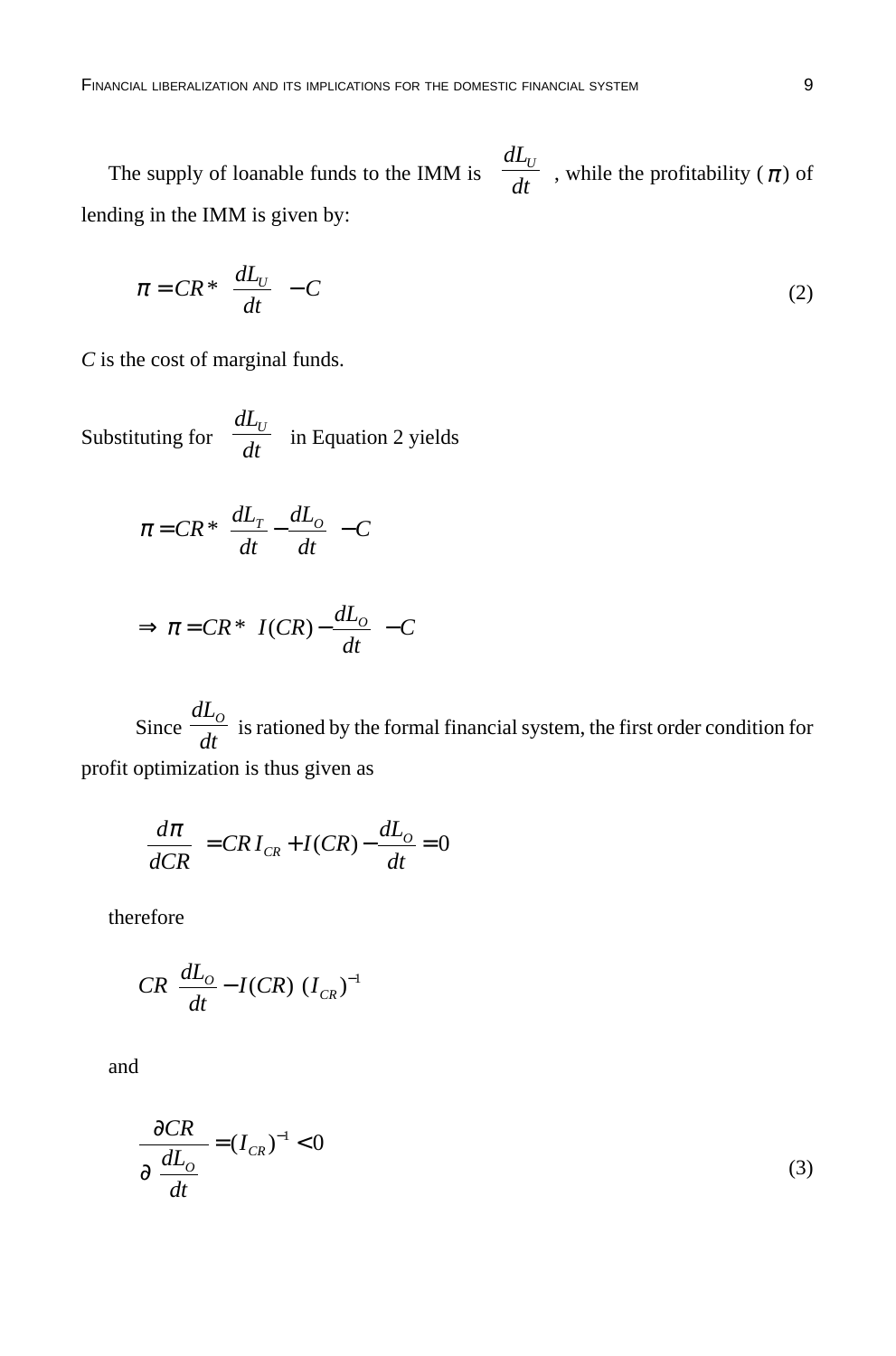The supply of loanable funds to the IMM is *dL dt*  $\int dL_{U}$ l  $\begin{array}{c} \hline \end{array}$ ), while the profitability ( $\pi$ ) of lending in the IMM is given by:

$$
\pi = CR^* \left( \frac{dL_U}{dt} \right) - C \tag{2}
$$

*C* is the cost of marginal funds.

Substituting for *dL dt*  $\int dL_{\scriptscriptstyle U}$ l  $\lambda$ in Equation 2 yields

$$
\pi = CR \cdot \left(\frac{dL_T}{dt} - \frac{dL_O}{dt}\right) - C
$$

$$
\Rightarrow \pi = CR \times \left( I(CR) - \frac{dL_o}{dt} \right) - C
$$

Since *dL dt*  $\frac{\partial}{\partial t}$  is rationed by the formal financial system, the first order condition for profit optimization is thus given as

$$
\left(\frac{d\pi}{dCR}\right) = CRI_{CR} + I(CR) - \frac{dL_O}{dt} = 0
$$

therefore

$$
CR\bigg(\frac{dL_o}{dt} - I(CR)\bigg)I_{CR})^{-1}
$$

and

$$
\frac{\partial CR}{\partial \left(\frac{dL_o}{dt}\right)} = (I_{CR})^{-1} < 0\tag{3}
$$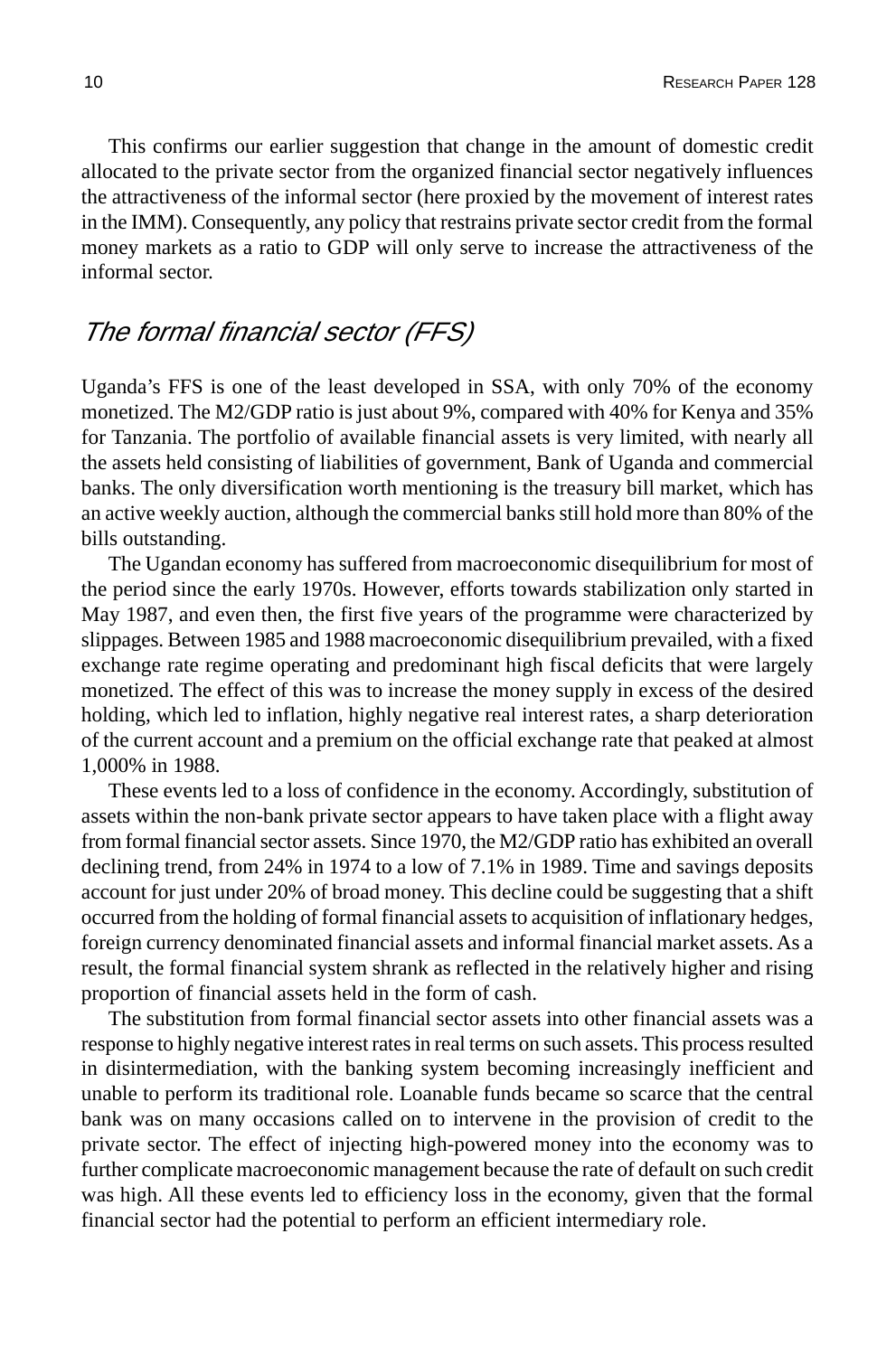This confirms our earlier suggestion that change in the amount of domestic credit allocated to the private sector from the organized financial sector negatively influences the attractiveness of the informal sector (here proxied by the movement of interest rates in the IMM). Consequently, any policy that restrains private sector credit from the formal money markets as a ratio to GDP will only serve to increase the attractiveness of the informal sector.

### The formal financial sector (FFS)

Uganda's FFS is one of the least developed in SSA, with only 70% of the economy monetized. The M2/GDP ratio is just about 9%, compared with 40% for Kenya and 35% for Tanzania. The portfolio of available financial assets is very limited, with nearly all the assets held consisting of liabilities of government, Bank of Uganda and commercial banks. The only diversification worth mentioning is the treasury bill market, which has an active weekly auction, although the commercial banks still hold more than 80% of the bills outstanding.

The Ugandan economy has suffered from macroeconomic disequilibrium for most of the period since the early 1970s. However, efforts towards stabilization only started in May 1987, and even then, the first five years of the programme were characterized by slippages. Between 1985 and 1988 macroeconomic disequilibrium prevailed, with a fixed exchange rate regime operating and predominant high fiscal deficits that were largely monetized. The effect of this was to increase the money supply in excess of the desired holding, which led to inflation, highly negative real interest rates, a sharp deterioration of the current account and a premium on the official exchange rate that peaked at almost 1,000% in 1988.

These events led to a loss of confidence in the economy. Accordingly, substitution of assets within the non-bank private sector appears to have taken place with a flight away from formal financial sector assets. Since 1970, the M2/GDP ratio has exhibited an overall declining trend, from 24% in 1974 to a low of 7.1% in 1989. Time and savings deposits account for just under 20% of broad money. This decline could be suggesting that a shift occurred from the holding of formal financial assets to acquisition of inflationary hedges, foreign currency denominated financial assets and informal financial market assets. As a result, the formal financial system shrank as reflected in the relatively higher and rising proportion of financial assets held in the form of cash.

The substitution from formal financial sector assets into other financial assets was a response to highly negative interest rates in real terms on such assets. This process resulted in disintermediation, with the banking system becoming increasingly inefficient and unable to perform its traditional role. Loanable funds became so scarce that the central bank was on many occasions called on to intervene in the provision of credit to the private sector. The effect of injecting high-powered money into the economy was to further complicate macroeconomic management because the rate of default on such credit was high. All these events led to efficiency loss in the economy, given that the formal financial sector had the potential to perform an efficient intermediary role.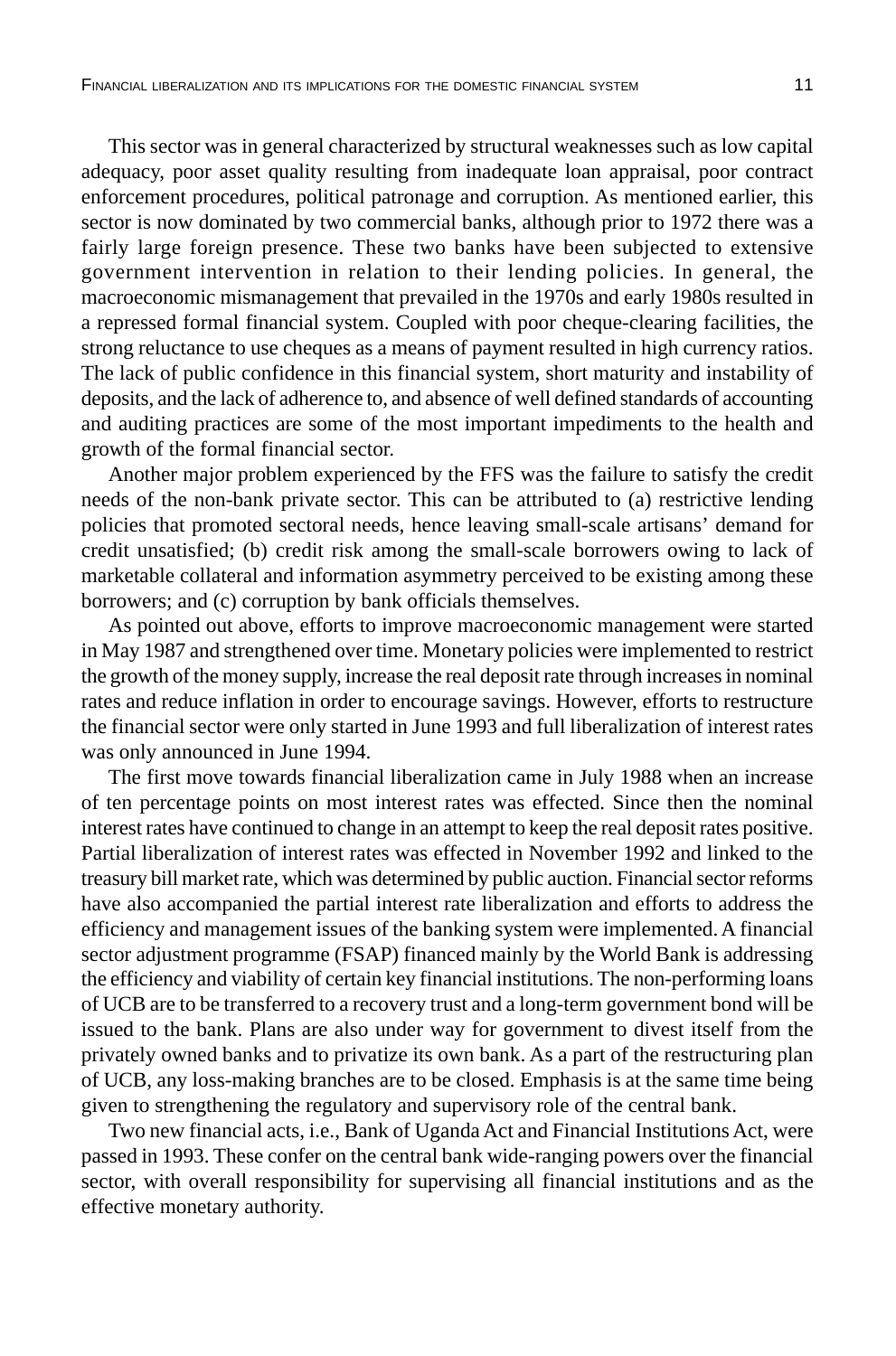This sector was in general characterized by structural weaknesses such as low capital adequacy, poor asset quality resulting from inadequate loan appraisal, poor contract enforcement procedures, political patronage and corruption. As mentioned earlier, this sector is now dominated by two commercial banks, although prior to 1972 there was a fairly large foreign presence. These two banks have been subjected to extensive government intervention in relation to their lending policies. In general, the macroeconomic mismanagement that prevailed in the 1970s and early 1980s resulted in a repressed formal financial system. Coupled with poor cheque-clearing facilities, the strong reluctance to use cheques as a means of payment resulted in high currency ratios. The lack of public confidence in this financial system, short maturity and instability of deposits, and the lack of adherence to, and absence of well defined standards of accounting and auditing practices are some of the most important impediments to the health and growth of the formal financial sector.

Another major problem experienced by the FFS was the failure to satisfy the credit needs of the non-bank private sector. This can be attributed to (a) restrictive lending policies that promoted sectoral needs, hence leaving small-scale artisans' demand for credit unsatisfied; (b) credit risk among the small-scale borrowers owing to lack of marketable collateral and information asymmetry perceived to be existing among these borrowers; and (c) corruption by bank officials themselves.

As pointed out above, efforts to improve macroeconomic management were started in May 1987 and strengthened over time. Monetary policies were implemented to restrict the growth of the money supply, increase the real deposit rate through increases in nominal rates and reduce inflation in order to encourage savings. However, efforts to restructure the financial sector were only started in June 1993 and full liberalization of interest rates was only announced in June 1994.

The first move towards financial liberalization came in July 1988 when an increase of ten percentage points on most interest rates was effected. Since then the nominal interest rates have continued to change in an attempt to keep the real deposit rates positive. Partial liberalization of interest rates was effected in November 1992 and linked to the treasury bill market rate, which was determined by public auction. Financial sector reforms have also accompanied the partial interest rate liberalization and efforts to address the efficiency and management issues of the banking system were implemented. A financial sector adjustment programme (FSAP) financed mainly by the World Bank is addressing the efficiency and viability of certain key financial institutions. The non-performing loans of UCB are to be transferred to a recovery trust and a long-term government bond will be issued to the bank. Plans are also under way for government to divest itself from the privately owned banks and to privatize its own bank. As a part of the restructuring plan of UCB, any loss-making branches are to be closed. Emphasis is at the same time being given to strengthening the regulatory and supervisory role of the central bank.

Two new financial acts, i.e., Bank of Uganda Act and Financial Institutions Act, were passed in 1993. These confer on the central bank wide-ranging powers over the financial sector, with overall responsibility for supervising all financial institutions and as the effective monetary authority.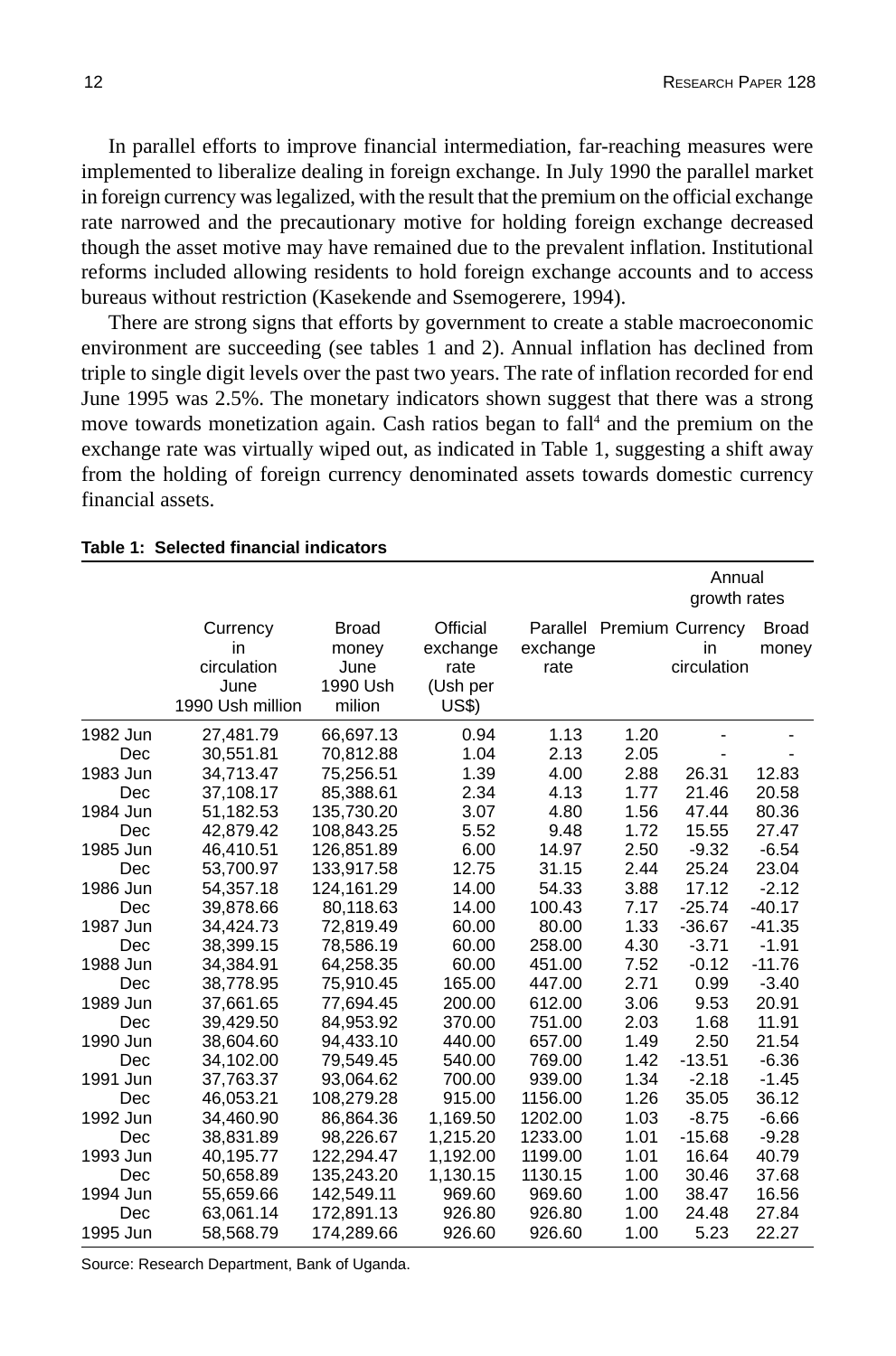In parallel efforts to improve financial intermediation, far-reaching measures were implemented to liberalize dealing in foreign exchange. In July 1990 the parallel market in foreign currency was legalized, with the result that the premium on the official exchange rate narrowed and the precautionary motive for holding foreign exchange decreased though the asset motive may have remained due to the prevalent inflation. Institutional reforms included allowing residents to hold foreign exchange accounts and to access bureaus without restriction (Kasekende and Ssemogerere, 1994).

There are strong signs that efforts by government to create a stable macroeconomic environment are succeeding (see tables 1 and 2). Annual inflation has declined from triple to single digit levels over the past two years. The rate of inflation recorded for end June 1995 was 2.5%. The monetary indicators shown suggest that there was a strong move towards monetization again. Cash ratios began to fall<sup>4</sup> and the premium on the exchange rate was virtually wiped out, as indicated in Table 1, suggesting a shift away from the holding of foreign currency denominated assets towards domestic currency financial assets.

|          |                                                           |                                                     |                                                   |                  |      | Annual<br>growth rates                         |                       |
|----------|-----------------------------------------------------------|-----------------------------------------------------|---------------------------------------------------|------------------|------|------------------------------------------------|-----------------------|
|          | Currency<br>in<br>circulation<br>June<br>1990 Ush million | <b>Broad</b><br>money<br>June<br>1990 Ush<br>milion | Official<br>exchange<br>rate<br>(Ush per<br>US\$) | exchange<br>rate |      | Parallel Premium Currency<br>in<br>circulation | <b>Broad</b><br>money |
| 1982 Jun | 27,481.79                                                 | 66,697.13                                           | 0.94                                              | 1.13             | 1.20 |                                                |                       |
| Dec      | 30,551.81                                                 | 70,812.88                                           | 1.04                                              | 2.13             | 2.05 |                                                |                       |
| 1983 Jun | 34,713.47                                                 | 75,256.51                                           | 1.39                                              | 4.00             | 2.88 | 26.31                                          | 12.83                 |
| Dec      | 37,108.17                                                 | 85,388.61                                           | 2.34                                              | 4.13             | 1.77 | 21.46                                          | 20.58                 |
| 1984 Jun | 51,182.53                                                 | 135,730.20                                          | 3.07                                              | 4.80             | 1.56 | 47.44                                          | 80.36                 |
| Dec      | 42,879.42                                                 | 108,843.25                                          | 5.52                                              | 9.48             | 1.72 | 15.55                                          | 27.47                 |
| 1985 Jun | 46,410.51                                                 | 126,851.89                                          | 6.00                                              | 14.97            | 2.50 | $-9.32$                                        | $-6.54$               |
| Dec      | 53,700.97                                                 | 133,917.58                                          | 12.75                                             | 31.15            | 2.44 | 25.24                                          | 23.04                 |
| 1986 Jun | 54,357.18                                                 | 124,161.29                                          | 14.00                                             | 54.33            | 3.88 | 17.12                                          | $-2.12$               |
| Dec      | 39,878.66                                                 | 80,118.63                                           | 14.00                                             | 100.43           | 7.17 | $-25.74$                                       | $-40.17$              |
| 1987 Jun | 34,424.73                                                 | 72,819.49                                           | 60.00                                             | 80.00            | 1.33 | $-36.67$                                       | $-41.35$              |
| Dec      | 38,399.15                                                 | 78,586.19                                           | 60.00                                             | 258.00           | 4.30 | $-3.71$                                        | $-1.91$               |
| 1988 Jun | 34.384.91                                                 | 64,258.35                                           | 60.00                                             | 451.00           | 7.52 | $-0.12$                                        | $-11.76$              |
| Dec      | 38,778.95                                                 | 75,910.45                                           | 165.00                                            | 447.00           | 2.71 | 0.99                                           | $-3.40$               |
| 1989 Jun | 37,661.65                                                 | 77,694.45                                           | 200.00                                            | 612.00           | 3.06 | 9.53                                           | 20.91                 |
| Dec      | 39,429.50                                                 | 84,953.92                                           | 370.00                                            | 751.00           | 2.03 | 1.68                                           | 11.91                 |
| 1990 Jun | 38,604.60                                                 | 94,433.10                                           | 440.00                                            | 657.00           | 1.49 | 2.50                                           | 21.54                 |
| Dec      | 34,102.00                                                 | 79,549.45                                           | 540.00                                            | 769.00           | 1.42 | $-13.51$                                       | $-6.36$               |
| 1991 Jun | 37,763.37                                                 | 93,064.62                                           | 700.00                                            | 939.00           | 1.34 | $-2.18$                                        | $-1.45$               |
| Dec      | 46,053.21                                                 | 108,279.28                                          | 915.00                                            | 1156.00          | 1.26 | 35.05                                          | 36.12                 |
| 1992 Jun | 34,460.90                                                 | 86,864.36                                           | 1,169.50                                          | 1202.00          | 1.03 | $-8.75$                                        | $-6.66$               |
| Dec      | 38,831.89                                                 | 98,226.67                                           | 1,215.20                                          | 1233.00          | 1.01 | $-15.68$                                       | $-9.28$               |
| 1993 Jun | 40,195.77                                                 | 122,294.47                                          | 1,192.00                                          | 1199.00          | 1.01 | 16.64                                          | 40.79                 |
| Dec      | 50,658.89                                                 | 135,243.20                                          | 1,130.15                                          | 1130.15          | 1.00 | 30.46                                          | 37.68                 |
| 1994 Jun | 55,659.66                                                 | 142.549.11                                          | 969.60                                            | 969.60           | 1.00 | 38.47                                          | 16.56                 |
| Dec      | 63,061.14                                                 | 172,891.13                                          | 926.80                                            | 926.80           | 1.00 | 24.48                                          | 27.84                 |
| 1995 Jun | 58,568.79                                                 | 174,289.66                                          | 926.60                                            | 926.60           | 1.00 | 5.23                                           | 22.27                 |

#### **Table 1: Selected financial indicators**

Source: Research Department, Bank of Uganda.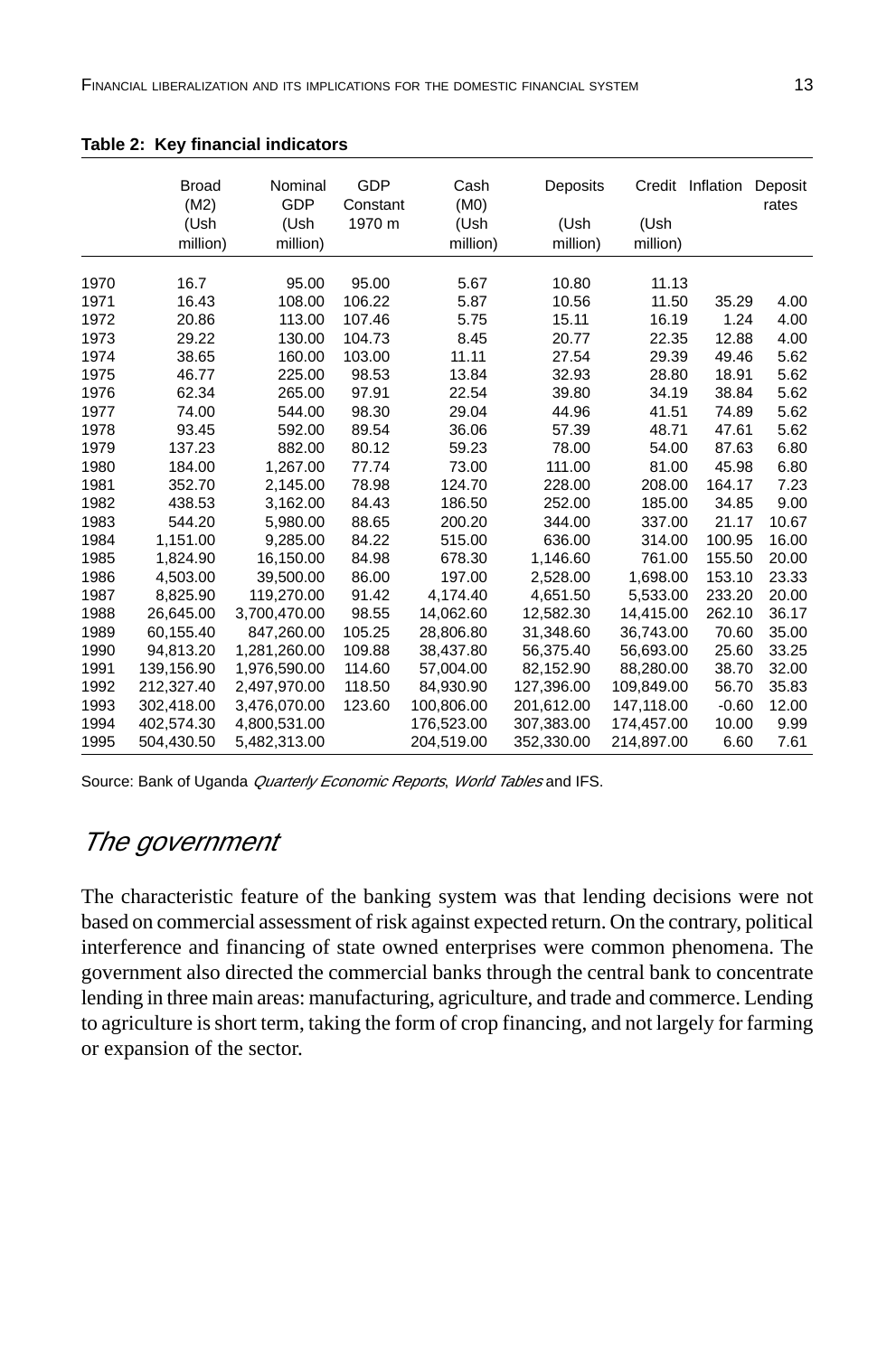|      | Broad<br>(M2)<br>(Ush<br>million) | Nominal<br>GDP<br>(Ush<br>million) | GDP<br>Constant<br>1970 m | Cash<br>(M <sub>0</sub> )<br>(Ush<br>million) | Deposits<br>(Ush<br>million) | (Ush<br>million) | Credit Inflation | Deposit<br>rates |
|------|-----------------------------------|------------------------------------|---------------------------|-----------------------------------------------|------------------------------|------------------|------------------|------------------|
| 1970 | 16.7                              | 95.00                              | 95.00                     | 5.67                                          | 10.80                        | 11.13            |                  |                  |
| 1971 | 16.43                             | 108.00                             | 106.22                    | 5.87                                          | 10.56                        | 11.50            | 35.29            | 4.00             |
| 1972 | 20.86                             | 113.00                             | 107.46                    | 5.75                                          | 15.11                        | 16.19            | 1.24             | 4.00             |
| 1973 | 29.22                             | 130.00                             | 104.73                    | 8.45                                          | 20.77                        | 22.35            | 12.88            | 4.00             |
| 1974 | 38.65                             | 160.00                             | 103.00                    | 11.11                                         | 27.54                        | 29.39            | 49.46            | 5.62             |
| 1975 | 46.77                             | 225.00                             | 98.53                     | 13.84                                         | 32.93                        | 28.80            | 18.91            | 5.62             |
| 1976 | 62.34                             | 265.00                             | 97.91                     | 22.54                                         | 39.80                        | 34.19            | 38.84            | 5.62             |
| 1977 | 74.00                             | 544.00                             | 98.30                     | 29.04                                         | 44.96                        | 41.51            | 74.89            | 5.62             |
| 1978 | 93.45                             | 592.00                             | 89.54                     | 36.06                                         | 57.39                        | 48.71            | 47.61            | 5.62             |
| 1979 | 137.23                            | 882.00                             | 80.12                     | 59.23                                         | 78.00                        | 54.00            | 87.63            | 6.80             |
| 1980 | 184.00                            | 1,267.00                           | 77.74                     | 73.00                                         | 111.00                       | 81.00            | 45.98            | 6.80             |
| 1981 | 352.70                            | 2,145.00                           | 78.98                     | 124.70                                        | 228.00                       | 208.00           | 164.17           | 7.23             |
| 1982 | 438.53                            | 3,162.00                           | 84.43                     | 186.50                                        | 252.00                       | 185.00           | 34.85            | 9.00             |
| 1983 | 544.20                            | 5,980.00                           | 88.65                     | 200.20                                        | 344.00                       | 337.00           | 21.17            | 10.67            |
| 1984 | 1,151.00                          | 9,285.00                           | 84.22                     | 515.00                                        | 636.00                       | 314.00           | 100.95           | 16.00            |
| 1985 | 1,824.90                          | 16,150.00                          | 84.98                     | 678.30                                        | 1,146.60                     | 761.00           | 155.50           | 20.00            |
| 1986 | 4,503.00                          | 39,500.00                          | 86.00                     | 197.00                                        | 2,528.00                     | 1,698.00         | 153.10           | 23.33            |
| 1987 | 8,825.90                          | 119,270.00                         | 91.42                     | 4,174.40                                      | 4,651.50                     | 5,533.00         | 233.20           | 20.00            |
| 1988 | 26,645.00                         | 3,700,470.00                       | 98.55                     | 14,062.60                                     | 12,582.30                    | 14,415.00        | 262.10           | 36.17            |
| 1989 | 60,155.40                         | 847,260.00                         | 105.25                    | 28,806.80                                     | 31,348.60                    | 36,743.00        | 70.60            | 35.00            |
| 1990 | 94,813.20                         | 1,281,260.00                       | 109.88                    | 38,437.80                                     | 56,375.40                    | 56,693.00        | 25.60            | 33.25            |
| 1991 | 139,156.90                        | 1,976,590.00                       | 114.60                    | 57,004.00                                     | 82,152.90                    | 88,280.00        | 38.70            | 32.00            |
| 1992 | 212,327.40                        | 2,497,970.00                       | 118.50                    | 84,930.90                                     | 127,396.00                   | 109,849.00       | 56.70            | 35.83            |
| 1993 | 302,418.00                        | 3,476,070.00                       | 123.60                    | 100,806.00                                    | 201,612.00                   | 147,118.00       | $-0.60$          | 12.00            |
| 1994 | 402,574.30                        | 4,800,531.00                       |                           | 176,523.00                                    | 307,383.00                   | 174,457.00       | 10.00            | 9.99             |
| 1995 | 504,430.50                        | 5,482,313.00                       |                           | 204,519.00                                    | 352,330.00                   | 214,897.00       | 6.60             | 7.61             |

**Table 2: Key financial indicators**

Source: Bank of Uganda Quarterly Economic Reports, World Tables and IFS.

### The government

The characteristic feature of the banking system was that lending decisions were not based on commercial assessment of risk against expected return. On the contrary, political interference and financing of state owned enterprises were common phenomena. The government also directed the commercial banks through the central bank to concentrate lending in three main areas: manufacturing, agriculture, and trade and commerce. Lending to agriculture is short term, taking the form of crop financing, and not largely for farming or expansion of the sector.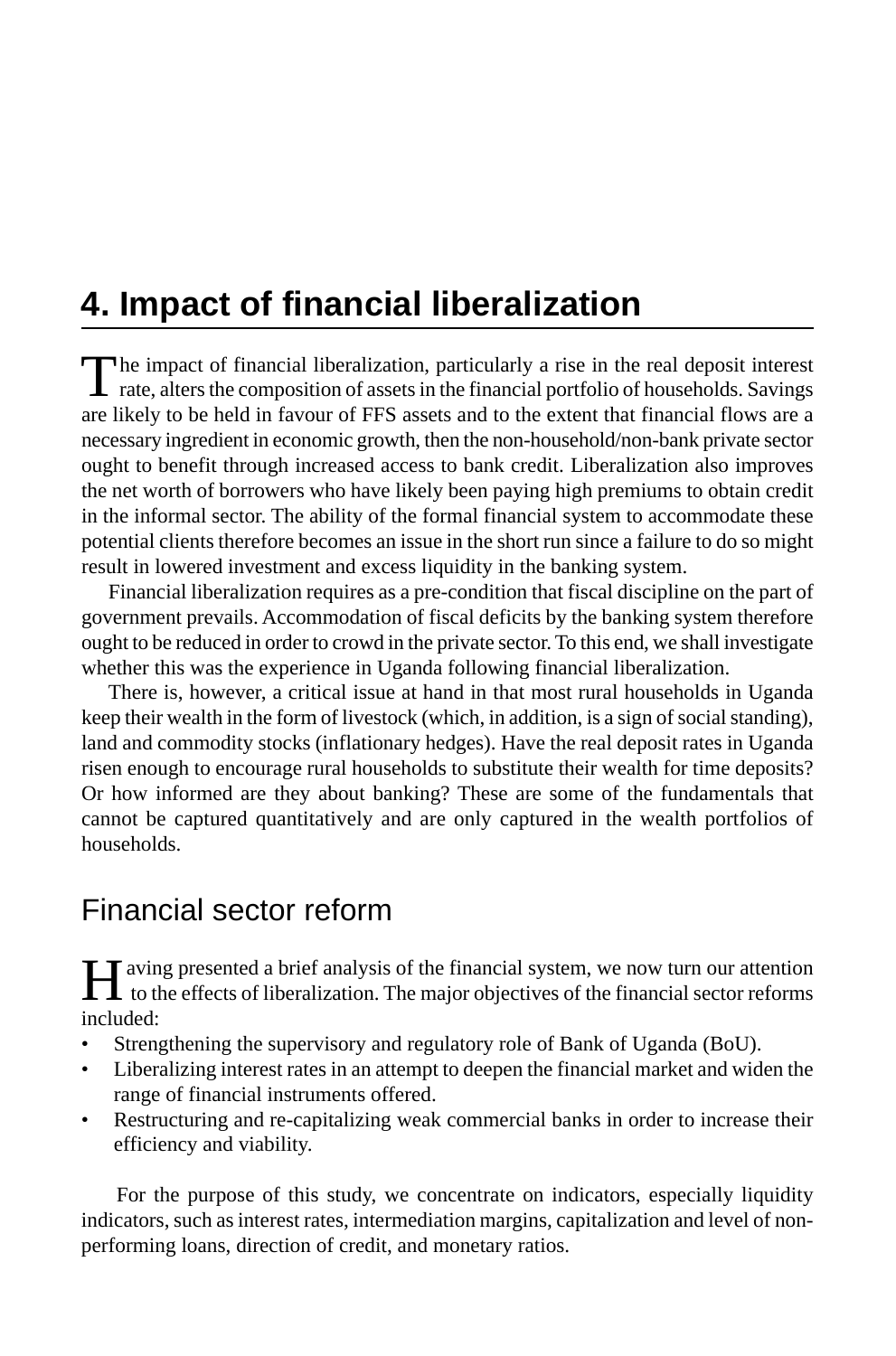# **4. Impact of financial liberalization**

The impact of financial liberalization, particularly a rise in the real deposit interest<br>rate, alters the composition of assets in the financial portfolio of households. Savings are likely to be held in favour of FFS assets and to the extent that financial flows are a necessary ingredient in economic growth, then the non-household/non-bank private sector ought to benefit through increased access to bank credit. Liberalization also improves the net worth of borrowers who have likely been paying high premiums to obtain credit in the informal sector. The ability of the formal financial system to accommodate these potential clients therefore becomes an issue in the short run since a failure to do so might result in lowered investment and excess liquidity in the banking system.

Financial liberalization requires as a pre-condition that fiscal discipline on the part of government prevails. Accommodation of fiscal deficits by the banking system therefore ought to be reduced in order to crowd in the private sector. To this end, we shall investigate whether this was the experience in Uganda following financial liberalization.

There is, however, a critical issue at hand in that most rural households in Uganda keep their wealth in the form of livestock (which, in addition, is a sign of social standing), land and commodity stocks (inflationary hedges). Have the real deposit rates in Uganda risen enough to encourage rural households to substitute their wealth for time deposits? Or how informed are they about banking? These are some of the fundamentals that cannot be captured quantitatively and are only captured in the wealth portfolios of households.

## Financial sector reform

All aving presented a brief analysis of the financial system, we now turn our attention  $\mathbf 1$  to the effects of liberalization. The major objectives of the financial sector reforms included:

- Strengthening the supervisory and regulatory role of Bank of Uganda (BoU).
- Liberalizing interest rates in an attempt to deepen the financial market and widen the range of financial instruments offered.
- Restructuring and re-capitalizing weak commercial banks in order to increase their efficiency and viability.

 For the purpose of this study, we concentrate on indicators, especially liquidity indicators, such as interest rates, intermediation margins, capitalization and level of nonperforming loans, direction of credit, and monetary ratios.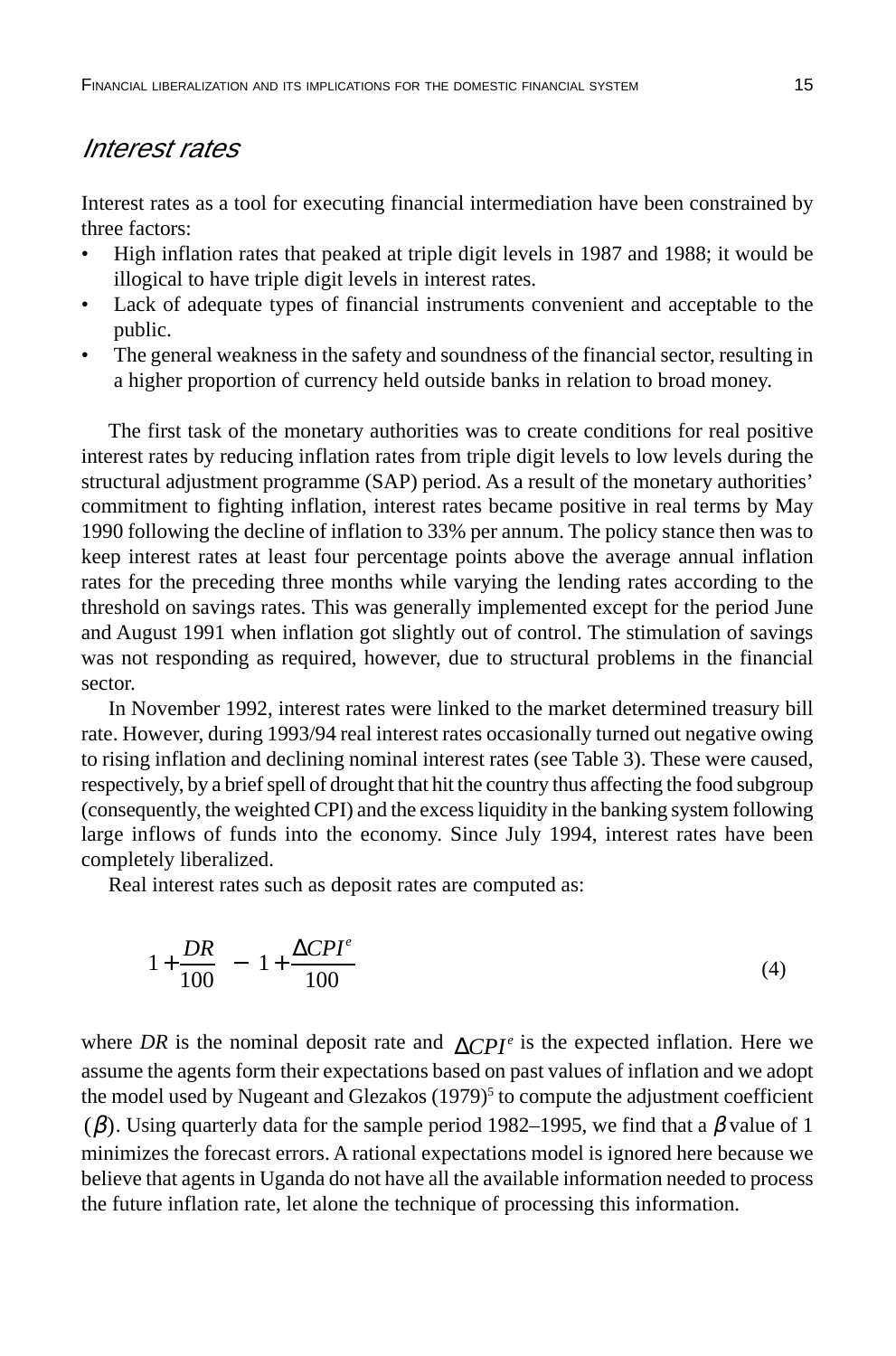#### Interest rates

Interest rates as a tool for executing financial intermediation have been constrained by three factors:

- High inflation rates that peaked at triple digit levels in 1987 and 1988; it would be illogical to have triple digit levels in interest rates.
- Lack of adequate types of financial instruments convenient and acceptable to the public.
- The general weakness in the safety and soundness of the financial sector, resulting in a higher proportion of currency held outside banks in relation to broad money.

The first task of the monetary authorities was to create conditions for real positive interest rates by reducing inflation rates from triple digit levels to low levels during the structural adjustment programme (SAP) period. As a result of the monetary authorities' commitment to fighting inflation, interest rates became positive in real terms by May 1990 following the decline of inflation to 33% per annum. The policy stance then was to keep interest rates at least four percentage points above the average annual inflation rates for the preceding three months while varying the lending rates according to the threshold on savings rates. This was generally implemented except for the period June and August 1991 when inflation got slightly out of control. The stimulation of savings was not responding as required, however, due to structural problems in the financial sector.

In November 1992, interest rates were linked to the market determined treasury bill rate. However, during 1993/94 real interest rates occasionally turned out negative owing to rising inflation and declining nominal interest rates (see Table 3). These were caused, respectively, by a brief spell of drought that hit the country thus affecting the food subgroup (consequently, the weighted CPI) and the excess liquidity in the banking system following large inflows of funds into the economy. Since July 1994, interest rates have been completely liberalized.

Real interest rates such as deposit rates are computed as:

$$
\left(1 + \frac{DR}{100}\right) - \left(1 + \frac{\Delta CPI^e}{100}\right) \tag{4}
$$

where *DR* is the nominal deposit rate and  $\Delta CPI^e$  is the expected inflation. Here we assume the agents form their expectations based on past values of inflation and we adopt the model used by Nugeant and Glezakos (1979)<sup>5</sup> to compute the adjustment coefficient ( $\beta$ ). Using quarterly data for the sample period 1982–1995, we find that a  $\beta$  value of 1 minimizes the forecast errors. A rational expectations model is ignored here because we believe that agents in Uganda do not have all the available information needed to process the future inflation rate, let alone the technique of processing this information.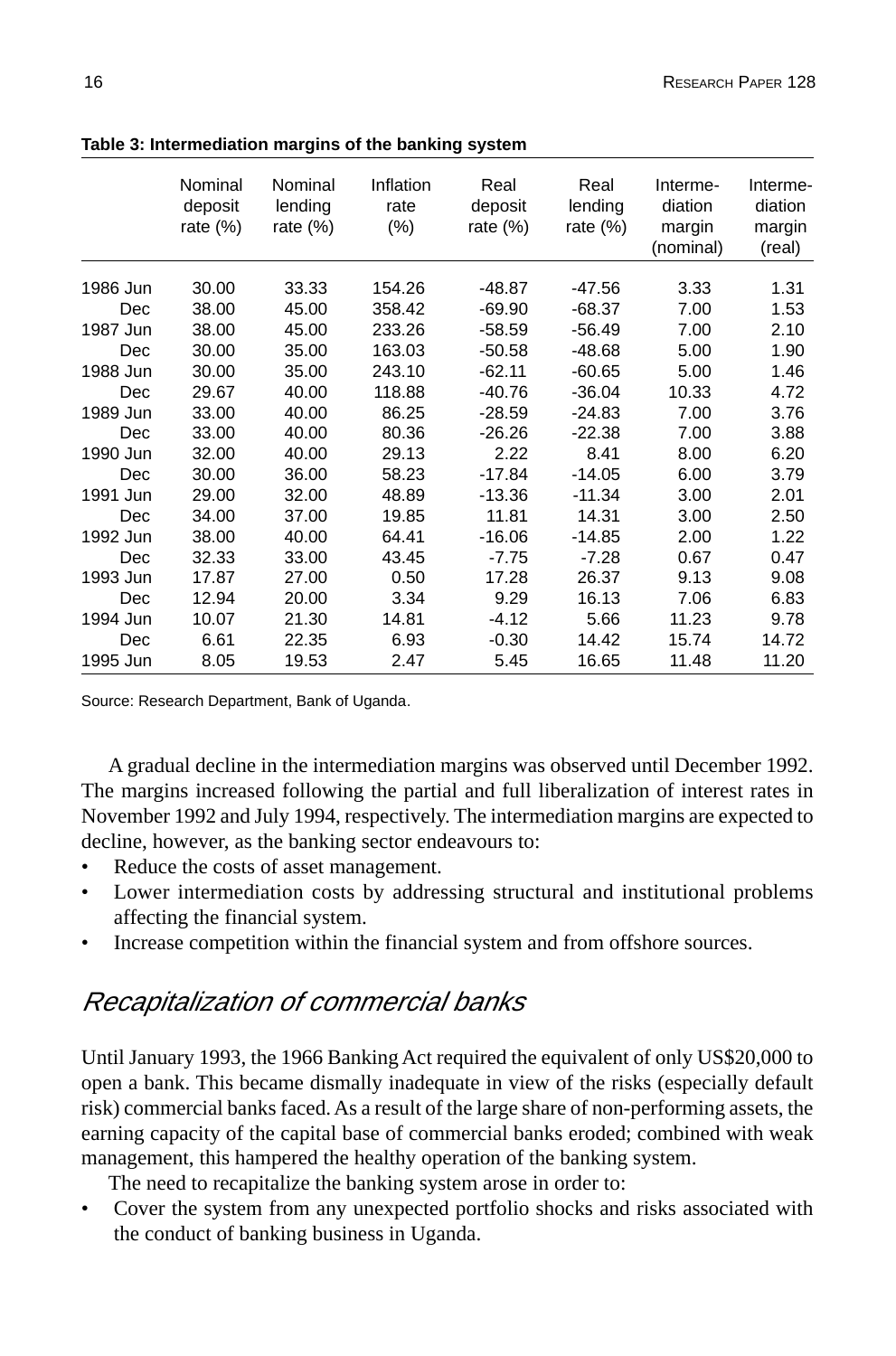|          | Nominal<br>deposit<br>rate $(\%)$ | Nominal<br>lending<br>rate $(\%)$ | Inflation<br>rate<br>$(\% )$ | Real<br>deposit<br>rate $(\%)$ | Real<br>lending<br>rate $(\%)$ | Interme-<br>diation<br>margin<br>(nominal) | Interme-<br>diation<br>margin<br>(real) |
|----------|-----------------------------------|-----------------------------------|------------------------------|--------------------------------|--------------------------------|--------------------------------------------|-----------------------------------------|
| 1986 Jun | 30.00                             | 33.33                             | 154.26                       | -48.87                         | -47.56                         | 3.33                                       | 1.31                                    |
| Dec      | 38.00                             | 45.00                             | 358.42                       | $-69.90$                       | $-68.37$                       | 7.00                                       | 1.53                                    |
| 1987 Jun | 38.00                             | 45.00                             | 233.26                       | $-58.59$                       | $-56.49$                       | 7.00                                       | 2.10                                    |
| Dec      | 30.00                             | 35.00                             | 163.03                       | $-50.58$                       | $-48.68$                       | 5.00                                       | 1.90                                    |
| 1988 Jun | 30.00                             | 35.00                             | 243.10                       | $-62.11$                       | $-60.65$                       | 5.00                                       | 1.46                                    |
| Dec      | 29.67                             | 40.00                             | 118.88                       | $-40.76$                       | $-36.04$                       | 10.33                                      | 4.72                                    |
| 1989 Jun | 33.00                             | 40.00                             | 86.25                        | $-28.59$                       | $-24.83$                       | 7.00                                       | 3.76                                    |
| Dec      | 33.00                             | 40.00                             | 80.36                        | $-26.26$                       | $-22.38$                       | 7.00                                       | 3.88                                    |
| 1990 Jun | 32.00                             | 40.00                             | 29.13                        | 2.22                           | 8.41                           | 8.00                                       | 6.20                                    |
| Dec      | 30.00                             | 36.00                             | 58.23                        | $-17.84$                       | $-14.05$                       | 6.00                                       | 3.79                                    |
| 1991 Jun | 29.00                             | 32.00                             | 48.89                        | -13.36                         | $-11.34$                       | 3.00                                       | 2.01                                    |
| Dec      | 34.00                             | 37.00                             | 19.85                        | 11.81                          | 14.31                          | 3.00                                       | 2.50                                    |
| 1992 Jun | 38.00                             | 40.00                             | 64.41                        | $-16.06$                       | $-14.85$                       | 2.00                                       | 1.22                                    |
| Dec      | 32.33                             | 33.00                             | 43.45                        | $-7.75$                        | $-7.28$                        | 0.67                                       | 0.47                                    |
| 1993 Jun | 17.87                             | 27.00                             | 0.50                         | 17.28                          | 26.37                          | 9.13                                       | 9.08                                    |
| Dec      | 12.94                             | 20.00                             | 3.34                         | 9.29                           | 16.13                          | 7.06                                       | 6.83                                    |
| 1994 Jun | 10.07                             | 21.30                             | 14.81                        | $-4.12$                        | 5.66                           | 11.23                                      | 9.78                                    |
| Dec      | 6.61                              | 22.35                             | 6.93                         | $-0.30$                        | 14.42                          | 15.74                                      | 14.72                                   |
| 1995 Jun | 8.05                              | 19.53                             | 2.47                         | 5.45                           | 16.65                          | 11.48                                      | 11.20                                   |

**Table 3: Intermediation margins of the banking system**

Source: Research Department, Bank of Uganda.

A gradual decline in the intermediation margins was observed until December 1992. The margins increased following the partial and full liberalization of interest rates in November 1992 and July 1994, respectively. The intermediation margins are expected to decline, however, as the banking sector endeavours to:

- Reduce the costs of asset management.
- Lower intermediation costs by addressing structural and institutional problems affecting the financial system.
- Increase competition within the financial system and from offshore sources.

## Recapitalization of commercial banks

Until January 1993, the 1966 Banking Act required the equivalent of only US\$20,000 to open a bank. This became dismally inadequate in view of the risks (especially default risk) commercial banks faced. As a result of the large share of non-performing assets, the earning capacity of the capital base of commercial banks eroded; combined with weak management, this hampered the healthy operation of the banking system.

The need to recapitalize the banking system arose in order to:

• Cover the system from any unexpected portfolio shocks and risks associated with the conduct of banking business in Uganda.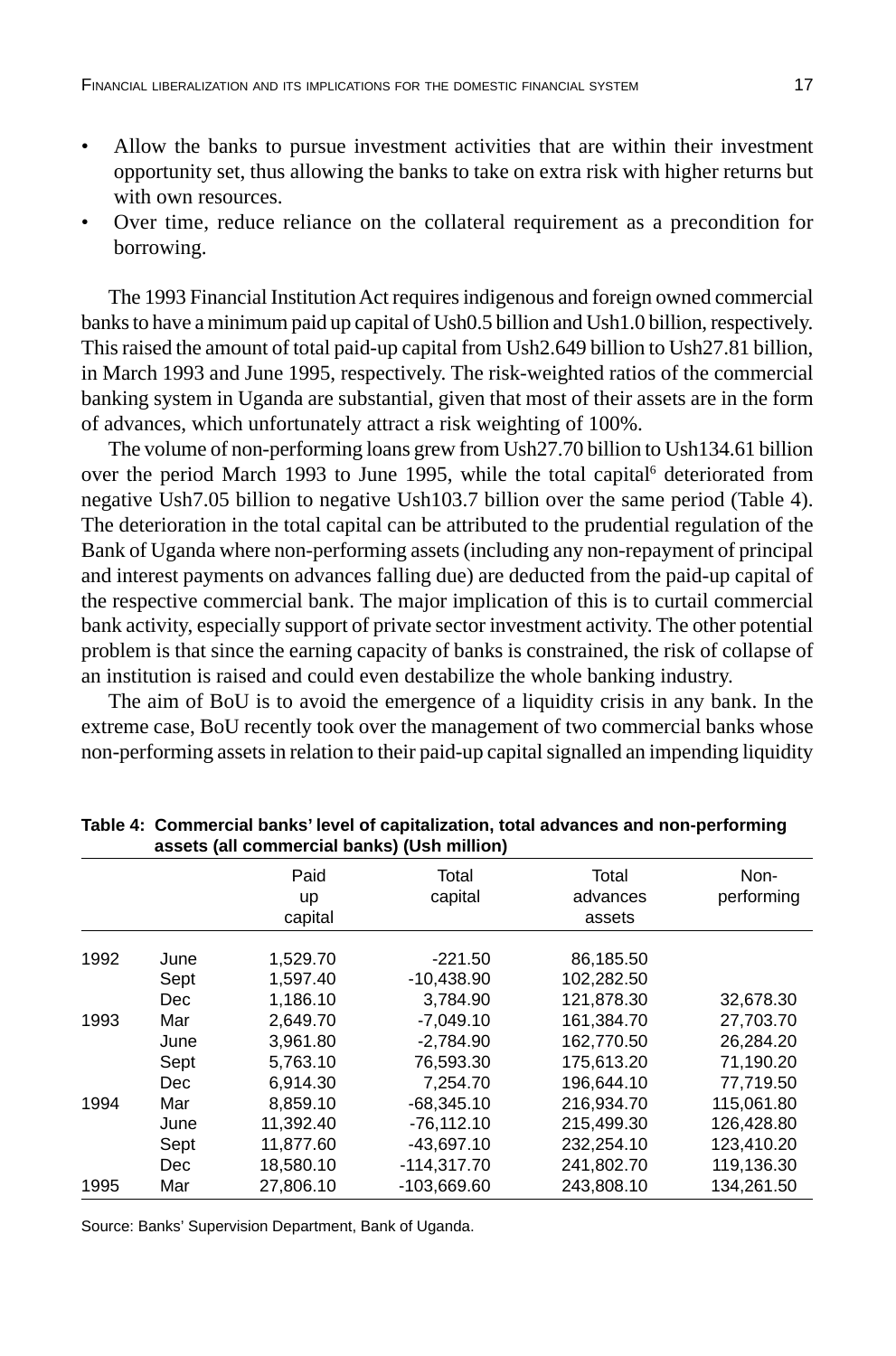- Allow the banks to pursue investment activities that are within their investment opportunity set, thus allowing the banks to take on extra risk with higher returns but with own resources.
- Over time, reduce reliance on the collateral requirement as a precondition for borrowing.

The 1993 Financial Institution Act requires indigenous and foreign owned commercial banks to have a minimum paid up capital of Ush0.5 billion and Ush1.0 billion, respectively. This raised the amount of total paid-up capital from Ush2.649 billion to Ush27.81 billion, in March 1993 and June 1995, respectively. The risk-weighted ratios of the commercial banking system in Uganda are substantial, given that most of their assets are in the form of advances, which unfortunately attract a risk weighting of 100%.

The volume of non-performing loans grew from Ush27.70 billion to Ush134.61 billion over the period March 1993 to June 1995, while the total capital<sup>6</sup> deteriorated from negative Ush7.05 billion to negative Ush103.7 billion over the same period (Table 4). The deterioration in the total capital can be attributed to the prudential regulation of the Bank of Uganda where non-performing assets (including any non-repayment of principal and interest payments on advances falling due) are deducted from the paid-up capital of the respective commercial bank. The major implication of this is to curtail commercial bank activity, especially support of private sector investment activity. The other potential problem is that since the earning capacity of banks is constrained, the risk of collapse of an institution is raised and could even destabilize the whole banking industry.

The aim of BoU is to avoid the emergence of a liquidity crisis in any bank. In the extreme case, BoU recently took over the management of two commercial banks whose non-performing assets in relation to their paid-up capital signalled an impending liquidity

|      | assets (all commercial baring) (Osh million) |                              |                  |                             |                    |  |  |  |
|------|----------------------------------------------|------------------------------|------------------|-----------------------------|--------------------|--|--|--|
|      |                                              | Paid<br><b>up</b><br>capital | Total<br>capital | Total<br>advances<br>assets | Non-<br>performing |  |  |  |
|      |                                              |                              |                  |                             |                    |  |  |  |
| 1992 | June                                         | 1,529.70                     | $-221.50$        | 86,185.50                   |                    |  |  |  |
|      | Sept                                         | 1,597.40                     | -10,438.90       | 102,282.50                  |                    |  |  |  |
|      | Dec                                          | 1.186.10                     | 3.784.90         | 121.878.30                  | 32,678.30          |  |  |  |
| 1993 | Mar                                          | 2.649.70                     | $-7.049.10$      | 161.384.70                  | 27.703.70          |  |  |  |
|      | June                                         | 3,961.80                     | $-2,784.90$      | 162,770.50                  | 26,284.20          |  |  |  |
|      | Sept                                         | 5,763.10                     | 76,593.30        | 175,613.20                  | 71,190.20          |  |  |  |
|      | Dec.                                         | 6,914.30                     | 7,254.70         | 196.644.10                  | 77,719.50          |  |  |  |
| 1994 | Mar                                          | 8.859.10                     | $-68.345.10$     | 216.934.70                  | 115.061.80         |  |  |  |
|      | June                                         | 11.392.40                    | $-76.112.10$     | 215.499.30                  | 126.428.80         |  |  |  |
|      | Sept                                         | 11,877.60                    | -43,697.10       | 232,254.10                  | 123,410.20         |  |  |  |
|      | Dec                                          | 18,580.10                    | $-114,317.70$    | 241,802.70                  | 119,136.30         |  |  |  |
| 1995 | Mar                                          | 27.806.10                    | -103.669.60      | 243,808.10                  | 134.261.50         |  |  |  |

**Table 4: Commercial banks' level of capitalization, total advances and non-performing assets (all commercial banks) (Ush million)**

Source: Banks' Supervision Department, Bank of Uganda.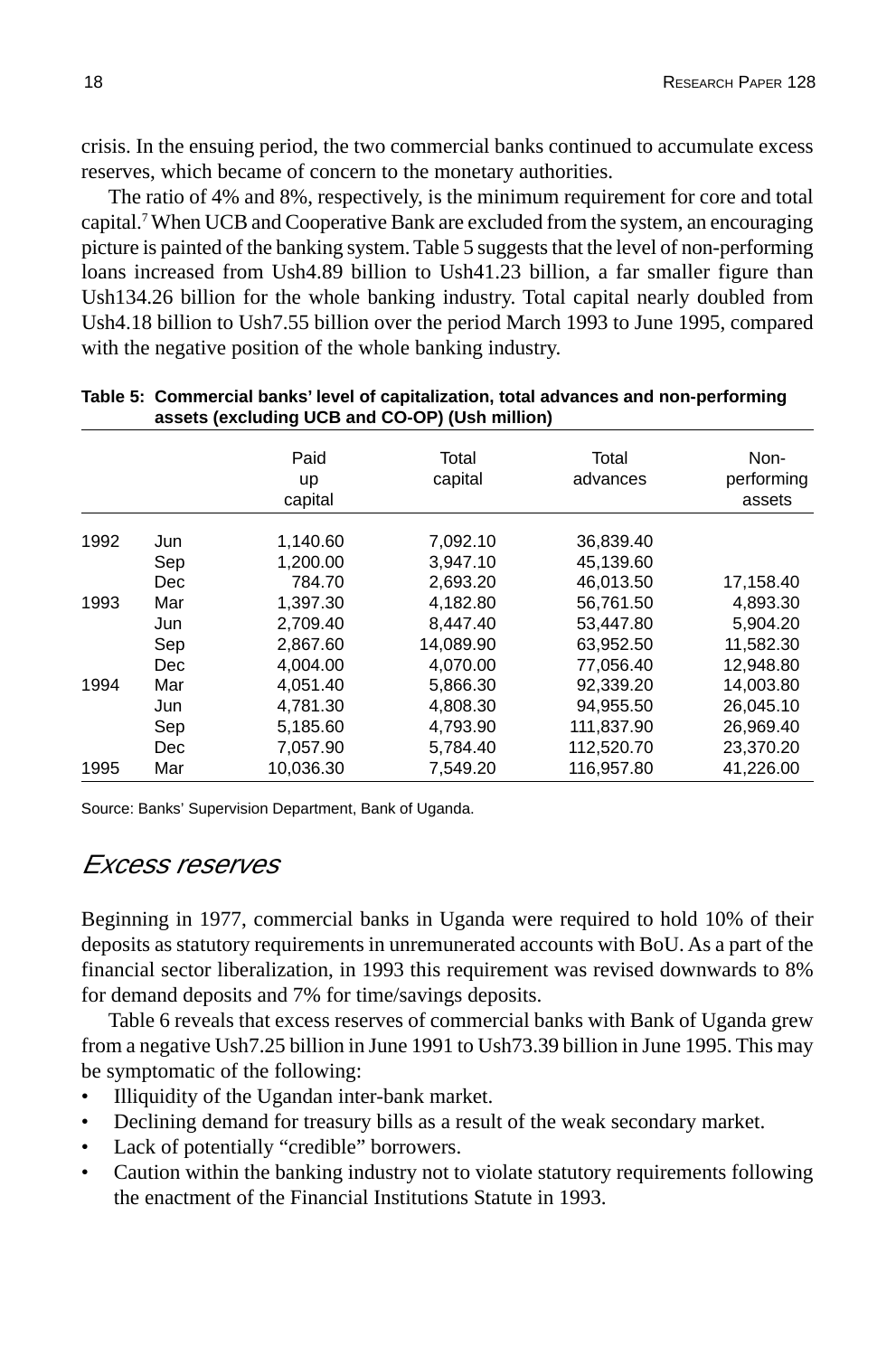crisis. In the ensuing period, the two commercial banks continued to accumulate excess reserves, which became of concern to the monetary authorities.

The ratio of 4% and 8%, respectively, is the minimum requirement for core and total capital.7 When UCB and Cooperative Bank are excluded from the system, an encouraging picture is painted of the banking system. Table 5 suggests that the level of non-performing loans increased from Ush4.89 billion to Ush41.23 billion, a far smaller figure than Ush134.26 billion for the whole banking industry. Total capital nearly doubled from Ush4.18 billion to Ush7.55 billion over the period March 1993 to June 1995, compared with the negative position of the whole banking industry.

|      |      | Paid<br><b>up</b><br>capital | Total<br>capital | Total<br>advances | Non-<br>performing<br>assets |
|------|------|------------------------------|------------------|-------------------|------------------------------|
| 1992 | Jun  | 1,140.60                     | 7,092.10         | 36,839.40         |                              |
|      | Sep  | 1.200.00                     | 3.947.10         | 45.139.60         |                              |
|      | Dec. | 784.70                       | 2.693.20         | 46,013.50         | 17,158.40                    |
| 1993 | Mar  | 1,397.30                     | 4,182.80         | 56,761.50         | 4,893.30                     |
|      | Jun  | 2.709.40                     | 8.447.40         | 53,447.80         | 5,904.20                     |
|      | Sep  | 2,867.60                     | 14,089.90        | 63,952.50         | 11,582.30                    |
|      | Dec  | 4,004.00                     | 4,070.00         | 77,056.40         | 12,948.80                    |
| 1994 | Mar  | 4.051.40                     | 5,866.30         | 92.339.20         | 14,003.80                    |
|      | Jun  | 4,781.30                     | 4,808.30         | 94,955.50         | 26,045.10                    |
|      | Sep  | 5,185.60                     | 4,793.90         | 111,837.90        | 26,969.40                    |
|      | Dec  | 7,057.90                     | 5,784.40         | 112,520.70        | 23,370.20                    |
| 1995 | Mar  | 10,036.30                    | 7,549.20         | 116,957.80        | 41,226.00                    |

#### **Table 5: Commercial banks' level of capitalization, total advances and non-performing assets (excluding UCB and CO-OP) (Ush million)**

Source: Banks' Supervision Department, Bank of Uganda.

#### Excess reserves

Beginning in 1977, commercial banks in Uganda were required to hold 10% of their deposits as statutory requirements in unremunerated accounts with BoU. As a part of the financial sector liberalization, in 1993 this requirement was revised downwards to 8% for demand deposits and 7% for time/savings deposits.

Table 6 reveals that excess reserves of commercial banks with Bank of Uganda grew from a negative Ush7.25 billion in June 1991 to Ush73.39 billion in June 1995. This may be symptomatic of the following:

- Illiquidity of the Ugandan inter-bank market.
- Declining demand for treasury bills as a result of the weak secondary market.
- Lack of potentially "credible" borrowers.
- Caution within the banking industry not to violate statutory requirements following the enactment of the Financial Institutions Statute in 1993.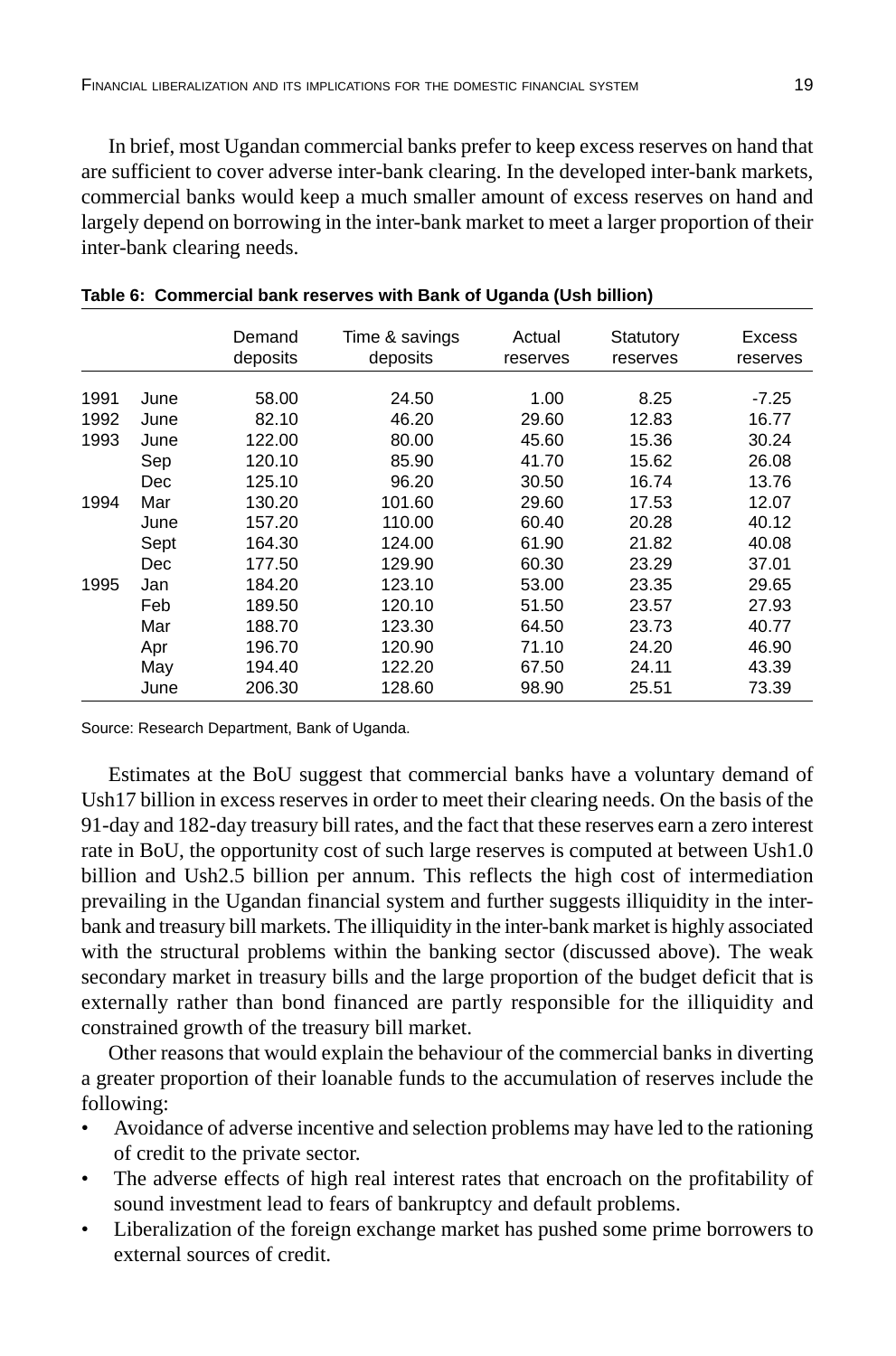In brief, most Ugandan commercial banks prefer to keep excess reserves on hand that are sufficient to cover adverse inter-bank clearing. In the developed inter-bank markets, commercial banks would keep a much smaller amount of excess reserves on hand and largely depend on borrowing in the inter-bank market to meet a larger proportion of their inter-bank clearing needs.

|      |      | Demand<br>deposits | Time & savings<br>deposits | Actual<br>reserves | Statutory<br>reserves | <b>Excess</b><br>reserves |
|------|------|--------------------|----------------------------|--------------------|-----------------------|---------------------------|
| 1991 | June | 58.00              | 24.50                      | 1.00               | 8.25                  | $-7.25$                   |
|      |      |                    |                            |                    |                       |                           |
| 1992 | June | 82.10              | 46.20                      | 29.60              | 12.83                 | 16.77                     |
| 1993 | June | 122.00             | 80.00                      | 45.60              | 15.36                 | 30.24                     |
|      | Sep  | 120.10             | 85.90                      | 41.70              | 15.62                 | 26.08                     |
|      | Dec  | 125.10             | 96.20                      | 30.50              | 16.74                 | 13.76                     |
| 1994 | Mar  | 130.20             | 101.60                     | 29.60              | 17.53                 | 12.07                     |
|      | June | 157.20             | 110.00                     | 60.40              | 20.28                 | 40.12                     |
|      | Sept | 164.30             | 124.00                     | 61.90              | 21.82                 | 40.08                     |
|      | Dec  | 177.50             | 129.90                     | 60.30              | 23.29                 | 37.01                     |
| 1995 | Jan  | 184.20             | 123.10                     | 53.00              | 23.35                 | 29.65                     |
|      | Feb  | 189.50             | 120.10                     | 51.50              | 23.57                 | 27.93                     |
|      | Mar  | 188.70             | 123.30                     | 64.50              | 23.73                 | 40.77                     |
|      | Apr  | 196.70             | 120.90                     | 71.10              | 24.20                 | 46.90                     |
|      | May  | 194.40             | 122.20                     | 67.50              | 24.11                 | 43.39                     |
|      | June | 206.30             | 128.60                     | 98.90              | 25.51                 | 73.39                     |

Source: Research Department, Bank of Uganda.

Estimates at the BoU suggest that commercial banks have a voluntary demand of Ush17 billion in excess reserves in order to meet their clearing needs. On the basis of the 91-day and 182-day treasury bill rates, and the fact that these reserves earn a zero interest rate in BoU, the opportunity cost of such large reserves is computed at between Ush1.0 billion and Ush2.5 billion per annum. This reflects the high cost of intermediation prevailing in the Ugandan financial system and further suggests illiquidity in the interbank and treasury bill markets. The illiquidity in the inter-bank market is highly associated with the structural problems within the banking sector (discussed above). The weak secondary market in treasury bills and the large proportion of the budget deficit that is externally rather than bond financed are partly responsible for the illiquidity and constrained growth of the treasury bill market.

Other reasons that would explain the behaviour of the commercial banks in diverting a greater proportion of their loanable funds to the accumulation of reserves include the following:

- Avoidance of adverse incentive and selection problems may have led to the rationing of credit to the private sector.
- The adverse effects of high real interest rates that encroach on the profitability of sound investment lead to fears of bankruptcy and default problems.
- Liberalization of the foreign exchange market has pushed some prime borrowers to external sources of credit.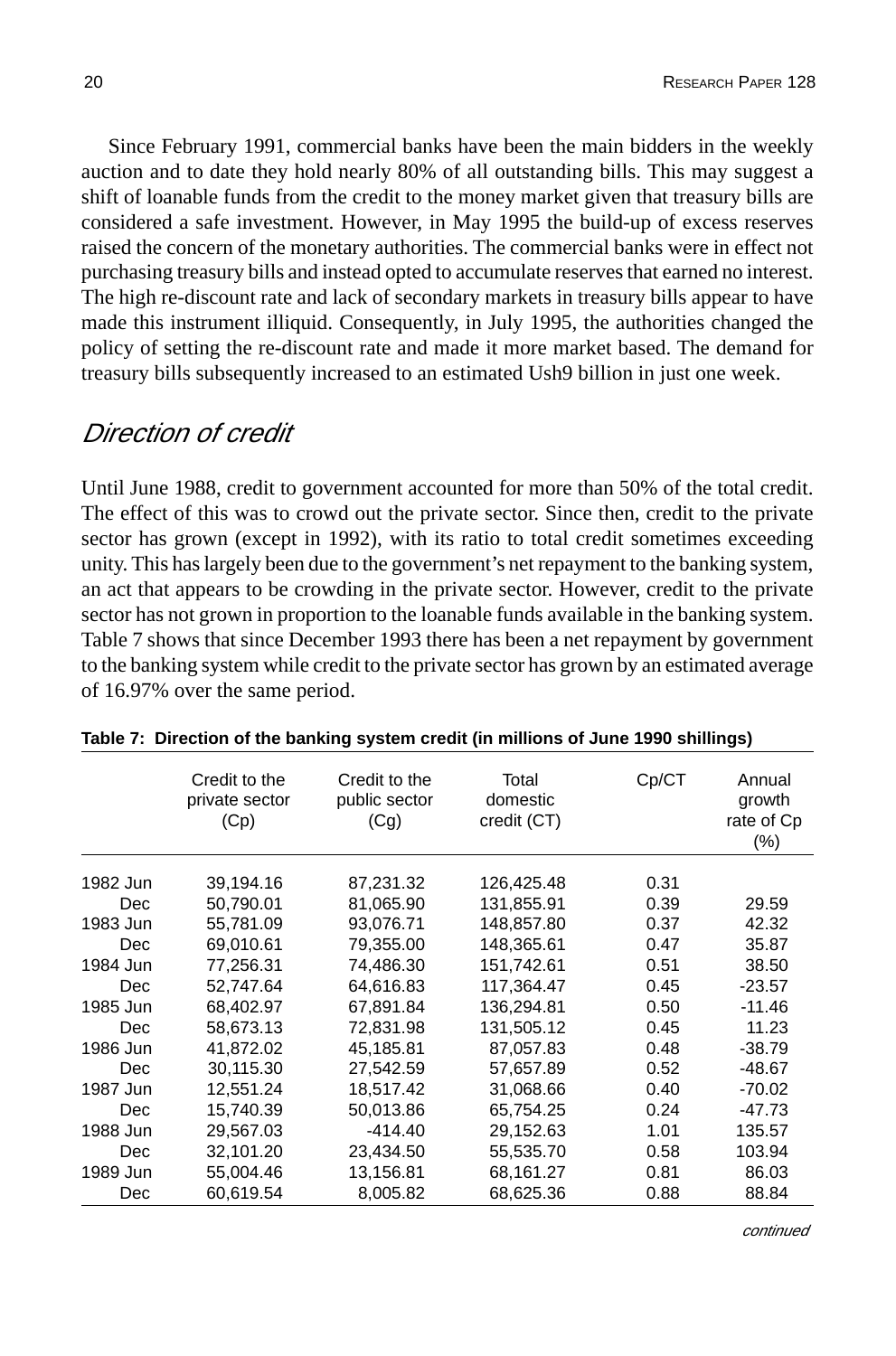Since February 1991, commercial banks have been the main bidders in the weekly auction and to date they hold nearly 80% of all outstanding bills. This may suggest a shift of loanable funds from the credit to the money market given that treasury bills are considered a safe investment. However, in May 1995 the build-up of excess reserves raised the concern of the monetary authorities. The commercial banks were in effect not purchasing treasury bills and instead opted to accumulate reserves that earned no interest. The high re-discount rate and lack of secondary markets in treasury bills appear to have made this instrument illiquid. Consequently, in July 1995, the authorities changed the policy of setting the re-discount rate and made it more market based. The demand for treasury bills subsequently increased to an estimated Ush9 billion in just one week.

### Direction of credit

Until June 1988, credit to government accounted for more than 50% of the total credit. The effect of this was to crowd out the private sector. Since then, credit to the private sector has grown (except in 1992), with its ratio to total credit sometimes exceeding unity. This has largely been due to the government's net repayment to the banking system, an act that appears to be crowding in the private sector. However, credit to the private sector has not grown in proportion to the loanable funds available in the banking system. Table 7 shows that since December 1993 there has been a net repayment by government to the banking system while credit to the private sector has grown by an estimated average of 16.97% over the same period.

|            | Credit to the<br>private sector<br>(Cp) | Credit to the<br>public sector<br>(Cg) | Total<br>domestic<br>credit (CT) | Cp/CT | Annual<br>growth<br>rate of Cp<br>$(\% )$ |
|------------|-----------------------------------------|----------------------------------------|----------------------------------|-------|-------------------------------------------|
| 1982 Jun   | 39,194.16                               | 87.231.32                              | 126,425.48                       | 0.31  |                                           |
| Dec        | 50,790.01                               | 81,065.90                              | 131,855.91                       | 0.39  | 29.59                                     |
| 1983 Jun   | 55,781.09                               | 93,076.71                              | 148,857.80                       | 0.37  | 42.32                                     |
| <b>Dec</b> |                                         |                                        |                                  |       |                                           |
|            | 69,010.61                               | 79,355.00                              | 148,365.61                       | 0.47  | 35.87                                     |
| 1984 Jun   | 77,256.31                               | 74.486.30                              | 151.742.61                       | 0.51  | 38.50                                     |
| <b>Dec</b> | 52,747.64                               | 64,616.83                              | 117,364.47                       | 0.45  | $-23.57$                                  |
| 1985 Jun   | 68,402.97                               | 67,891.84                              | 136,294.81                       | 0.50  | $-11.46$                                  |
| <b>Dec</b> | 58,673.13                               | 72,831.98                              | 131,505.12                       | 0.45  | 11.23                                     |
| 1986 Jun   | 41,872.02                               | 45,185.81                              | 87,057.83                        | 0.48  | $-38.79$                                  |
| Dec        | 30,115.30                               | 27,542.59                              | 57.657.89                        | 0.52  | $-48.67$                                  |
| 1987 Jun   | 12,551.24                               | 18,517.42                              | 31,068.66                        | 0.40  | $-70.02$                                  |
| <b>Dec</b> | 15,740.39                               | 50,013.86                              | 65,754.25                        | 0.24  | -47.73                                    |
| 1988 Jun   | 29,567.03                               | $-414.40$                              | 29,152.63                        | 1.01  | 135.57                                    |
| <b>Dec</b> | 32,101.20                               | 23,434.50                              | 55,535.70                        | 0.58  | 103.94                                    |
| 1989 Jun   | 55,004.46                               | 13,156.81                              | 68,161.27                        | 0.81  | 86.03                                     |
| Dec        | 60,619.54                               | 8,005.82                               | 68,625.36                        | 0.88  | 88.84                                     |

#### **Table 7: Direction of the banking system credit (in millions of June 1990 shillings)**

continued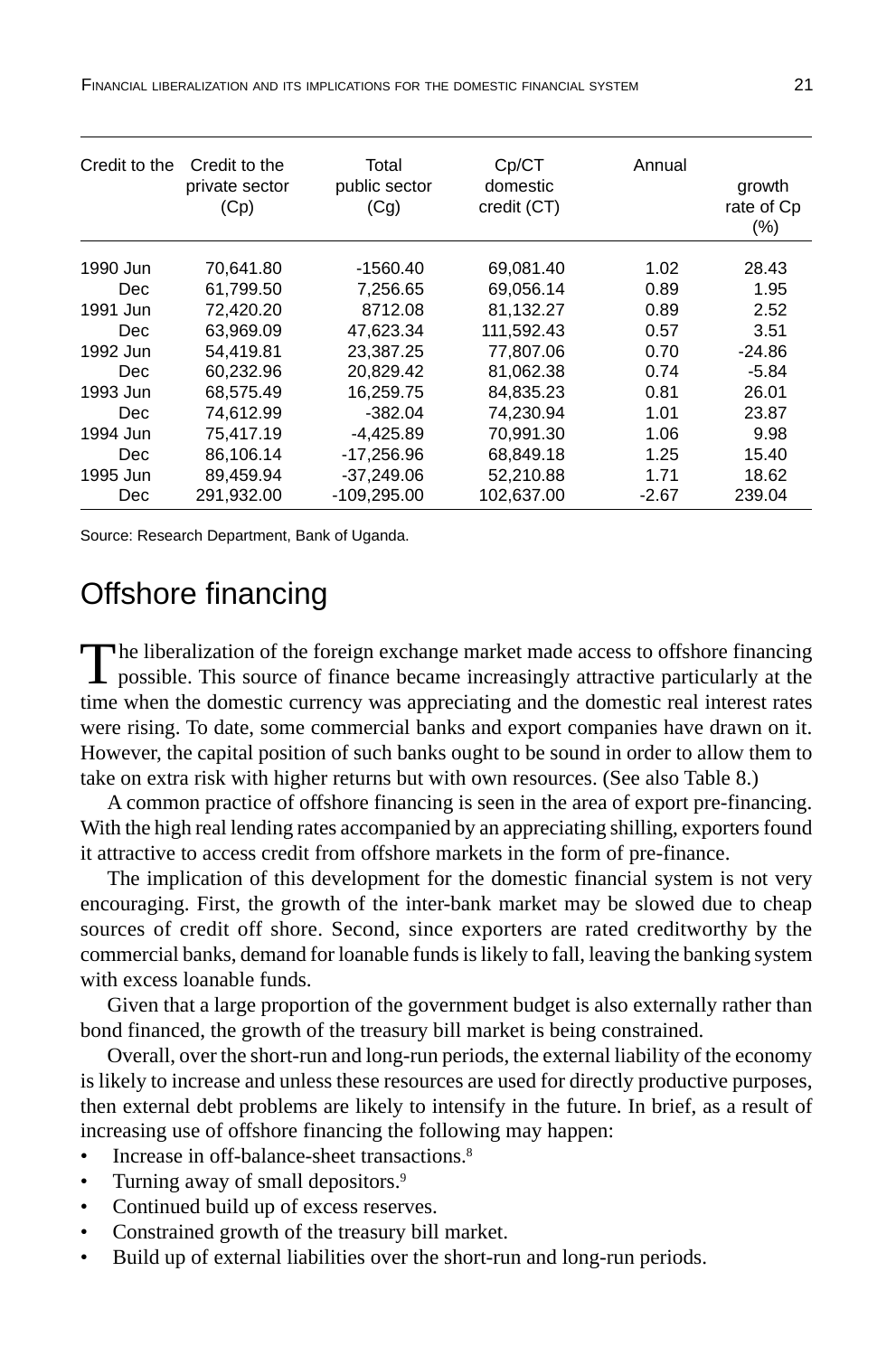FINANCIAL LIBERALIZATION AND ITS IMPLICATIONS FOR THE DOMESTIC FINANCIAL SYSTEM 21

| Credit to the | Credit to the<br>private sector<br>(Cp) | Total<br>public sector<br>(Cq) | Cp/CT<br>domestic<br>credit (CT) | Annual  | growth<br>rate of Cp<br>$(\% )$ |
|---------------|-----------------------------------------|--------------------------------|----------------------------------|---------|---------------------------------|
| 1990 Jun      | 70,641.80                               | -1560.40                       | 69.081.40                        | 1.02    | 28.43                           |
| Dec.          | 61.799.50                               | 7.256.65                       | 69.056.14                        | 0.89    | 1.95                            |
| 1991 Jun      | 72.420.20                               | 8712.08                        | 81,132.27                        | 0.89    | 2.52                            |
| Dec.          | 63.969.09                               | 47.623.34                      | 111.592.43                       | 0.57    | 3.51                            |
| 1992 Jun      | 54.419.81                               | 23.387.25                      | 77.807.06                        | 0.70    | $-24.86$                        |
| Dec.          | 60,232.96                               | 20,829.42                      | 81,062.38                        | 0.74    | $-5.84$                         |
| 1993 Jun      | 68.575.49                               | 16.259.75                      | 84.835.23                        | 0.81    | 26.01                           |
| Dec.          | 74,612.99                               | $-382.04$                      | 74,230.94                        | 1.01    | 23.87                           |
| 1994 Jun      | 75.417.19                               | $-4,425.89$                    | 70,991.30                        | 1.06    | 9.98                            |
| Dec.          | 86,106.14                               | -17,256.96                     | 68,849.18                        | 1.25    | 15.40                           |
| 1995 Jun      | 89,459.94                               | $-37.249.06$                   | 52,210.88                        | 1.71    | 18.62                           |
| Dec.          | 291.932.00                              | $-109.295.00$                  | 102.637.00                       | $-2.67$ | 239.04                          |

Source: Research Department, Bank of Uganda.

## Offshore financing

The liberalization of the foreign exchange market made access to offshore financing<br>possible. This source of finance became increasingly attractive particularly at the time when the domestic currency was appreciating and the domestic real interest rates were rising. To date, some commercial banks and export companies have drawn on it. However, the capital position of such banks ought to be sound in order to allow them to take on extra risk with higher returns but with own resources. (See also Table 8.)

A common practice of offshore financing is seen in the area of export pre-financing. With the high real lending rates accompanied by an appreciating shilling, exporters found it attractive to access credit from offshore markets in the form of pre-finance.

The implication of this development for the domestic financial system is not very encouraging. First, the growth of the inter-bank market may be slowed due to cheap sources of credit off shore. Second, since exporters are rated creditworthy by the commercial banks, demand for loanable funds is likely to fall, leaving the banking system with excess loanable funds.

Given that a large proportion of the government budget is also externally rather than bond financed, the growth of the treasury bill market is being constrained.

Overall, over the short-run and long-run periods, the external liability of the economy is likely to increase and unless these resources are used for directly productive purposes, then external debt problems are likely to intensify in the future. In brief, as a result of increasing use of offshore financing the following may happen:

- Increase in off-balance-sheet transactions.<sup>8</sup>
- Turning away of small depositors.<sup>9</sup>
- Continued build up of excess reserves.
- Constrained growth of the treasury bill market.
- Build up of external liabilities over the short-run and long-run periods.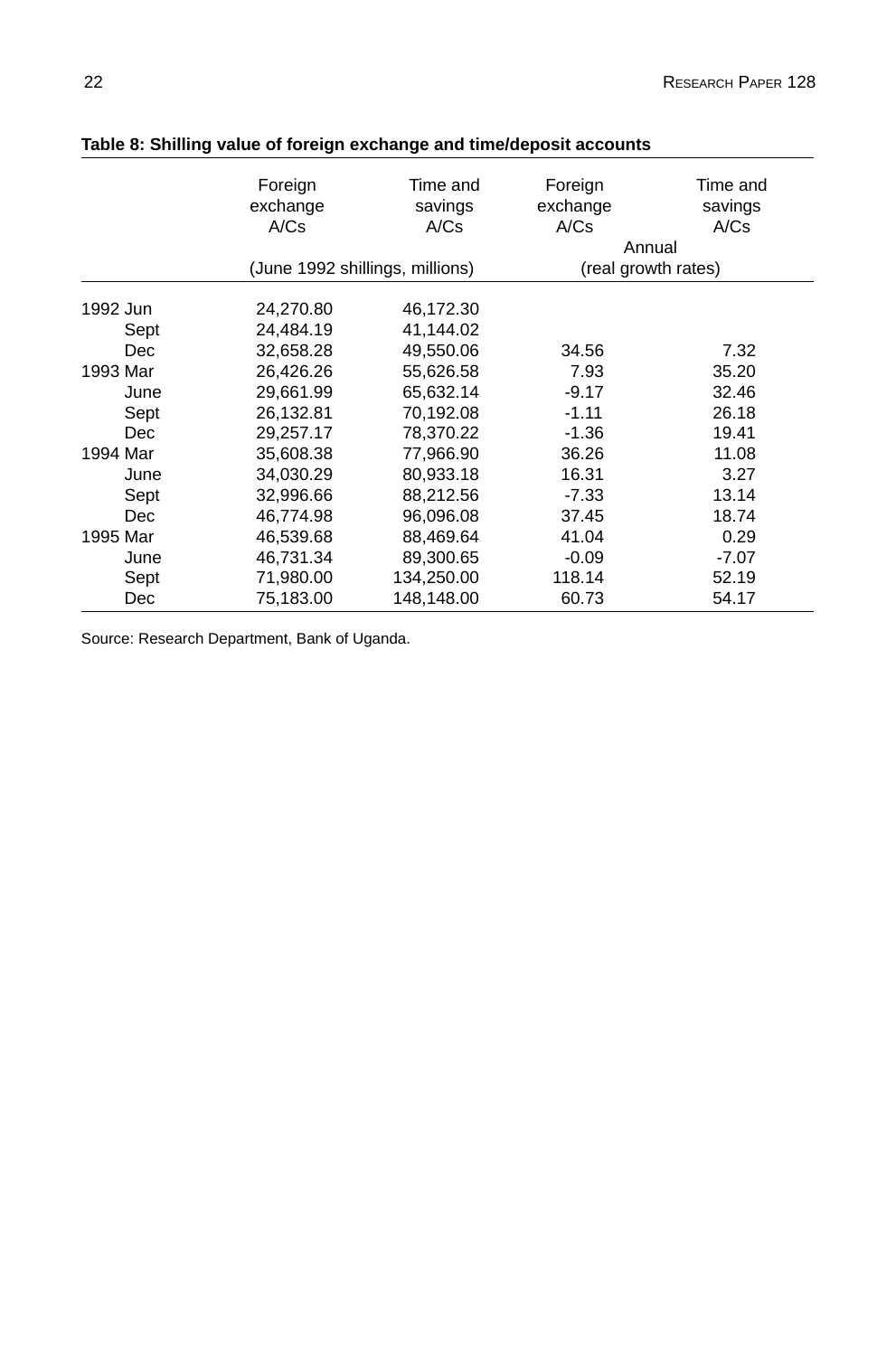|          | Foreign<br>exchange<br>A/Cs | Time and<br>savings<br>A/Cs     | Foreign<br>exchange<br>A/Cs | Time and<br>savings<br>A/Cs |
|----------|-----------------------------|---------------------------------|-----------------------------|-----------------------------|
|          |                             |                                 | Annual                      |                             |
|          |                             | (June 1992 shillings, millions) | (real growth rates)         |                             |
| 1992 Jun | 24,270.80                   | 46,172.30                       |                             |                             |
| Sept     | 24,484.19                   | 41,144.02                       |                             |                             |
| Dec      | 32,658.28                   | 49,550.06                       | 34.56                       | 7.32                        |
| 1993 Mar | 26,426.26                   | 55,626.58                       | 7.93                        | 35.20                       |
| June     | 29,661.99                   | 65,632.14                       | $-9.17$                     | 32.46                       |
| Sept     | 26,132.81                   | 70,192.08                       | $-1.11$                     | 26.18                       |
| Dec      | 29,257.17                   | 78,370.22                       | $-1.36$                     | 19.41                       |
| 1994 Mar | 35,608.38                   | 77,966.90                       | 36.26                       | 11.08                       |
| June     | 34,030.29                   | 80,933.18                       | 16.31                       | 3.27                        |
| Sept     | 32,996.66                   | 88,212.56                       | $-7.33$                     | 13.14                       |
| Dec      | 46,774.98                   | 96,096.08                       | 37.45                       | 18.74                       |
| 1995 Mar | 46.539.68                   | 88.469.64                       | 41.04                       | 0.29                        |
| June     | 46,731.34                   | 89,300.65                       | $-0.09$                     | $-7.07$                     |
| Sept     | 71,980.00                   | 134,250.00                      | 118.14                      | 52.19                       |
| Dec      | 75,183.00                   | 148,148.00                      | 60.73                       | 54.17                       |

#### **Table 8: Shilling value of foreign exchange and time/deposit accounts**

Source: Research Department, Bank of Uganda.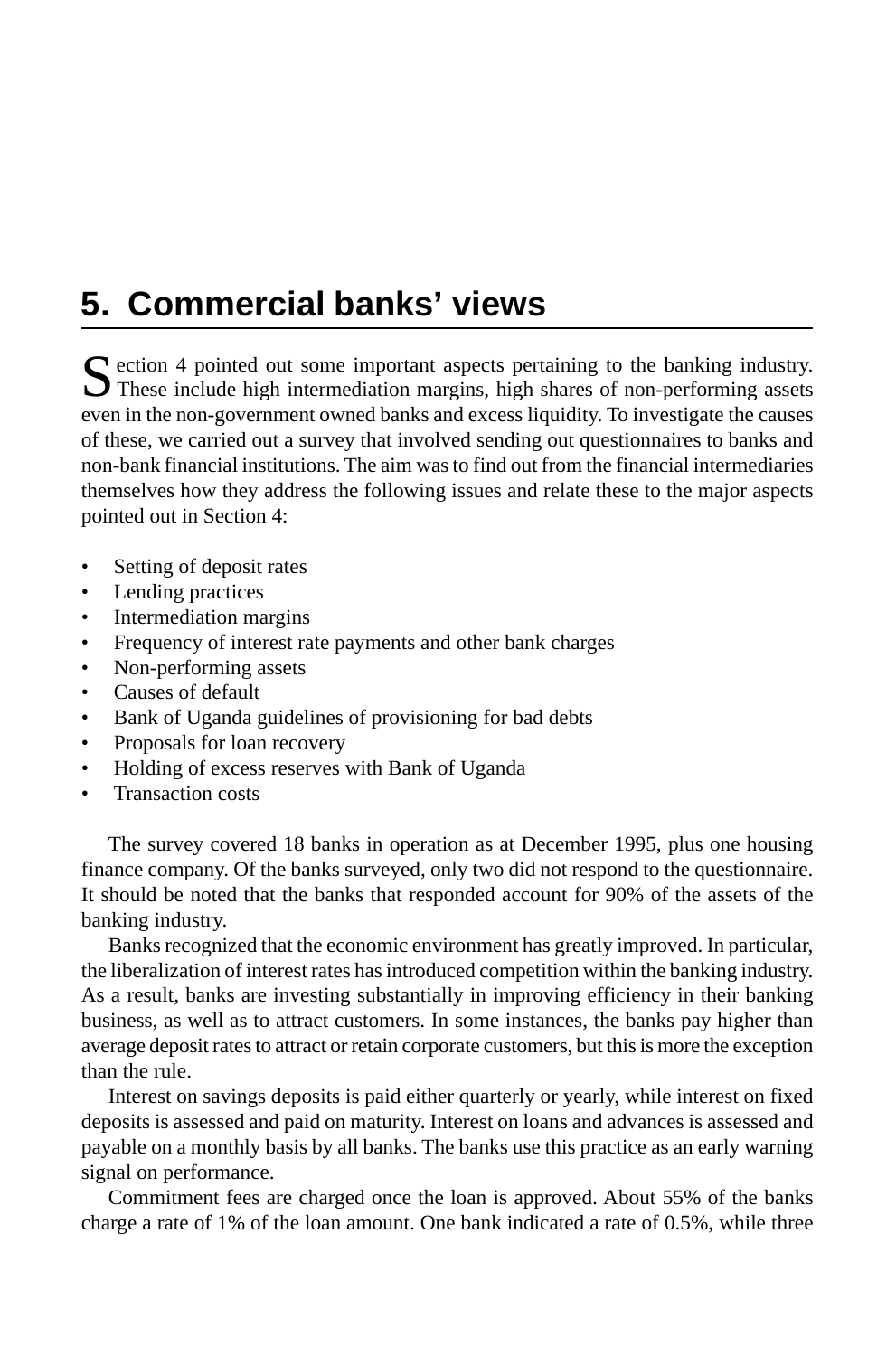# **5. Commercial banks' views**

Section 4 pointed out some important aspects pertaining to the banking industry.<br>These include high intermediation margins, high shares of non-performing assets even in the non-government owned banks and excess liquidity. To investigate the causes of these, we carried out a survey that involved sending out questionnaires to banks and non-bank financial institutions. The aim was to find out from the financial intermediaries themselves how they address the following issues and relate these to the major aspects pointed out in Section 4:

- Setting of deposit rates
- Lending practices
- Intermediation margins
- Frequency of interest rate payments and other bank charges
- Non-performing assets
- Causes of default
- Bank of Uganda guidelines of provisioning for bad debts
- Proposals for loan recovery
- Holding of excess reserves with Bank of Uganda
- Transaction costs

The survey covered 18 banks in operation as at December 1995, plus one housing finance company. Of the banks surveyed, only two did not respond to the questionnaire. It should be noted that the banks that responded account for 90% of the assets of the banking industry.

Banks recognized that the economic environment has greatly improved. In particular, the liberalization of interest rates has introduced competition within the banking industry. As a result, banks are investing substantially in improving efficiency in their banking business, as well as to attract customers. In some instances, the banks pay higher than average deposit rates to attract or retain corporate customers, but this is more the exception than the rule.

Interest on savings deposits is paid either quarterly or yearly, while interest on fixed deposits is assessed and paid on maturity. Interest on loans and advances is assessed and payable on a monthly basis by all banks. The banks use this practice as an early warning signal on performance.

Commitment fees are charged once the loan is approved. About 55% of the banks charge a rate of 1% of the loan amount. One bank indicated a rate of 0.5%, while three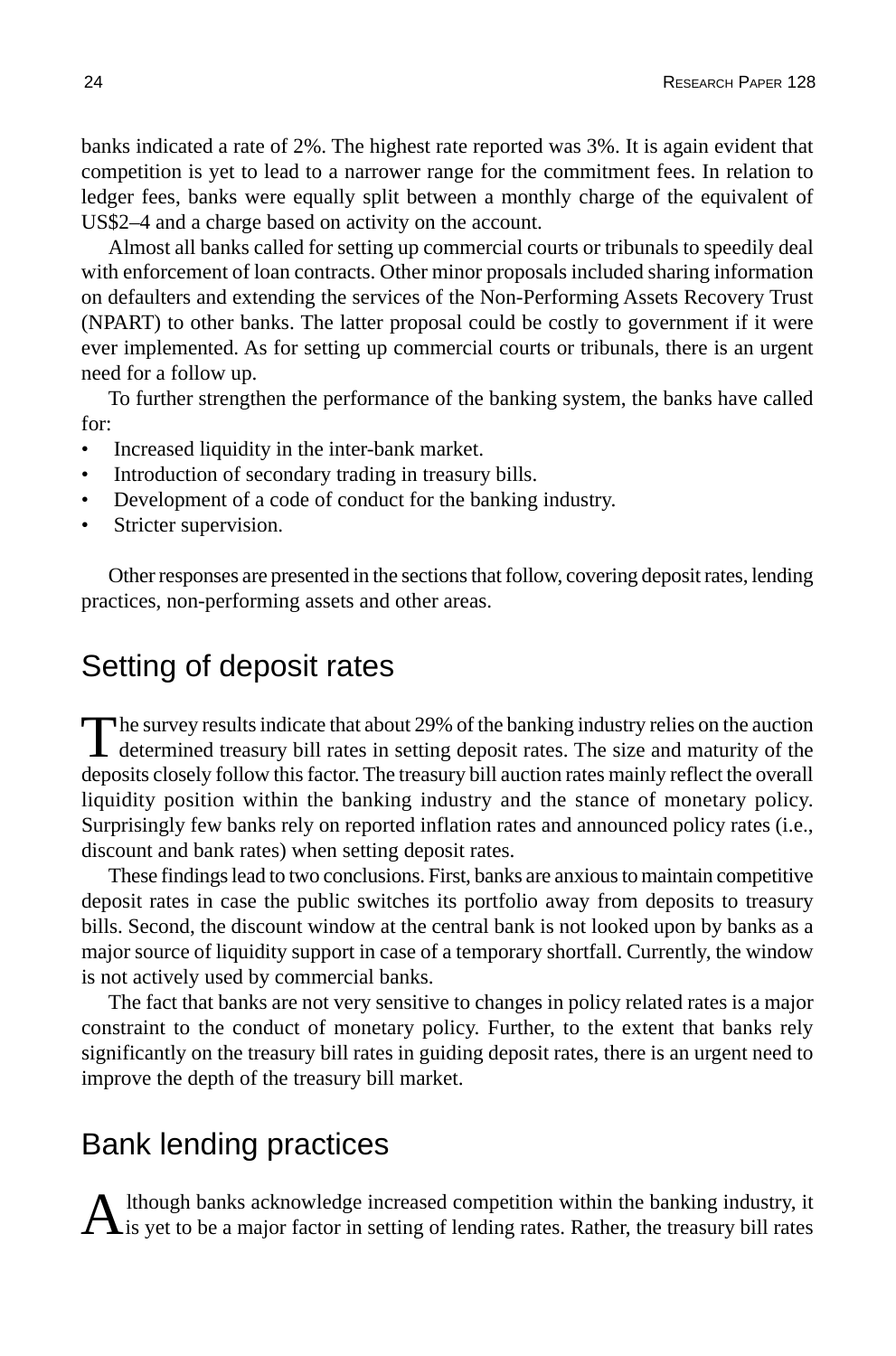banks indicated a rate of 2%. The highest rate reported was 3%. It is again evident that competition is yet to lead to a narrower range for the commitment fees. In relation to ledger fees, banks were equally split between a monthly charge of the equivalent of US\$2–4 and a charge based on activity on the account.

Almost all banks called for setting up commercial courts or tribunals to speedily deal with enforcement of loan contracts. Other minor proposals included sharing information on defaulters and extending the services of the Non-Performing Assets Recovery Trust (NPART) to other banks. The latter proposal could be costly to government if it were ever implemented. As for setting up commercial courts or tribunals, there is an urgent need for a follow up.

To further strengthen the performance of the banking system, the banks have called for:

- Increased liquidity in the inter-bank market.
- Introduction of secondary trading in treasury bills.
- Development of a code of conduct for the banking industry.
- Stricter supervision.

Other responses are presented in the sections that follow, covering deposit rates, lending practices, non-performing assets and other areas.

## Setting of deposit rates

The survey results indicate that about 29% of the banking industry relies on the auction<br>determined treasury bill rates in setting deposit rates. The size and maturity of the deposits closely follow this factor. The treasury bill auction rates mainly reflect the overall liquidity position within the banking industry and the stance of monetary policy. Surprisingly few banks rely on reported inflation rates and announced policy rates (i.e., discount and bank rates) when setting deposit rates.

These findings lead to two conclusions. First, banks are anxious to maintain competitive deposit rates in case the public switches its portfolio away from deposits to treasury bills. Second, the discount window at the central bank is not looked upon by banks as a major source of liquidity support in case of a temporary shortfall. Currently, the window is not actively used by commercial banks.

The fact that banks are not very sensitive to changes in policy related rates is a major constraint to the conduct of monetary policy. Further, to the extent that banks rely significantly on the treasury bill rates in guiding deposit rates, there is an urgent need to improve the depth of the treasury bill market.

## Bank lending practices

 $A$  lthough banks acknowledge increased competition within the banking industry, it is yet to be a major factor in setting of lending rates. Rather, the treasury bill rates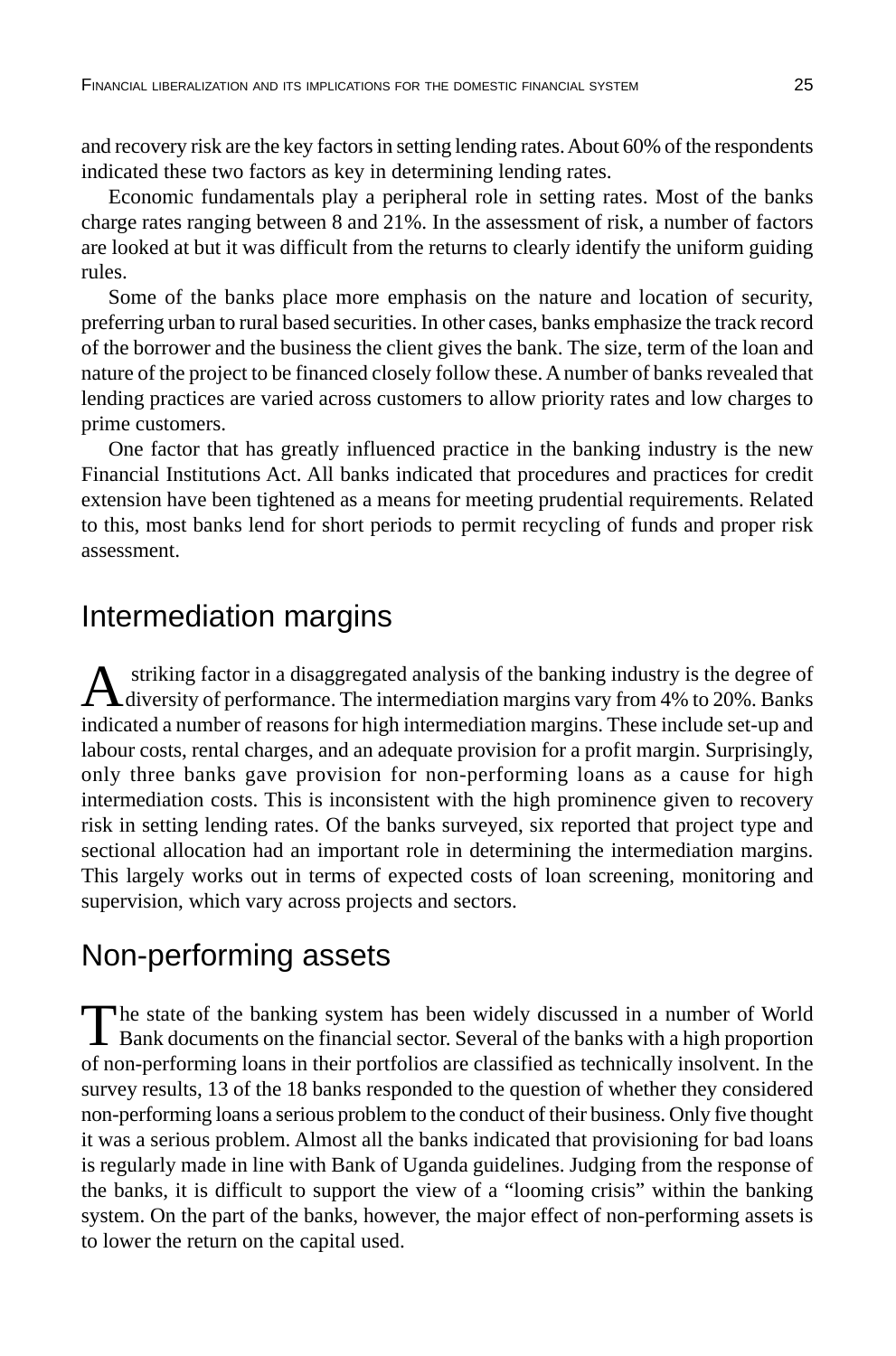and recovery risk are the key factors in setting lending rates. About 60% of the respondents indicated these two factors as key in determining lending rates.

Economic fundamentals play a peripheral role in setting rates. Most of the banks charge rates ranging between 8 and 21%. In the assessment of risk, a number of factors are looked at but it was difficult from the returns to clearly identify the uniform guiding rules.

Some of the banks place more emphasis on the nature and location of security, preferring urban to rural based securities. In other cases, banks emphasize the track record of the borrower and the business the client gives the bank. The size, term of the loan and nature of the project to be financed closely follow these. A number of banks revealed that lending practices are varied across customers to allow priority rates and low charges to prime customers.

One factor that has greatly influenced practice in the banking industry is the new Financial Institutions Act. All banks indicated that procedures and practices for credit extension have been tightened as a means for meeting prudential requirements. Related to this, most banks lend for short periods to permit recycling of funds and proper risk assessment.

## Intermediation margins

A striking factor in a disaggregated analysis of the banking industry is the degree of diversity of performance. The intermediation margins vary from 4% to 20%. Banks indicated a number of reasons for high intermediation margins. These include set-up and labour costs, rental charges, and an adequate provision for a profit margin. Surprisingly, only three banks gave provision for non-performing loans as a cause for high intermediation costs. This is inconsistent with the high prominence given to recovery risk in setting lending rates. Of the banks surveyed, six reported that project type and sectional allocation had an important role in determining the intermediation margins. This largely works out in terms of expected costs of loan screening, monitoring and supervision, which vary across projects and sectors.

## Non-performing assets

The state of the banking system has been widely discussed in a number of World<br>Bank documents on the financial sector. Several of the banks with a high proportion of non-performing loans in their portfolios are classified as technically insolvent. In the survey results, 13 of the 18 banks responded to the question of whether they considered non-performing loans a serious problem to the conduct of their business. Only five thought it was a serious problem. Almost all the banks indicated that provisioning for bad loans is regularly made in line with Bank of Uganda guidelines. Judging from the response of the banks, it is difficult to support the view of a "looming crisis" within the banking system. On the part of the banks, however, the major effect of non-performing assets is to lower the return on the capital used.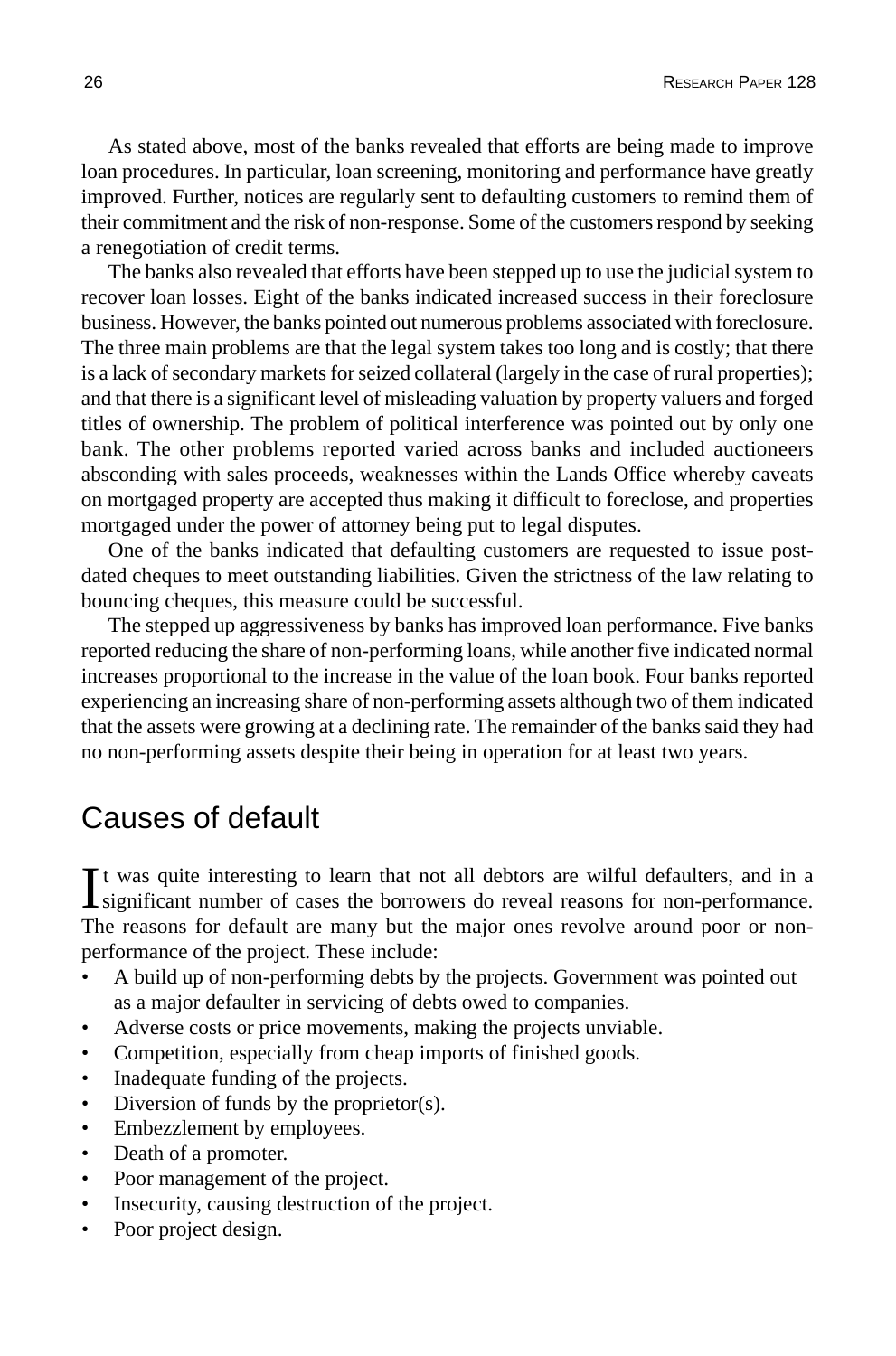As stated above, most of the banks revealed that efforts are being made to improve loan procedures. In particular, loan screening, monitoring and performance have greatly improved. Further, notices are regularly sent to defaulting customers to remind them of their commitment and the risk of non-response. Some of the customers respond by seeking a renegotiation of credit terms.

The banks also revealed that efforts have been stepped up to use the judicial system to recover loan losses. Eight of the banks indicated increased success in their foreclosure business. However, the banks pointed out numerous problems associated with foreclosure. The three main problems are that the legal system takes too long and is costly; that there is a lack of secondary markets for seized collateral (largely in the case of rural properties); and that there is a significant level of misleading valuation by property valuers and forged titles of ownership. The problem of political interference was pointed out by only one bank. The other problems reported varied across banks and included auctioneers absconding with sales proceeds, weaknesses within the Lands Office whereby caveats on mortgaged property are accepted thus making it difficult to foreclose, and properties mortgaged under the power of attorney being put to legal disputes.

One of the banks indicated that defaulting customers are requested to issue postdated cheques to meet outstanding liabilities. Given the strictness of the law relating to bouncing cheques, this measure could be successful.

The stepped up aggressiveness by banks has improved loan performance. Five banks reported reducing the share of non-performing loans, while another five indicated normal increases proportional to the increase in the value of the loan book. Four banks reported experiencing an increasing share of non-performing assets although two of them indicated that the assets were growing at a declining rate. The remainder of the banks said they had no non-performing assets despite their being in operation for at least two years.

## Causes of default

It was quite interesting to learn that not all debtors are wilful defaulters, and in a significant number of cases the borrowers do reveal reasons for non-performance. t was quite interesting to learn that not all debtors are wilful defaulters, and in a The reasons for default are many but the major ones revolve around poor or nonperformance of the project. These include:

- A build up of non-performing debts by the projects. Government was pointed out as a major defaulter in servicing of debts owed to companies.
- Adverse costs or price movements, making the projects unviable.
- Competition, especially from cheap imports of finished goods.
- Inadequate funding of the projects.
- Diversion of funds by the proprietor(s).
- Embezzlement by employees.
- Death of a promoter.
- Poor management of the project.
- Insecurity, causing destruction of the project.
- Poor project design.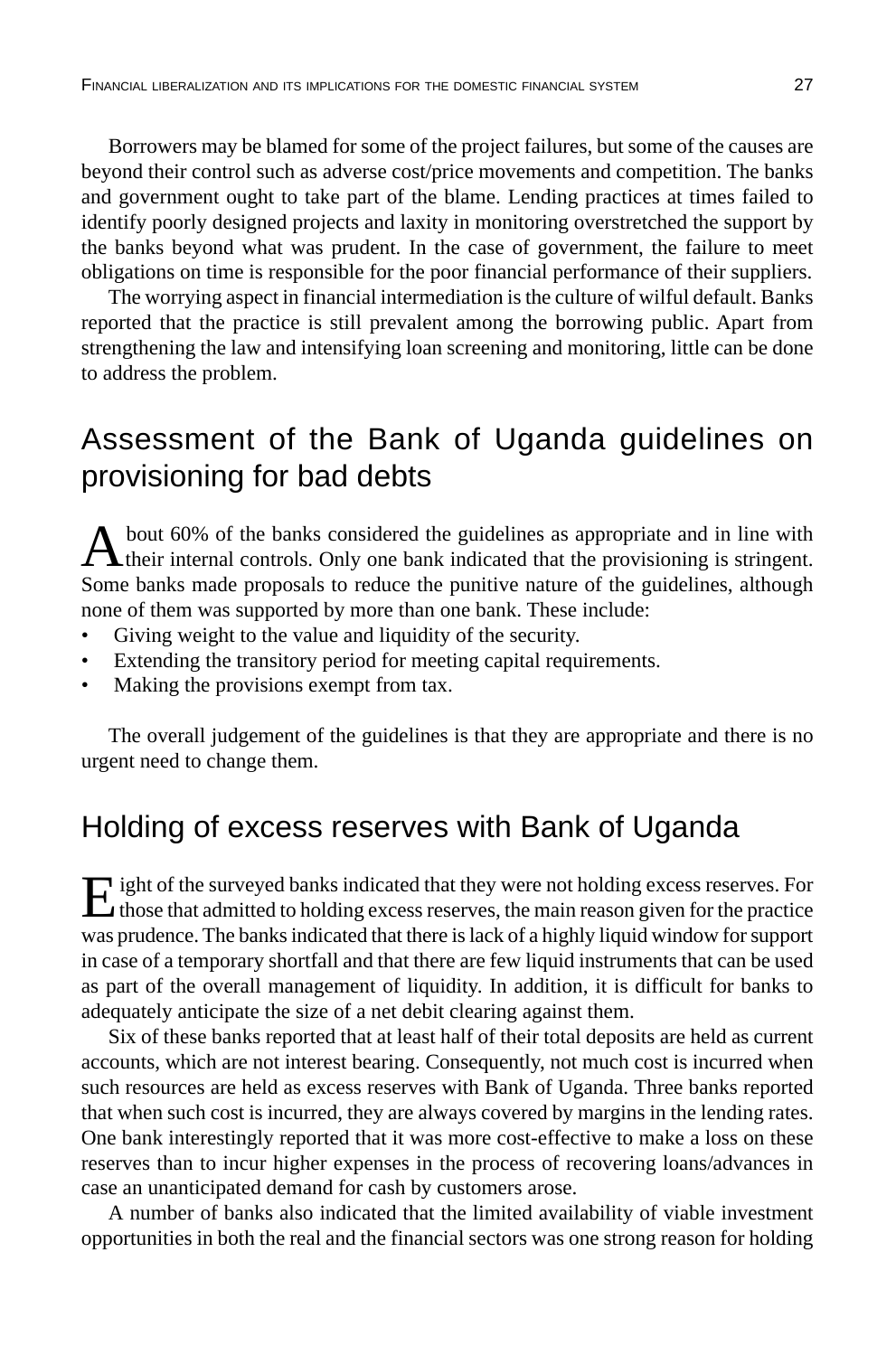Borrowers may be blamed for some of the project failures, but some of the causes are beyond their control such as adverse cost/price movements and competition. The banks and government ought to take part of the blame. Lending practices at times failed to identify poorly designed projects and laxity in monitoring overstretched the support by the banks beyond what was prudent. In the case of government, the failure to meet obligations on time is responsible for the poor financial performance of their suppliers.

The worrying aspect in financial intermediation is the culture of wilful default. Banks reported that the practice is still prevalent among the borrowing public. Apart from strengthening the law and intensifying loan screening and monitoring, little can be done to address the problem.

## Assessment of the Bank of Uganda guidelines on provisioning for bad debts

A bout 60% of the banks considered the guidelines as appropriate and in line with their internal controls. Only one bank indicated that the provisioning is stringent. Some banks made proposals to reduce the punitive nature of the guidelines, although none of them was supported by more than one bank. These include:

- Giving weight to the value and liquidity of the security.
- Extending the transitory period for meeting capital requirements.
- Making the provisions exempt from tax.

The overall judgement of the guidelines is that they are appropriate and there is no urgent need to change them.

## Holding of excess reserves with Bank of Uganda

Eight of the surveyed banks indicated that they were not holding excess reserves. For those that admitted to holding excess reserves, the main reason given for the practice was prudence. The banks indicated that there is lack of a highly liquid window for support in case of a temporary shortfall and that there are few liquid instruments that can be used as part of the overall management of liquidity. In addition, it is difficult for banks to adequately anticipate the size of a net debit clearing against them.

Six of these banks reported that at least half of their total deposits are held as current accounts, which are not interest bearing. Consequently, not much cost is incurred when such resources are held as excess reserves with Bank of Uganda. Three banks reported that when such cost is incurred, they are always covered by margins in the lending rates. One bank interestingly reported that it was more cost-effective to make a loss on these reserves than to incur higher expenses in the process of recovering loans/advances in case an unanticipated demand for cash by customers arose.

A number of banks also indicated that the limited availability of viable investment opportunities in both the real and the financial sectors was one strong reason for holding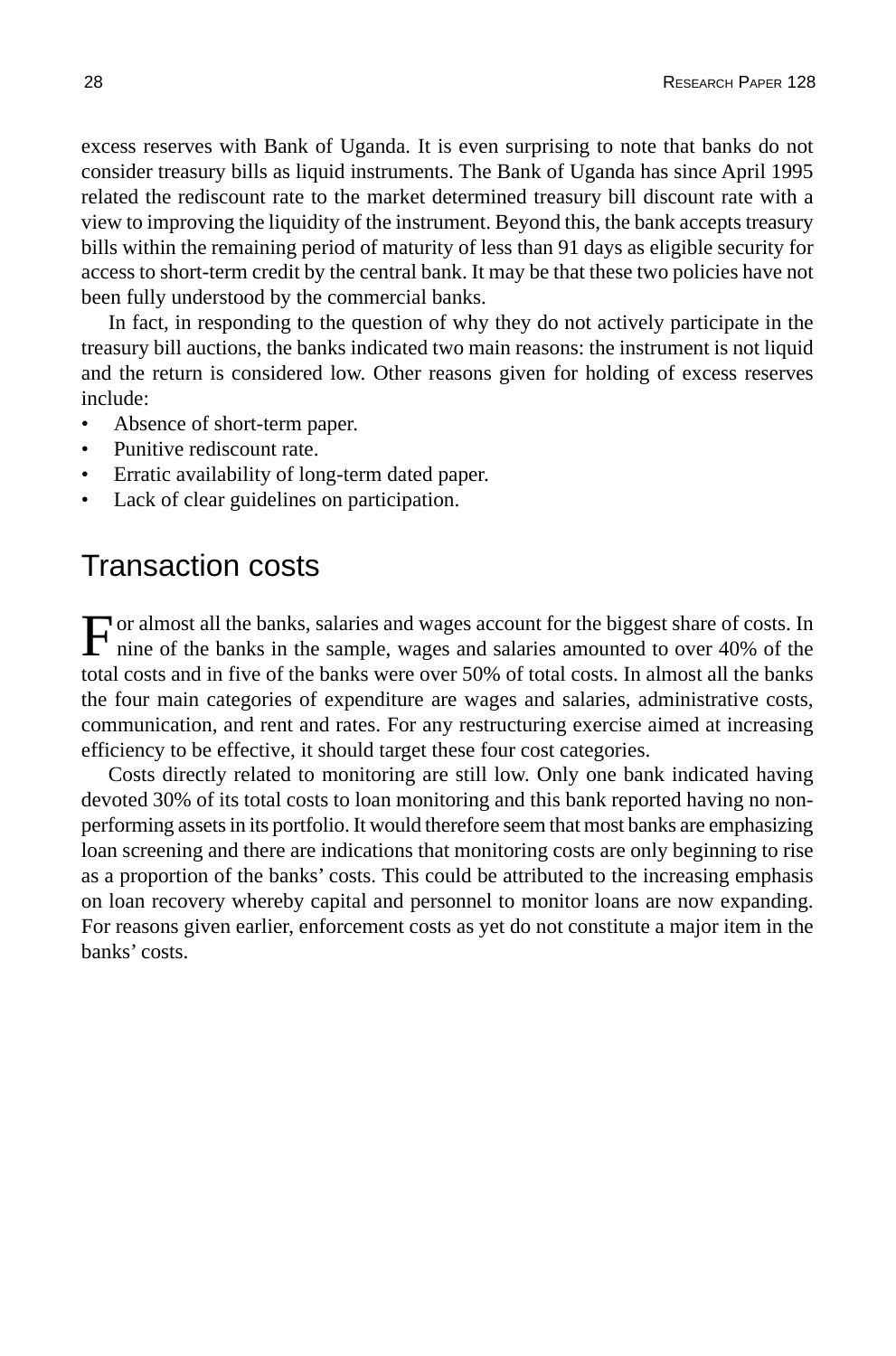excess reserves with Bank of Uganda. It is even surprising to note that banks do not consider treasury bills as liquid instruments. The Bank of Uganda has since April 1995 related the rediscount rate to the market determined treasury bill discount rate with a view to improving the liquidity of the instrument. Beyond this, the bank accepts treasury bills within the remaining period of maturity of less than 91 days as eligible security for access to short-term credit by the central bank. It may be that these two policies have not been fully understood by the commercial banks.

In fact, in responding to the question of why they do not actively participate in the treasury bill auctions, the banks indicated two main reasons: the instrument is not liquid and the return is considered low. Other reasons given for holding of excess reserves include:

- Absence of short-term paper.
- Punitive rediscount rate.
- Erratic availability of long-term dated paper.
- Lack of clear guidelines on participation.

## Transaction costs

For almost all the banks, salaries and wages account for the biggest share of costs. In nine of the banks in the sample, wages and salaries amounted to over 40% of the total costs and in five of the banks were over 50% of total costs. In almost all the banks the four main categories of expenditure are wages and salaries, administrative costs, communication, and rent and rates. For any restructuring exercise aimed at increasing efficiency to be effective, it should target these four cost categories.

Costs directly related to monitoring are still low. Only one bank indicated having devoted 30% of its total costs to loan monitoring and this bank reported having no nonperforming assets in its portfolio. It would therefore seem that most banks are emphasizing loan screening and there are indications that monitoring costs are only beginning to rise as a proportion of the banks' costs. This could be attributed to the increasing emphasis on loan recovery whereby capital and personnel to monitor loans are now expanding. For reasons given earlier, enforcement costs as yet do not constitute a major item in the banks' costs.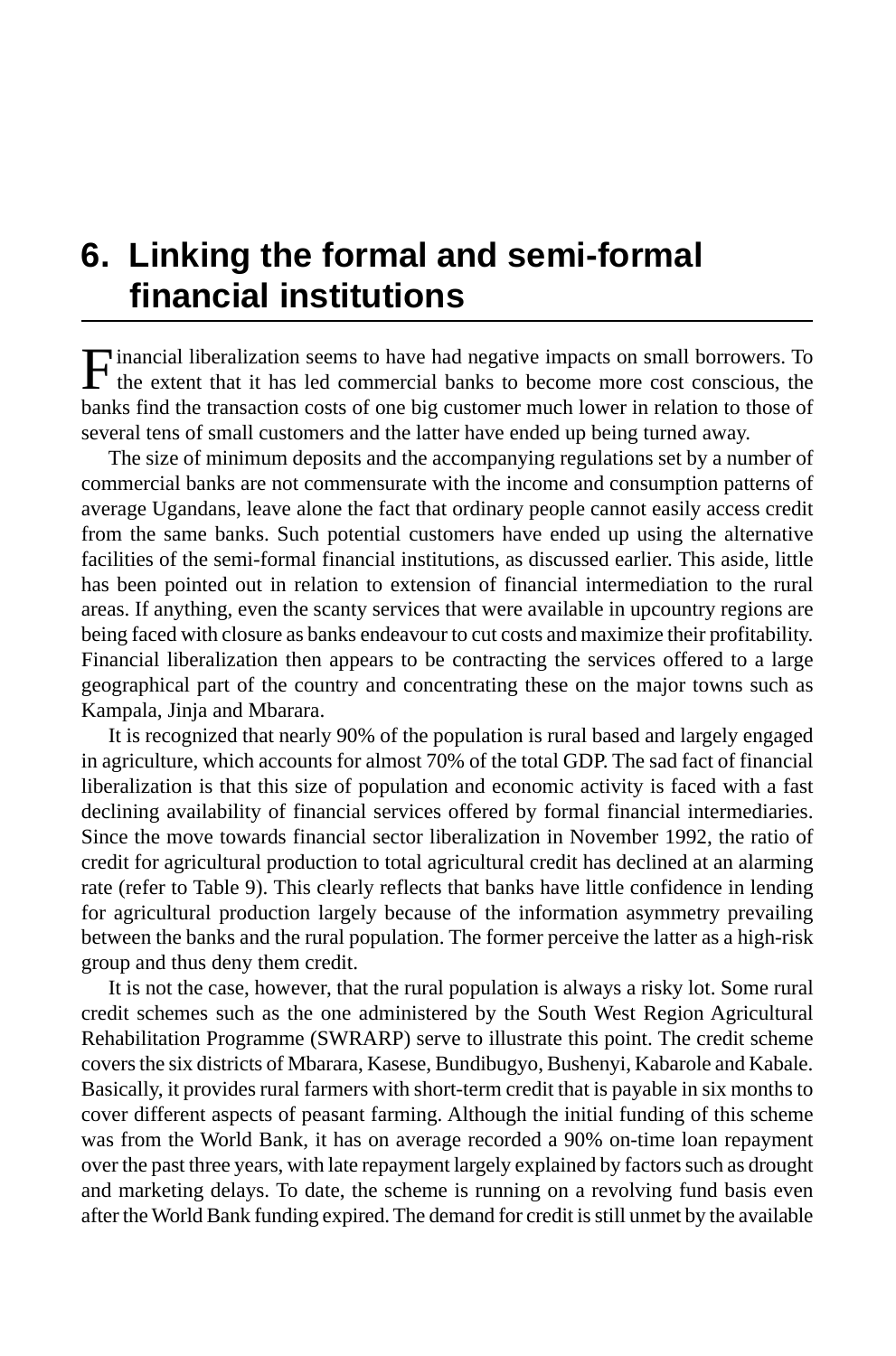# **6. Linking the formal and semi-formal financial institutions**

Financial liberalization seems to have had negative impacts on small borrowers. To the extent that it has led commercial banks to become more cost conscious, the banks find the transaction costs of one big customer much lower in relation to those of several tens of small customers and the latter have ended up being turned away.

The size of minimum deposits and the accompanying regulations set by a number of commercial banks are not commensurate with the income and consumption patterns of average Ugandans, leave alone the fact that ordinary people cannot easily access credit from the same banks. Such potential customers have ended up using the alternative facilities of the semi-formal financial institutions, as discussed earlier. This aside, little has been pointed out in relation to extension of financial intermediation to the rural areas. If anything, even the scanty services that were available in upcountry regions are being faced with closure as banks endeavour to cut costs and maximize their profitability. Financial liberalization then appears to be contracting the services offered to a large geographical part of the country and concentrating these on the major towns such as Kampala, Jinja and Mbarara.

It is recognized that nearly 90% of the population is rural based and largely engaged in agriculture, which accounts for almost 70% of the total GDP. The sad fact of financial liberalization is that this size of population and economic activity is faced with a fast declining availability of financial services offered by formal financial intermediaries. Since the move towards financial sector liberalization in November 1992, the ratio of credit for agricultural production to total agricultural credit has declined at an alarming rate (refer to Table 9). This clearly reflects that banks have little confidence in lending for agricultural production largely because of the information asymmetry prevailing between the banks and the rural population. The former perceive the latter as a high-risk group and thus deny them credit.

It is not the case, however, that the rural population is always a risky lot. Some rural credit schemes such as the one administered by the South West Region Agricultural Rehabilitation Programme (SWRARP) serve to illustrate this point. The credit scheme covers the six districts of Mbarara, Kasese, Bundibugyo, Bushenyi, Kabarole and Kabale. Basically, it provides rural farmers with short-term credit that is payable in six months to cover different aspects of peasant farming. Although the initial funding of this scheme was from the World Bank, it has on average recorded a 90% on-time loan repayment over the past three years, with late repayment largely explained by factors such as drought and marketing delays. To date, the scheme is running on a revolving fund basis even after the World Bank funding expired. The demand for credit is still unmet by the available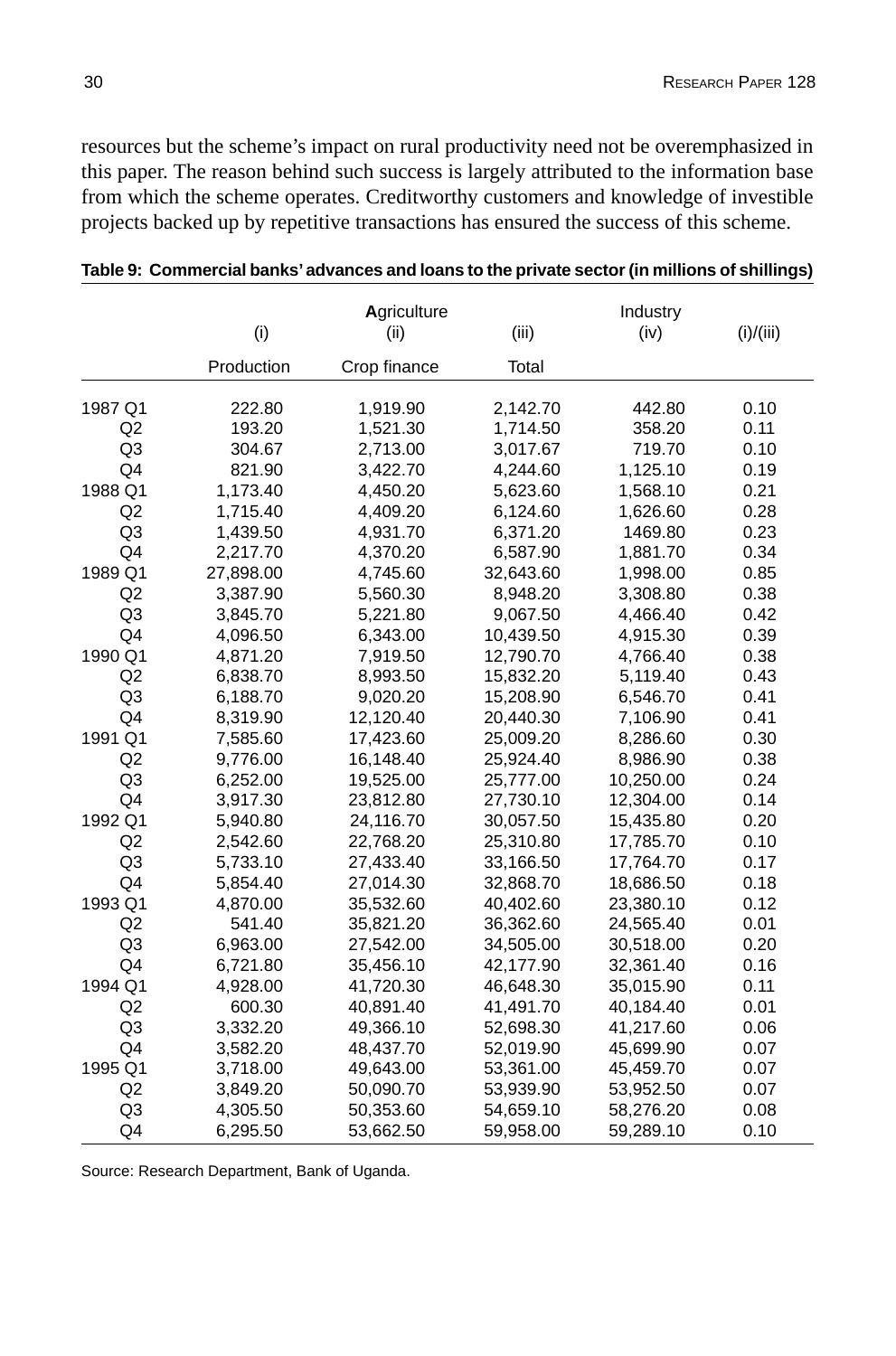resources but the scheme's impact on rural productivity need not be overemphasized in this paper. The reason behind such success is largely attributed to the information base from which the scheme operates. Creditworthy customers and knowledge of investible projects backed up by repetitive transactions has ensured the success of this scheme.

| (i)<br>(iii)<br>(i)/(iii)<br>(ii)<br>(iv)<br>Production<br>Crop finance<br>Total<br>1987 Q1<br>2,142.70<br>442.80<br>0.10<br>222.80<br>1,919.90<br>Q2<br>193.20<br>1,521.30<br>1,714.50<br>358.20<br>0.11<br>Q <sub>3</sub><br>719.70<br>0.10<br>304.67<br>2,713.00<br>3,017.67<br>Q <sub>4</sub><br>821.90<br>4,244.60<br>1,125.10<br>3,422.70<br>0.19<br>1988 Q1<br>1,173.40<br>5,623.60<br>1,568.10<br>0.21<br>4,450.20<br>Q2<br>1,715.40<br>4,409.20<br>6,124.60<br>1,626.60<br>0.28<br>Q <sub>3</sub><br>1,439.50<br>4,931.70<br>6,371.20<br>1469.80<br>0.23<br>Q4<br>2,217.70<br>4,370.20<br>6,587.90<br>0.34<br>1,881.70<br>1989 Q1<br>27,898.00<br>4,745.60<br>32,643.60<br>0.85<br>1,998.00<br>Q2<br>3,387.90<br>0.38<br>5,560.30<br>8,948.20<br>3,308.80<br>Q <sub>3</sub><br>5,221.80<br>9,067.50<br>4,466.40<br>0.42<br>3,845.70<br>Q <sub>4</sub><br>4,096.50<br>6,343.00<br>10,439.50<br>0.39<br>4,915.30<br>1990 Q1<br>4,871.20<br>7,919.50<br>12,790.70<br>0.38<br>4,766.40<br>Q2<br>6,838.70<br>8,993.50<br>15,832.20<br>5,119.40<br>0.43<br>Q <sub>3</sub><br>0.41<br>6,188.70<br>9,020.20<br>15,208.90<br>6,546.70<br>Q <sub>4</sub><br>8,319.90<br>12,120.40<br>20,440.30<br>0.41<br>7,106.90<br>1991 Q1<br>7,585.60<br>17,423.60<br>25,009.20<br>8,286.60<br>0.30<br>Q2<br>0.38<br>9,776.00<br>16,148.40<br>25,924.40<br>8,986.90<br>Q <sub>3</sub><br>6,252.00<br>19,525.00<br>25,777.00<br>0.24<br>10,250.00<br>Q4<br>3,917.30<br>23,812.80<br>27,730.10<br>12,304.00<br>0.14<br>1992 Q1<br>5,940.80<br>24,116.70<br>30,057.50<br>15,435.80<br>0.20<br>Q2<br>2,542.60<br>22,768.20<br>25,310.80<br>17,785.70<br>0.10<br>Q <sub>3</sub><br>5,733.10<br>27,433.40<br>33,166.50<br>17,764.70<br>0.17<br>Q4<br>5,854.40<br>27,014.30<br>18,686.50<br>0.18<br>32,868.70<br>1993 Q1<br>23,380.10<br>0.12<br>4,870.00<br>35,532.60<br>40,402.60<br>Q2<br>541.40<br>35,821.20<br>36,362.60<br>24,565.40<br>0.01<br>Q <sub>3</sub><br>6,963.00<br>27,542.00<br>34,505.00<br>30,518.00<br>0.20<br>Q <sub>4</sub><br>0.16<br>6,721.80<br>35,456.10<br>42,177.90<br>32,361.40<br>1994 Q1<br>4,928.00<br>41,720.30<br>46,648.30<br>35,015.90<br>0.11 |    | Agriculture |           |           | Industry  |      |
|----------------------------------------------------------------------------------------------------------------------------------------------------------------------------------------------------------------------------------------------------------------------------------------------------------------------------------------------------------------------------------------------------------------------------------------------------------------------------------------------------------------------------------------------------------------------------------------------------------------------------------------------------------------------------------------------------------------------------------------------------------------------------------------------------------------------------------------------------------------------------------------------------------------------------------------------------------------------------------------------------------------------------------------------------------------------------------------------------------------------------------------------------------------------------------------------------------------------------------------------------------------------------------------------------------------------------------------------------------------------------------------------------------------------------------------------------------------------------------------------------------------------------------------------------------------------------------------------------------------------------------------------------------------------------------------------------------------------------------------------------------------------------------------------------------------------------------------------------------------------------------------------------------------------------------------------------------------------------------------------------------------------------------------------------------------------------------------------------------------------------------------------------------------|----|-------------|-----------|-----------|-----------|------|
|                                                                                                                                                                                                                                                                                                                                                                                                                                                                                                                                                                                                                                                                                                                                                                                                                                                                                                                                                                                                                                                                                                                                                                                                                                                                                                                                                                                                                                                                                                                                                                                                                                                                                                                                                                                                                                                                                                                                                                                                                                                                                                                                                                |    |             |           |           |           |      |
|                                                                                                                                                                                                                                                                                                                                                                                                                                                                                                                                                                                                                                                                                                                                                                                                                                                                                                                                                                                                                                                                                                                                                                                                                                                                                                                                                                                                                                                                                                                                                                                                                                                                                                                                                                                                                                                                                                                                                                                                                                                                                                                                                                |    |             |           |           |           |      |
|                                                                                                                                                                                                                                                                                                                                                                                                                                                                                                                                                                                                                                                                                                                                                                                                                                                                                                                                                                                                                                                                                                                                                                                                                                                                                                                                                                                                                                                                                                                                                                                                                                                                                                                                                                                                                                                                                                                                                                                                                                                                                                                                                                |    |             |           |           |           |      |
|                                                                                                                                                                                                                                                                                                                                                                                                                                                                                                                                                                                                                                                                                                                                                                                                                                                                                                                                                                                                                                                                                                                                                                                                                                                                                                                                                                                                                                                                                                                                                                                                                                                                                                                                                                                                                                                                                                                                                                                                                                                                                                                                                                |    |             |           |           |           |      |
|                                                                                                                                                                                                                                                                                                                                                                                                                                                                                                                                                                                                                                                                                                                                                                                                                                                                                                                                                                                                                                                                                                                                                                                                                                                                                                                                                                                                                                                                                                                                                                                                                                                                                                                                                                                                                                                                                                                                                                                                                                                                                                                                                                |    |             |           |           |           |      |
|                                                                                                                                                                                                                                                                                                                                                                                                                                                                                                                                                                                                                                                                                                                                                                                                                                                                                                                                                                                                                                                                                                                                                                                                                                                                                                                                                                                                                                                                                                                                                                                                                                                                                                                                                                                                                                                                                                                                                                                                                                                                                                                                                                |    |             |           |           |           |      |
|                                                                                                                                                                                                                                                                                                                                                                                                                                                                                                                                                                                                                                                                                                                                                                                                                                                                                                                                                                                                                                                                                                                                                                                                                                                                                                                                                                                                                                                                                                                                                                                                                                                                                                                                                                                                                                                                                                                                                                                                                                                                                                                                                                |    |             |           |           |           |      |
|                                                                                                                                                                                                                                                                                                                                                                                                                                                                                                                                                                                                                                                                                                                                                                                                                                                                                                                                                                                                                                                                                                                                                                                                                                                                                                                                                                                                                                                                                                                                                                                                                                                                                                                                                                                                                                                                                                                                                                                                                                                                                                                                                                |    |             |           |           |           |      |
|                                                                                                                                                                                                                                                                                                                                                                                                                                                                                                                                                                                                                                                                                                                                                                                                                                                                                                                                                                                                                                                                                                                                                                                                                                                                                                                                                                                                                                                                                                                                                                                                                                                                                                                                                                                                                                                                                                                                                                                                                                                                                                                                                                |    |             |           |           |           |      |
|                                                                                                                                                                                                                                                                                                                                                                                                                                                                                                                                                                                                                                                                                                                                                                                                                                                                                                                                                                                                                                                                                                                                                                                                                                                                                                                                                                                                                                                                                                                                                                                                                                                                                                                                                                                                                                                                                                                                                                                                                                                                                                                                                                |    |             |           |           |           |      |
|                                                                                                                                                                                                                                                                                                                                                                                                                                                                                                                                                                                                                                                                                                                                                                                                                                                                                                                                                                                                                                                                                                                                                                                                                                                                                                                                                                                                                                                                                                                                                                                                                                                                                                                                                                                                                                                                                                                                                                                                                                                                                                                                                                |    |             |           |           |           |      |
|                                                                                                                                                                                                                                                                                                                                                                                                                                                                                                                                                                                                                                                                                                                                                                                                                                                                                                                                                                                                                                                                                                                                                                                                                                                                                                                                                                                                                                                                                                                                                                                                                                                                                                                                                                                                                                                                                                                                                                                                                                                                                                                                                                |    |             |           |           |           |      |
|                                                                                                                                                                                                                                                                                                                                                                                                                                                                                                                                                                                                                                                                                                                                                                                                                                                                                                                                                                                                                                                                                                                                                                                                                                                                                                                                                                                                                                                                                                                                                                                                                                                                                                                                                                                                                                                                                                                                                                                                                                                                                                                                                                |    |             |           |           |           |      |
|                                                                                                                                                                                                                                                                                                                                                                                                                                                                                                                                                                                                                                                                                                                                                                                                                                                                                                                                                                                                                                                                                                                                                                                                                                                                                                                                                                                                                                                                                                                                                                                                                                                                                                                                                                                                                                                                                                                                                                                                                                                                                                                                                                |    |             |           |           |           |      |
|                                                                                                                                                                                                                                                                                                                                                                                                                                                                                                                                                                                                                                                                                                                                                                                                                                                                                                                                                                                                                                                                                                                                                                                                                                                                                                                                                                                                                                                                                                                                                                                                                                                                                                                                                                                                                                                                                                                                                                                                                                                                                                                                                                |    |             |           |           |           |      |
|                                                                                                                                                                                                                                                                                                                                                                                                                                                                                                                                                                                                                                                                                                                                                                                                                                                                                                                                                                                                                                                                                                                                                                                                                                                                                                                                                                                                                                                                                                                                                                                                                                                                                                                                                                                                                                                                                                                                                                                                                                                                                                                                                                |    |             |           |           |           |      |
|                                                                                                                                                                                                                                                                                                                                                                                                                                                                                                                                                                                                                                                                                                                                                                                                                                                                                                                                                                                                                                                                                                                                                                                                                                                                                                                                                                                                                                                                                                                                                                                                                                                                                                                                                                                                                                                                                                                                                                                                                                                                                                                                                                |    |             |           |           |           |      |
|                                                                                                                                                                                                                                                                                                                                                                                                                                                                                                                                                                                                                                                                                                                                                                                                                                                                                                                                                                                                                                                                                                                                                                                                                                                                                                                                                                                                                                                                                                                                                                                                                                                                                                                                                                                                                                                                                                                                                                                                                                                                                                                                                                |    |             |           |           |           |      |
|                                                                                                                                                                                                                                                                                                                                                                                                                                                                                                                                                                                                                                                                                                                                                                                                                                                                                                                                                                                                                                                                                                                                                                                                                                                                                                                                                                                                                                                                                                                                                                                                                                                                                                                                                                                                                                                                                                                                                                                                                                                                                                                                                                |    |             |           |           |           |      |
|                                                                                                                                                                                                                                                                                                                                                                                                                                                                                                                                                                                                                                                                                                                                                                                                                                                                                                                                                                                                                                                                                                                                                                                                                                                                                                                                                                                                                                                                                                                                                                                                                                                                                                                                                                                                                                                                                                                                                                                                                                                                                                                                                                |    |             |           |           |           |      |
|                                                                                                                                                                                                                                                                                                                                                                                                                                                                                                                                                                                                                                                                                                                                                                                                                                                                                                                                                                                                                                                                                                                                                                                                                                                                                                                                                                                                                                                                                                                                                                                                                                                                                                                                                                                                                                                                                                                                                                                                                                                                                                                                                                |    |             |           |           |           |      |
|                                                                                                                                                                                                                                                                                                                                                                                                                                                                                                                                                                                                                                                                                                                                                                                                                                                                                                                                                                                                                                                                                                                                                                                                                                                                                                                                                                                                                                                                                                                                                                                                                                                                                                                                                                                                                                                                                                                                                                                                                                                                                                                                                                |    |             |           |           |           |      |
|                                                                                                                                                                                                                                                                                                                                                                                                                                                                                                                                                                                                                                                                                                                                                                                                                                                                                                                                                                                                                                                                                                                                                                                                                                                                                                                                                                                                                                                                                                                                                                                                                                                                                                                                                                                                                                                                                                                                                                                                                                                                                                                                                                |    |             |           |           |           |      |
|                                                                                                                                                                                                                                                                                                                                                                                                                                                                                                                                                                                                                                                                                                                                                                                                                                                                                                                                                                                                                                                                                                                                                                                                                                                                                                                                                                                                                                                                                                                                                                                                                                                                                                                                                                                                                                                                                                                                                                                                                                                                                                                                                                |    |             |           |           |           |      |
|                                                                                                                                                                                                                                                                                                                                                                                                                                                                                                                                                                                                                                                                                                                                                                                                                                                                                                                                                                                                                                                                                                                                                                                                                                                                                                                                                                                                                                                                                                                                                                                                                                                                                                                                                                                                                                                                                                                                                                                                                                                                                                                                                                |    |             |           |           |           |      |
|                                                                                                                                                                                                                                                                                                                                                                                                                                                                                                                                                                                                                                                                                                                                                                                                                                                                                                                                                                                                                                                                                                                                                                                                                                                                                                                                                                                                                                                                                                                                                                                                                                                                                                                                                                                                                                                                                                                                                                                                                                                                                                                                                                |    |             |           |           |           |      |
|                                                                                                                                                                                                                                                                                                                                                                                                                                                                                                                                                                                                                                                                                                                                                                                                                                                                                                                                                                                                                                                                                                                                                                                                                                                                                                                                                                                                                                                                                                                                                                                                                                                                                                                                                                                                                                                                                                                                                                                                                                                                                                                                                                |    |             |           |           |           |      |
|                                                                                                                                                                                                                                                                                                                                                                                                                                                                                                                                                                                                                                                                                                                                                                                                                                                                                                                                                                                                                                                                                                                                                                                                                                                                                                                                                                                                                                                                                                                                                                                                                                                                                                                                                                                                                                                                                                                                                                                                                                                                                                                                                                |    |             |           |           |           |      |
|                                                                                                                                                                                                                                                                                                                                                                                                                                                                                                                                                                                                                                                                                                                                                                                                                                                                                                                                                                                                                                                                                                                                                                                                                                                                                                                                                                                                                                                                                                                                                                                                                                                                                                                                                                                                                                                                                                                                                                                                                                                                                                                                                                |    |             |           |           |           |      |
|                                                                                                                                                                                                                                                                                                                                                                                                                                                                                                                                                                                                                                                                                                                                                                                                                                                                                                                                                                                                                                                                                                                                                                                                                                                                                                                                                                                                                                                                                                                                                                                                                                                                                                                                                                                                                                                                                                                                                                                                                                                                                                                                                                |    |             |           |           |           |      |
|                                                                                                                                                                                                                                                                                                                                                                                                                                                                                                                                                                                                                                                                                                                                                                                                                                                                                                                                                                                                                                                                                                                                                                                                                                                                                                                                                                                                                                                                                                                                                                                                                                                                                                                                                                                                                                                                                                                                                                                                                                                                                                                                                                |    |             |           |           |           |      |
|                                                                                                                                                                                                                                                                                                                                                                                                                                                                                                                                                                                                                                                                                                                                                                                                                                                                                                                                                                                                                                                                                                                                                                                                                                                                                                                                                                                                                                                                                                                                                                                                                                                                                                                                                                                                                                                                                                                                                                                                                                                                                                                                                                | Q2 | 600.30      | 40,891.40 | 41,491.70 | 40,184.40 | 0.01 |
| Q <sub>3</sub><br>3,332.20<br>49,366.10<br>52,698.30<br>41,217.60<br>0.06                                                                                                                                                                                                                                                                                                                                                                                                                                                                                                                                                                                                                                                                                                                                                                                                                                                                                                                                                                                                                                                                                                                                                                                                                                                                                                                                                                                                                                                                                                                                                                                                                                                                                                                                                                                                                                                                                                                                                                                                                                                                                      |    |             |           |           |           |      |
| Q <sub>4</sub><br>3,582.20<br>0.07<br>48,437.70<br>52,019.90<br>45,699.90                                                                                                                                                                                                                                                                                                                                                                                                                                                                                                                                                                                                                                                                                                                                                                                                                                                                                                                                                                                                                                                                                                                                                                                                                                                                                                                                                                                                                                                                                                                                                                                                                                                                                                                                                                                                                                                                                                                                                                                                                                                                                      |    |             |           |           |           |      |
| 1995 Q1<br>3,718.00<br>49,643.00<br>53,361.00<br>45,459.70<br>0.07                                                                                                                                                                                                                                                                                                                                                                                                                                                                                                                                                                                                                                                                                                                                                                                                                                                                                                                                                                                                                                                                                                                                                                                                                                                                                                                                                                                                                                                                                                                                                                                                                                                                                                                                                                                                                                                                                                                                                                                                                                                                                             |    |             |           |           |           |      |
| Q2<br>3,849.20<br>50,090.70<br>53,939.90<br>53,952.50<br>0.07                                                                                                                                                                                                                                                                                                                                                                                                                                                                                                                                                                                                                                                                                                                                                                                                                                                                                                                                                                                                                                                                                                                                                                                                                                                                                                                                                                                                                                                                                                                                                                                                                                                                                                                                                                                                                                                                                                                                                                                                                                                                                                  |    |             |           |           |           |      |
| Q <sub>3</sub><br>4,305.50<br>50,353.60<br>54,659.10<br>58,276.20<br>0.08                                                                                                                                                                                                                                                                                                                                                                                                                                                                                                                                                                                                                                                                                                                                                                                                                                                                                                                                                                                                                                                                                                                                                                                                                                                                                                                                                                                                                                                                                                                                                                                                                                                                                                                                                                                                                                                                                                                                                                                                                                                                                      |    |             |           |           |           |      |
| Q4<br>6,295.50<br>53,662.50<br>0.10<br>59,958.00<br>59,289.10                                                                                                                                                                                                                                                                                                                                                                                                                                                                                                                                                                                                                                                                                                                                                                                                                                                                                                                                                                                                                                                                                                                                                                                                                                                                                                                                                                                                                                                                                                                                                                                                                                                                                                                                                                                                                                                                                                                                                                                                                                                                                                  |    |             |           |           |           |      |

**Table 9: Commercial banks' advances and loans to the private sector (in millions of shillings)**

Source: Research Department, Bank of Uganda.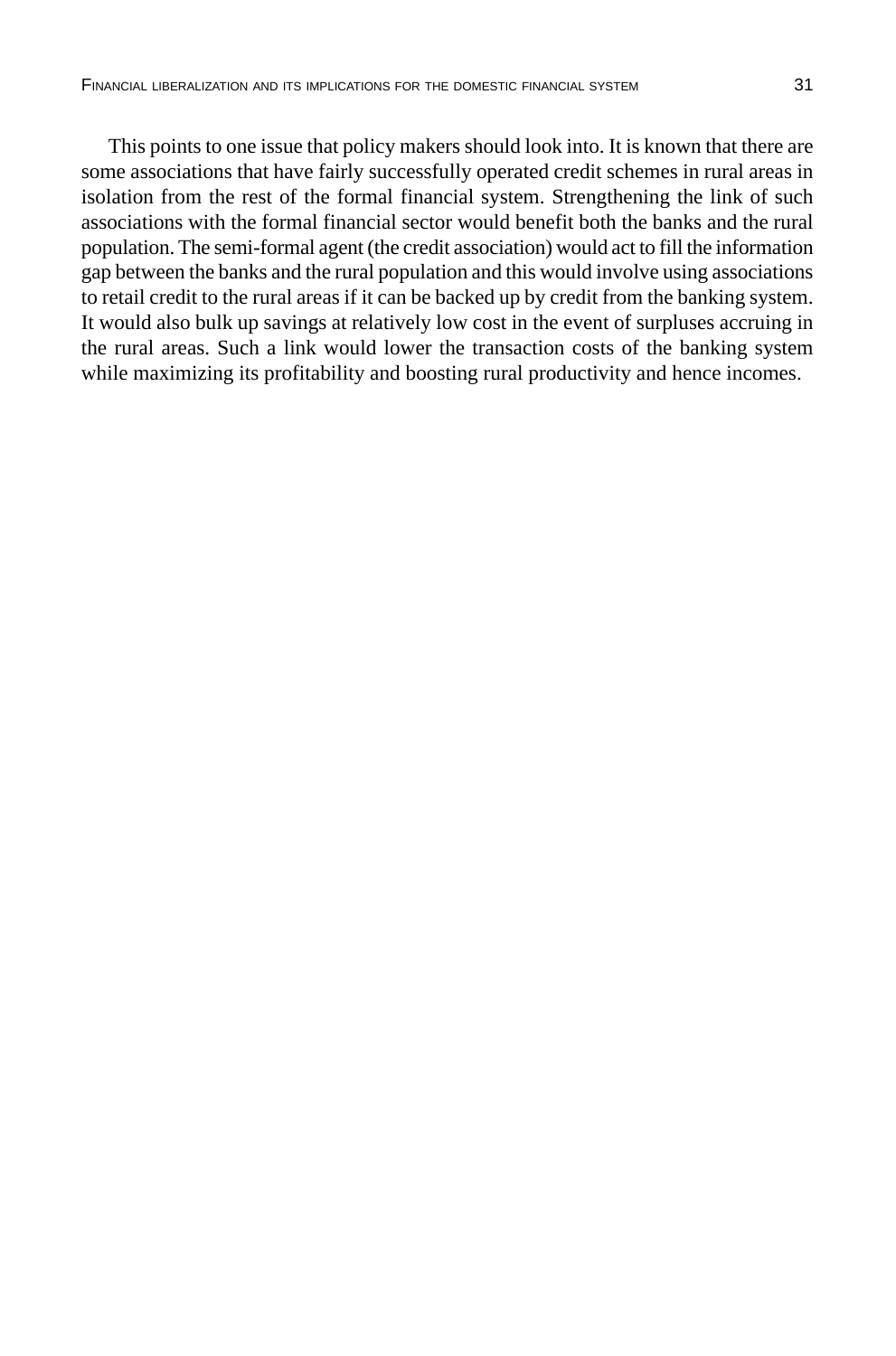This points to one issue that policy makers should look into. It is known that there are some associations that have fairly successfully operated credit schemes in rural areas in isolation from the rest of the formal financial system. Strengthening the link of such associations with the formal financial sector would benefit both the banks and the rural population. The semi-formal agent (the credit association) would act to fill the information gap between the banks and the rural population and this would involve using associations to retail credit to the rural areas if it can be backed up by credit from the banking system. It would also bulk up savings at relatively low cost in the event of surpluses accruing in the rural areas. Such a link would lower the transaction costs of the banking system while maximizing its profitability and boosting rural productivity and hence incomes.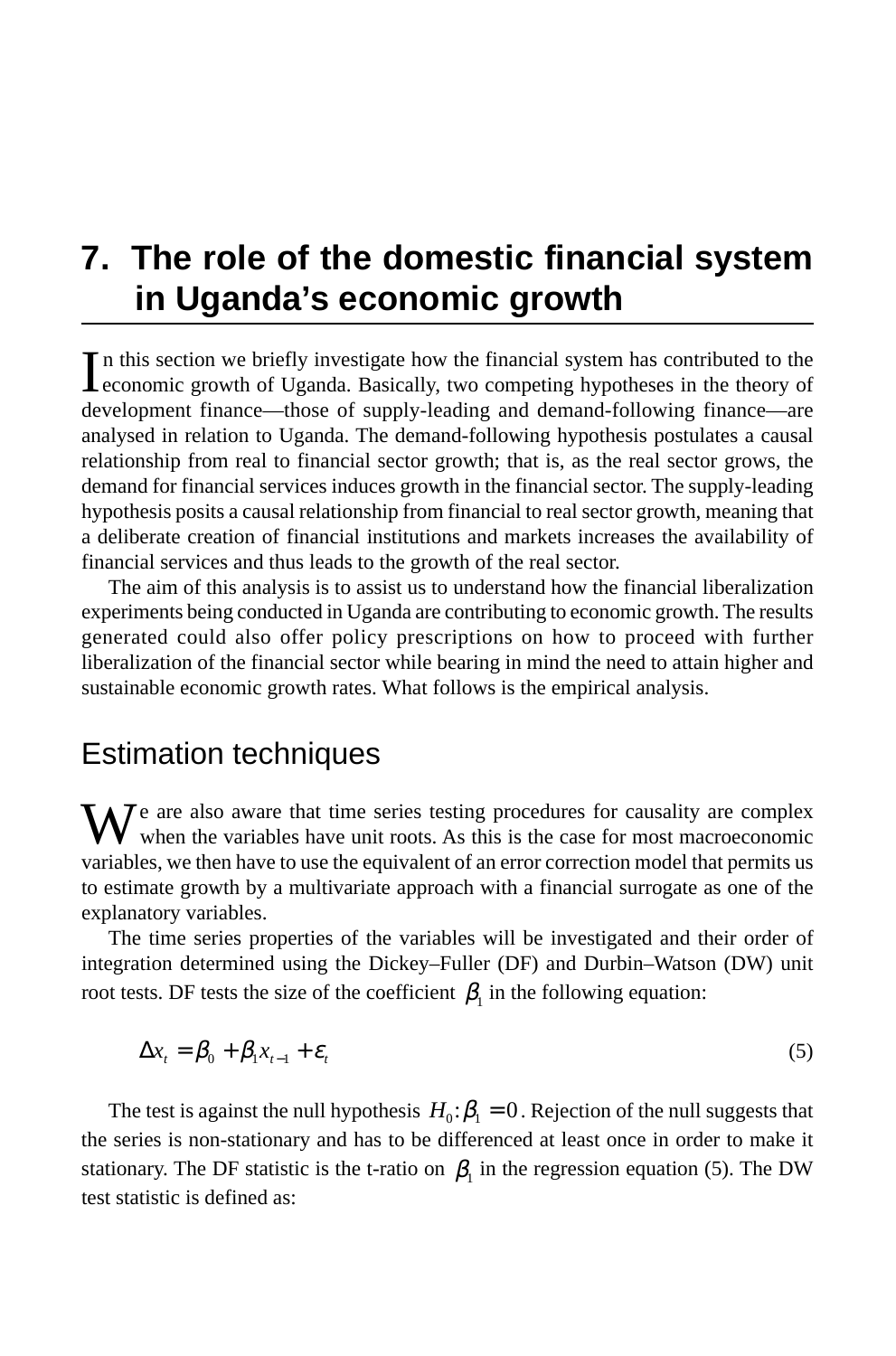# **7. The role of the domestic financial system in Uganda's economic growth**

In this section we briefly investigate how the financial system has contributed to the economic growth of Uganda. Basically, two competing hypotheses in the theory of n this section we briefly investigate how the financial system has contributed to the development finance—those of supply-leading and demand-following finance—are analysed in relation to Uganda. The demand-following hypothesis postulates a causal relationship from real to financial sector growth; that is, as the real sector grows, the demand for financial services induces growth in the financial sector. The supply-leading hypothesis posits a causal relationship from financial to real sector growth, meaning that a deliberate creation of financial institutions and markets increases the availability of financial services and thus leads to the growth of the real sector.

The aim of this analysis is to assist us to understand how the financial liberalization experiments being conducted in Uganda are contributing to economic growth. The results generated could also offer policy prescriptions on how to proceed with further liberalization of the financial sector while bearing in mind the need to attain higher and sustainable economic growth rates. What follows is the empirical analysis.

## Estimation techniques

 $M^e$  are also aware that time series testing procedures for causality are complex when the variables have unit roots. As this is the case for most macroeconomic variables, we then have to use the equivalent of an error correction model that permits us to estimate growth by a multivariate approach with a financial surrogate as one of the explanatory variables.

The time series properties of the variables will be investigated and their order of integration determined using the Dickey–Fuller (DF) and Durbin–Watson (DW) unit root tests. DF tests the size of the coefficient  $\beta_1$  in the following equation:

$$
\Delta x_t = \beta_0 + \beta_1 x_{t-1} + \varepsilon_t \tag{5}
$$

The test is against the null hypothesis  $H_0: \beta_1 = 0$ . Rejection of the null suggests that the series is non-stationary and has to be differenced at least once in order to make it stationary. The DF statistic is the t-ratio on  $\beta_1$  in the regression equation (5). The DW test statistic is defined as: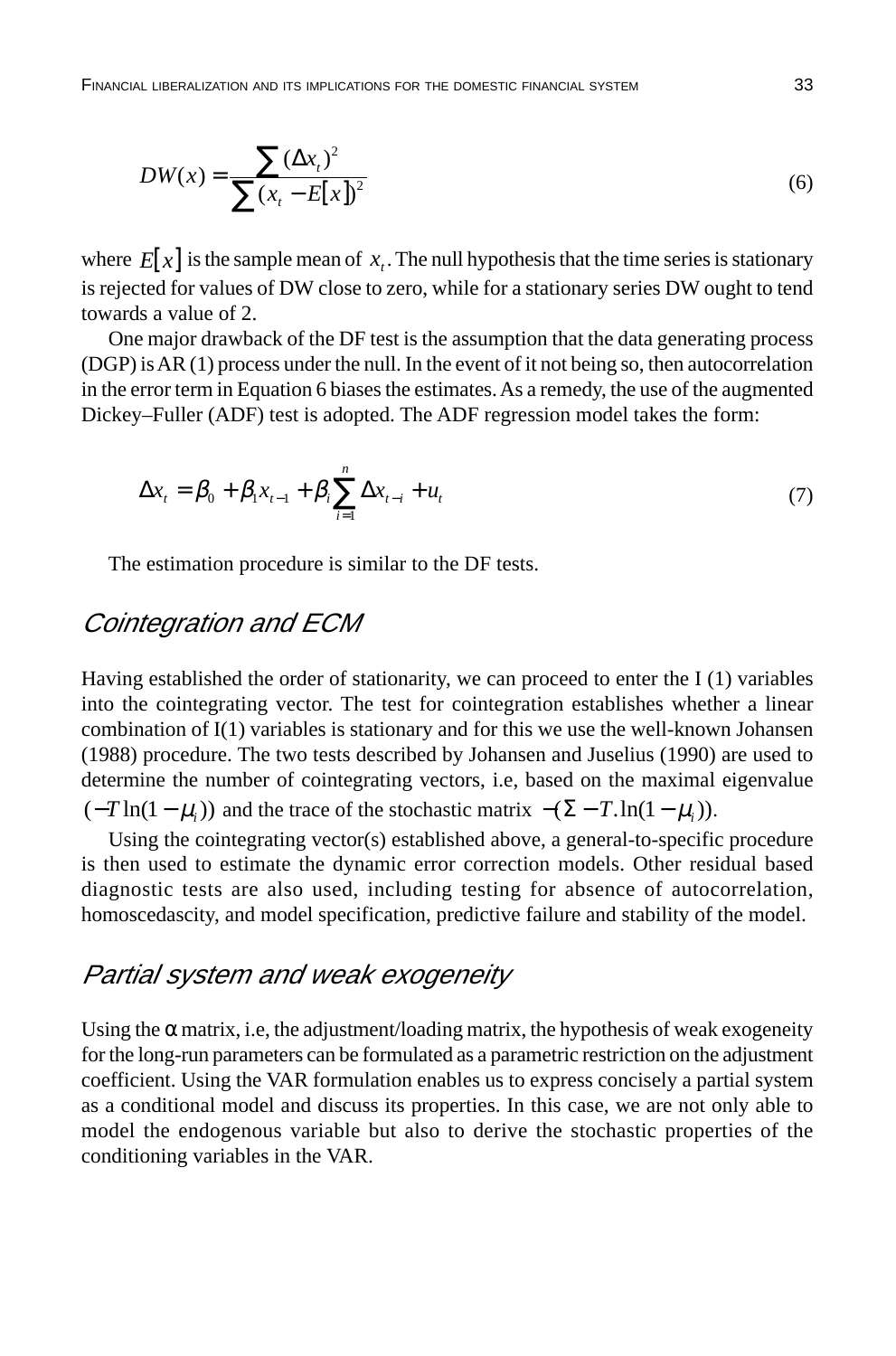$$
DW(x) = \frac{\sum (\Delta x_t)^2}{\sum (x_t - E[x])^2}
$$
 (6)

where  $E[x]$  is the sample mean of  $x_t$ . The null hypothesis that the time series is stationary is rejected for values of DW close to zero, while for a stationary series DW ought to tend towards a value of 2.

One major drawback of the DF test is the assumption that the data generating process (DGP) is AR (1) process under the null. In the event of it not being so, then autocorrelation in the error term in Equation 6 biases the estimates. As a remedy, the use of the augmented Dickey–Fuller (ADF) test is adopted. The ADF regression model takes the form:

$$
\Delta x_{t} = \beta_{0} + \beta_{1} x_{t-1} + \beta_{i} \sum_{i=1}^{n} \Delta x_{t-i} + u_{t}
$$
\n(7)

The estimation procedure is similar to the DF tests.

### Cointegration and ECM

Having established the order of stationarity, we can proceed to enter the I (1) variables into the cointegrating vector. The test for cointegration establishes whether a linear combination of I(1) variables is stationary and for this we use the well-known Johansen (1988) procedure. The two tests described by Johansen and Juselius (1990) are used to determine the number of cointegrating vectors, i.e, based on the maximal eigenvalue  $(-T \ln(1 - \mu_i))$  and the trace of the stochastic matrix  $-(\Sigma - T \ln(1 - \mu_i))$ .

Using the cointegrating vector(s) established above, a general-to-specific procedure is then used to estimate the dynamic error correction models. Other residual based diagnostic tests are also used, including testing for absence of autocorrelation, homoscedascity, and model specification, predictive failure and stability of the model.

### Partial system and weak exogeneity

Using the  $\alpha$  matrix, i.e, the adjustment/loading matrix, the hypothesis of weak exogeneity for the long-run parameters can be formulated as a parametric restriction on the adjustment coefficient. Using the VAR formulation enables us to express concisely a partial system as a conditional model and discuss its properties. In this case, we are not only able to model the endogenous variable but also to derive the stochastic properties of the conditioning variables in the VAR.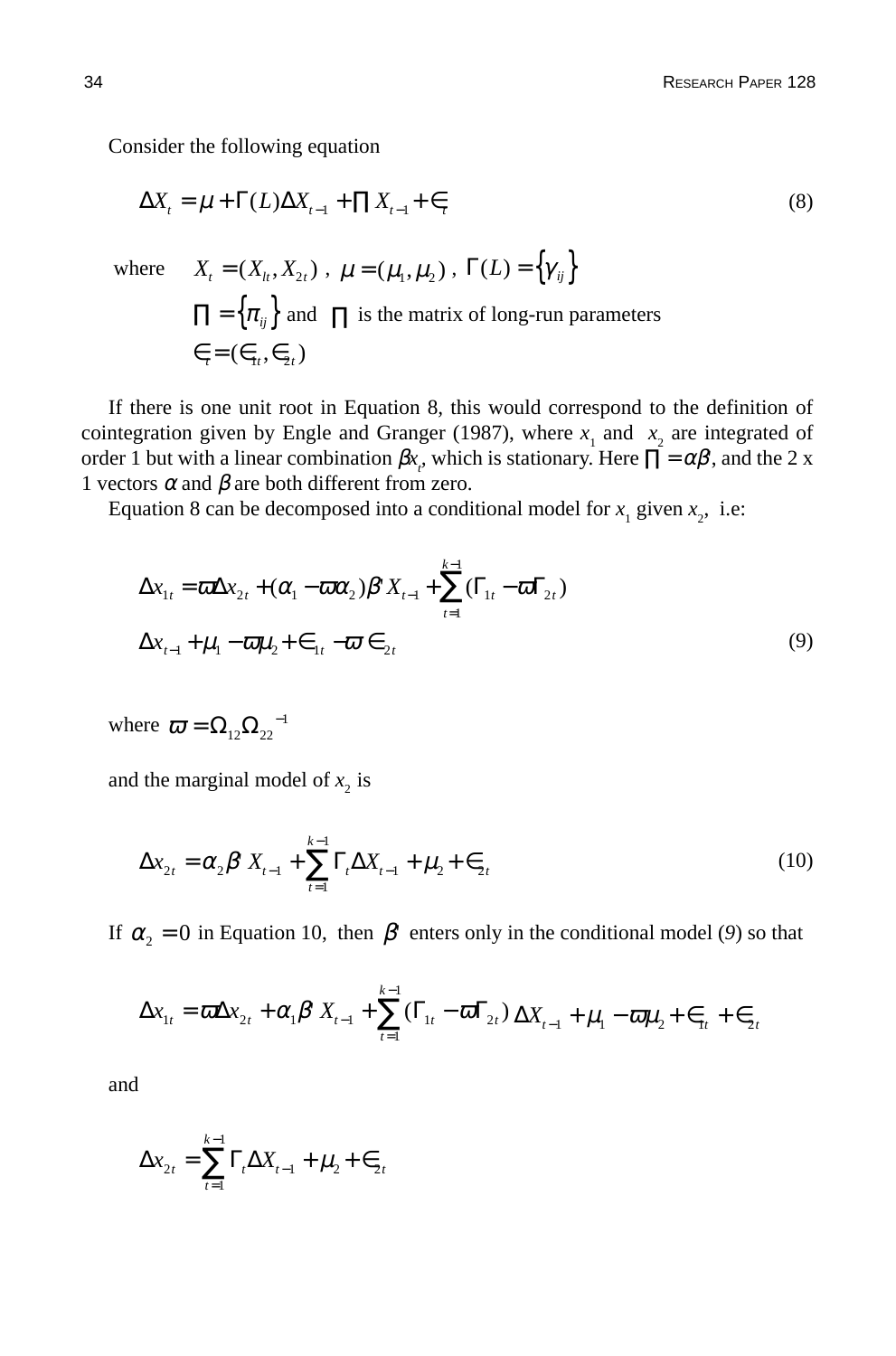Consider the following equation

 $\epsilon_i = (\epsilon_{1i}, \epsilon_{2i})$ 

$$
\Delta X_t = \mu + \Gamma(L)\Delta X_{t-1} + \Pi X_{t-1} + \epsilon_t
$$
\n(8)  
\nwhere  $X_t = (X_t, X_{2t}), \mu = (\mu_1, \mu_2), \Gamma(L) = \{\gamma_{ij}\}$   
\n
$$
\Pi = \{\pi_{ij}\} \text{ and } \Pi \text{ is the matrix of long-run parameters}
$$

If there is one unit root in Equation 8*,* this would correspond to the definition of cointegration given by Engle and Granger (1987), where  $x_1$  and  $x_2$  are integrated of order 1 but with a linear combination  $\beta x_r$ , which is stationary. Here  $\prod = \alpha \beta$ , and the 2 x 1 vectors  $\alpha$  and  $\beta$  are both different from zero.

Equation 8 can be decomposed into a conditional model for  $x_1$  given  $x_2$ , i.e:

$$
\Delta x_{1t} = \overline{\omega} \Delta x_{2t} + (\alpha_1 - \overline{\omega} \alpha_2) \beta^{\dagger} X_{t-1} + \sum_{t=1}^{k-1} (\Gamma_{1t} - \overline{\omega} \Gamma_{2t})
$$
  

$$
\Delta x_{t-1} + \mu_1 - \overline{\omega} \mu_2 + \epsilon_{1t} - \overline{\omega} \epsilon_{2t}
$$
 (9)

where  $\overline{\omega} = \Omega_{12} \Omega_{22}^{-1}$ 

and the marginal model of  $x_2$  is

$$
\Delta x_{2t} = \alpha_2 \beta^{\dagger} X_{t-1} + \sum_{t=1}^{k-1} \Gamma_t \Delta X_{t-1} + \mu_2 + \epsilon_{2t}
$$
 (10)

If  $\alpha_2 = 0$  in Equation 10, then  $\beta$ <sup>'</sup> enters only in the conditional model (9) so that

$$
\Delta x_{1t} = \omega \Delta x_{2t} + \alpha_1 \beta^t X_{t-1} + \sum_{t=1}^{k-1} (\Gamma_{1t} - \omega \Gamma_{2t}) \Delta X_{t-1} + \mu_1 - \omega \mu_2 + \epsilon_{1t} + \epsilon_{2t}
$$

and

$$
\Delta x_{2t} = \sum_{t=1}^{k-1} \Gamma_t \Delta X_{t-1} + \mu_2 + \epsilon_{2t}
$$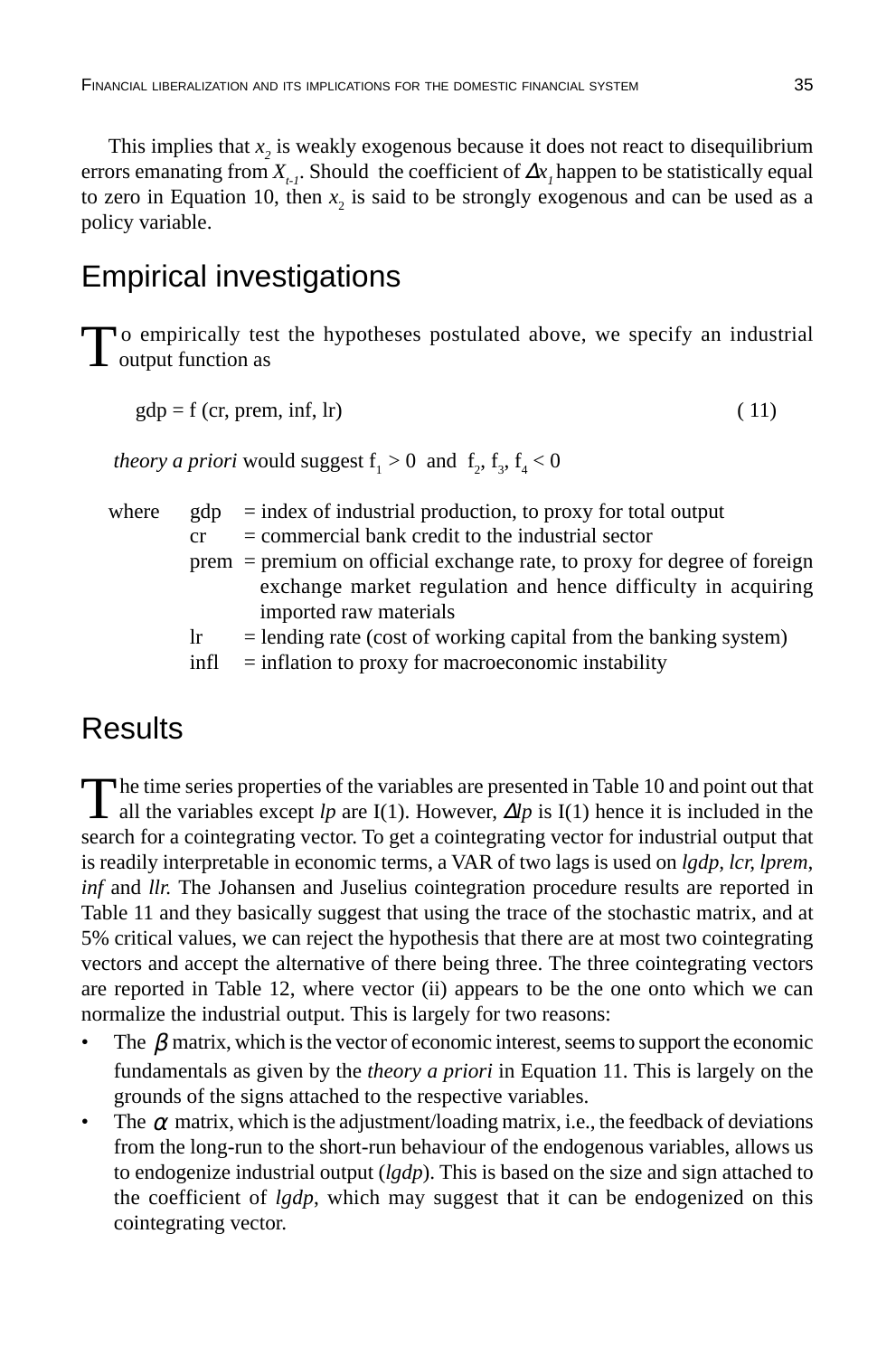This implies that  $x_2$  is weakly exogenous because it does not react to disequilibrium errors emanating from  $X_{i}$ . Should the coefficient of  $\Delta x$ , happen to be statistically equal to zero in Equation 10, then  $x_2$  is said to be strongly exogenous and can be used as a policy variable.

# Empirical investigations

To empirically test the hypotheses postulated above, we specify an industrial output function as

```
gdp = f (cr, prem, inf, lr) ( 11)
```
*theory a priori* would suggest  $f_1 > 0$  and  $f_2, f_3, f_4 < 0$ 

where  $\quad$  gdp  $\quad$  = index of industrial production, to proxy for total output

- $cr = commercial bank credit to the industrial sector$
- prem = premium on official exchange rate, to proxy for degree of foreign exchange market regulation and hence difficulty in acquiring imported raw materials
- $\text{lr}$  = lending rate (cost of working capital from the banking system)
- $\text{infl}$  = inflation to proxy for macroeconomic instability

# **Results**

The time series properties of the variables are presented in Table 10 and point out that all the variables except *lp* are I(1). However, ∆*lp* is I(1) hence it is included in the search for a cointegrating vector. To get a cointegrating vector for industrial output that is readily interpretable in economic terms, a VAR of two lags is used on *lgdp, lcr, lprem, inf* and *llr.* The Johansen and Juselius cointegration procedure results are reported in Table 11 and they basically suggest that using the trace of the stochastic matrix, and at 5% critical values, we can reject the hypothesis that there are at most two cointegrating vectors and accept the alternative of there being three. The three cointegrating vectors are reported in Table 12, where vector (ii) appears to be the one onto which we can normalize the industrial output. This is largely for two reasons:

- The  $\beta$  matrix, which is the vector of economic interest, seems to support the economic fundamentals as given by the *theory a priori* in Equation 11. This is largely on the grounds of the signs attached to the respective variables.
- The  $\alpha$  matrix, which is the adjustment/loading matrix, i.e., the feedback of deviations from the long-run to the short-run behaviour of the endogenous variables, allows us to endogenize industrial output (*lgdp*). This is based on the size and sign attached to the coefficient of *lgdp*, which may suggest that it can be endogenized on this cointegrating vector.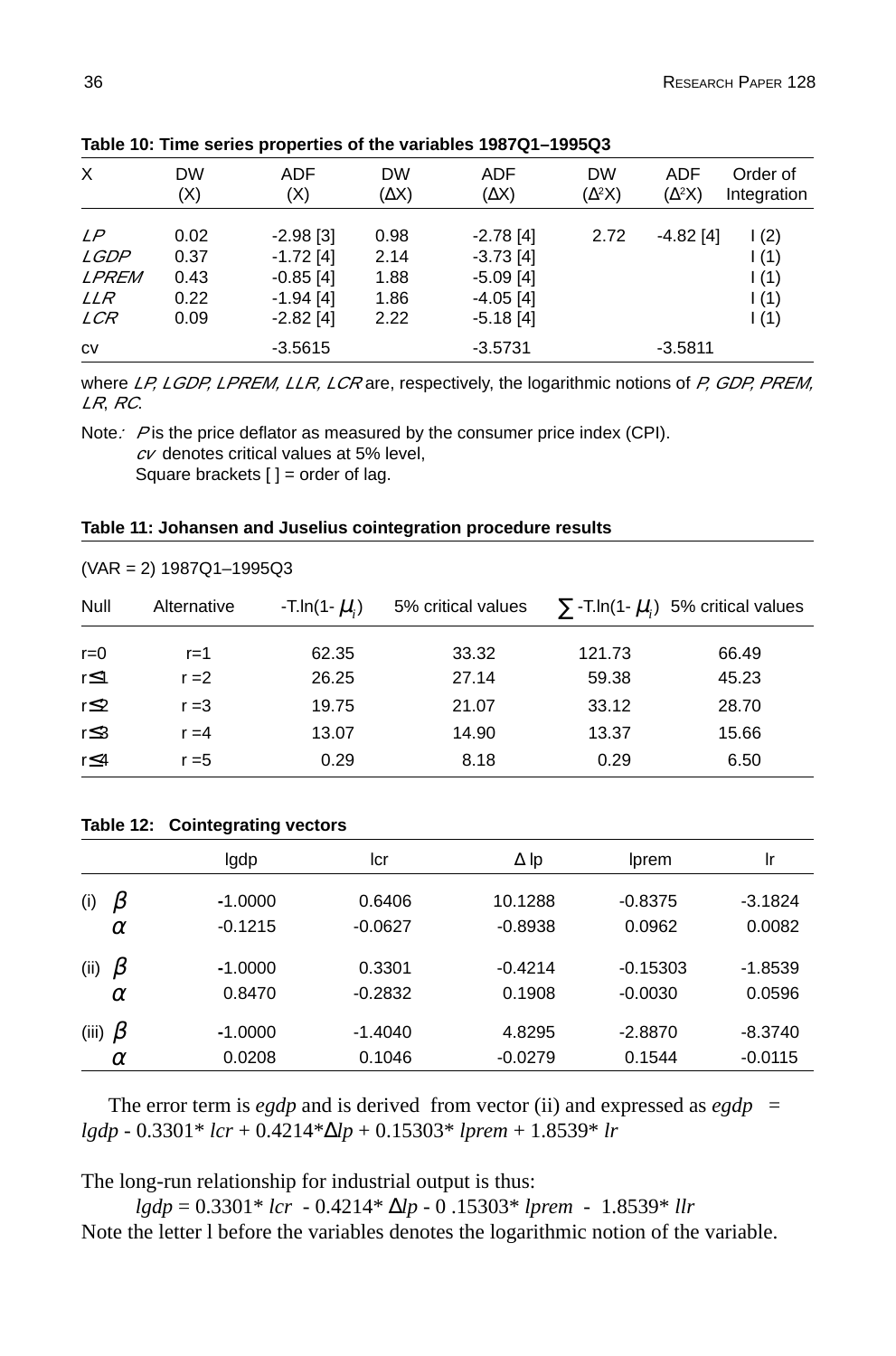| X                                               | <b>DW</b><br>(X)                     | <b>ADF</b><br>(X)                                                       | <b>DW</b><br>(AX)                    | ADF<br>$(\Delta X)$                                                     | <b>DW</b><br>$(\Delta^2 X)$ | ADF<br>$(\Delta^2 X)$ | Order of<br>Integration                          |
|-------------------------------------------------|--------------------------------------|-------------------------------------------------------------------------|--------------------------------------|-------------------------------------------------------------------------|-----------------------------|-----------------------|--------------------------------------------------|
| LP<br>LGDP<br>LPREM<br><i>LLR</i><br><i>LCR</i> | 0.02<br>0.37<br>0.43<br>0.22<br>0.09 | $-2.98$ [3]<br>$-1.72$ [4]<br>$-0.85$ [4]<br>$-1.94$ [4]<br>$-2.82$ [4] | 0.98<br>2.14<br>1.88<br>1.86<br>2.22 | $-2.78$ [4]<br>$-3.73$ [4]<br>$-5.09$ [4]<br>$-4.05$ [4]<br>$-5.18$ [4] | 2.72                        | $-4.82$ [4]           | $\frac{1(2)}{2}$<br>1(1)<br>1(1)<br>1(1)<br>1(1) |
| <b>CV</b>                                       |                                      | $-3.5615$                                                               |                                      | $-3.5731$                                                               |                             | $-3.5811$             |                                                  |

**Table 10: Time series properties of the variables 1987Q1–1995Q3**

where LP, LGDP, LPREM, LLR, LCR are, respectively, the logarithmic notions of P, GDP, PREM, LR, RC.

Note: P is the price deflator as measured by the consumer price index (CPI).  $cV$  denotes critical values at 5% level, Square brackets  $[ ] =$  order of lag.

|  | $(VAR = 2) 1987Q1 - 1995Q3$ |
|--|-----------------------------|
|--|-----------------------------|

| Null       | Alternative | -T.ln(1- $\mu_i$ ) | 5% critical values |        | $\sum$ -T.ln(1- $\mu_i$ ) 5% critical values |
|------------|-------------|--------------------|--------------------|--------|----------------------------------------------|
| $r = 0$    | $r = 1$     | 62.35              | 33.32              | 121.73 | 66.49                                        |
| $r \leq 1$ | $r = 2$     | 26.25              | 27.14              | 59.38  | 45.23                                        |
| $r \leq 2$ | $r = 3$     | 19.75              | 21.07              | 33.12  | 28.70                                        |
| r≤3        | $r = 4$     | 13.07              | 14.90              | 13.37  | 15.66                                        |
| r≤4        | $r = 5$     | 0.29               | 8.18               | 0.29   | 6.50                                         |

#### **Table 12: Cointegrating vectors**

|                | lgdp      | lcr       | $\Delta$ Ip | Iprem      | Ir        |
|----------------|-----------|-----------|-------------|------------|-----------|
| $\beta$<br>(i) | $-1.0000$ | 0.6406    | 10.1288     | $-0.8375$  | $-3.1824$ |
| $\alpha$       | $-0.1215$ | $-0.0627$ | $-0.8938$   | 0.0962     | 0.0082    |
| β<br>(ii)      | $-1.0000$ | 0.3301    | $-0.4214$   | $-0.15303$ | $-1.8539$ |
| $\alpha$       | 0.8470    | $-0.2832$ | 0.1908      | $-0.0030$  | 0.0596    |
| (iii) $\beta$  | $-1.0000$ | $-1.4040$ | 4.8295      | $-2.8870$  | $-8.3740$ |
| $\alpha$       | 0.0208    | 0.1046    | $-0.0279$   | 0.1544     | $-0.0115$ |

The error term is *egdp* and is derived from vector (ii) and expressed as  $egdp =$ *lgdp* - 0.3301\* *lcr* + 0.4214\*∆*lp* + 0.15303\* *lprem* + 1.8539\* *lr*

The long-run relationship for industrial output is thus:

*lgdp* = 0.3301\* *lcr* - 0.4214\* ∆*lp* - 0 .15303\* *lprem* - 1.8539\* *llr* Note the letter l before the variables denotes the logarithmic notion of the variable.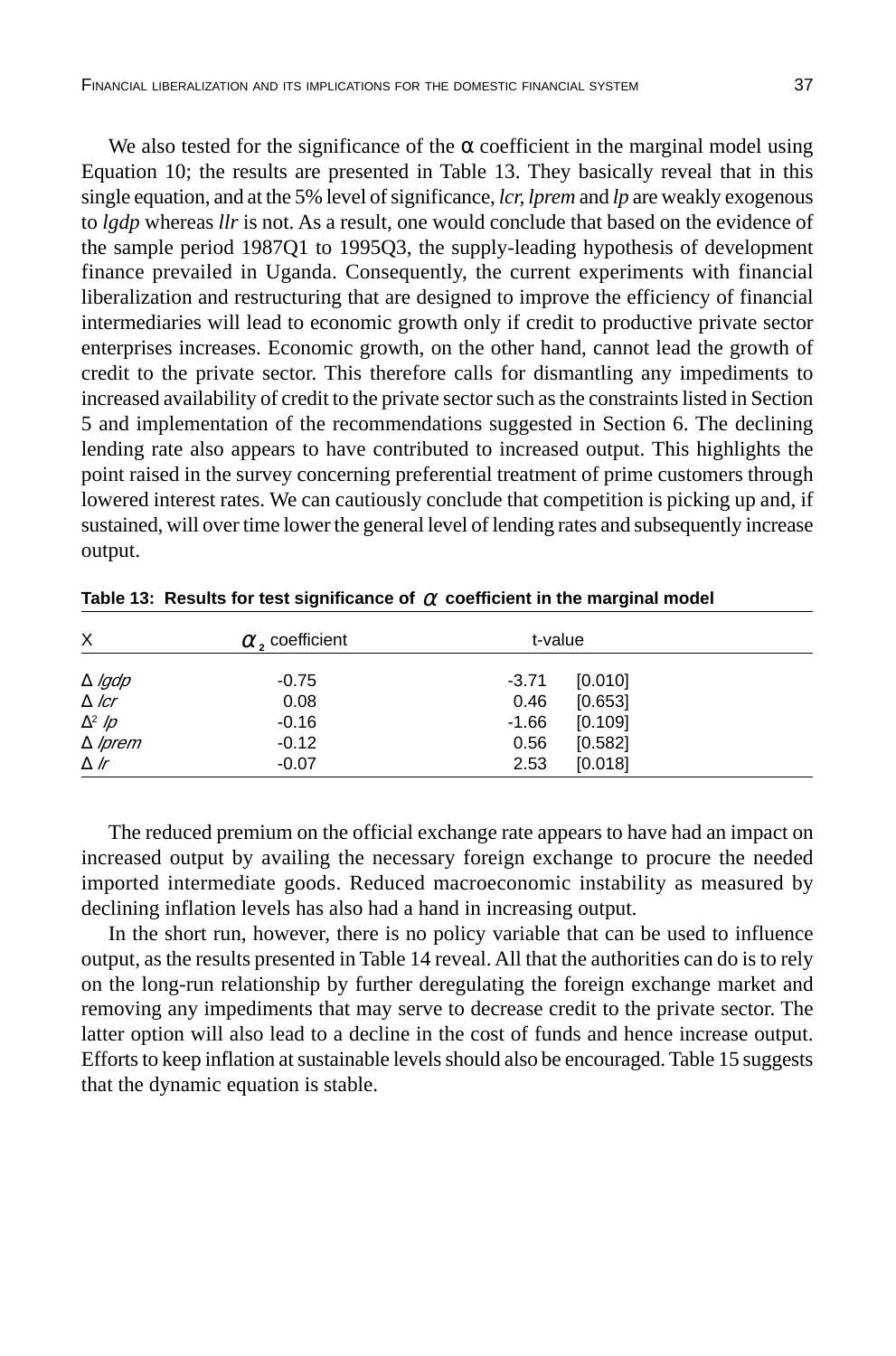We also tested for the significance of the  $\alpha$  coefficient in the marginal model using Equation 10; the results are presented in Table 13. They basically reveal that in this single equation, and at the 5% level of significance, *lcr, lprem* and *lp* are weakly exogenous to *lgdp* whereas *llr* is not. As a result, one would conclude that based on the evidence of the sample period 1987Q1 to 1995Q3, the supply-leading hypothesis of development finance prevailed in Uganda. Consequently, the current experiments with financial liberalization and restructuring that are designed to improve the efficiency of financial intermediaries will lead to economic growth only if credit to productive private sector enterprises increases. Economic growth, on the other hand, cannot lead the growth of credit to the private sector. This therefore calls for dismantling any impediments to increased availability of credit to the private sector such as the constraints listed in Section 5 and implementation of the recommendations suggested in Section 6. The declining lending rate also appears to have contributed to increased output. This highlights the point raised in the survey concerning preferential treatment of prime customers through lowered interest rates. We can cautiously conclude that competition is picking up and, if sustained, will over time lower the general level of lending rates and subsequently increase output.

| X                                                     | $\alpha$ , coefficient     | t-value                                                     |  |
|-------------------------------------------------------|----------------------------|-------------------------------------------------------------|--|
| $\Delta$ <i>lgdp</i><br>$\Delta$ lcr<br>$\Delta^2$ /p | $-0.75$<br>0.08<br>$-0.16$ | $-3.71$<br>[0.010]<br>0.46<br>[0.653]<br>[0.109]<br>$-1.66$ |  |
| $\Delta$ /prem<br>$\Delta$ Ir                         | $-0.12$<br>$-0.07$         | 0.56<br>[0.582]<br>[0.018]<br>2.53                          |  |

**Table 13: Results for test significance of** α **coefficient in the marginal model**

The reduced premium on the official exchange rate appears to have had an impact on increased output by availing the necessary foreign exchange to procure the needed imported intermediate goods. Reduced macroeconomic instability as measured by declining inflation levels has also had a hand in increasing output.

In the short run, however, there is no policy variable that can be used to influence output, as the results presented in Table 14 reveal. All that the authorities can do is to rely on the long-run relationship by further deregulating the foreign exchange market and removing any impediments that may serve to decrease credit to the private sector. The latter option will also lead to a decline in the cost of funds and hence increase output. Efforts to keep inflation at sustainable levels should also be encouraged. Table 15 suggests that the dynamic equation is stable.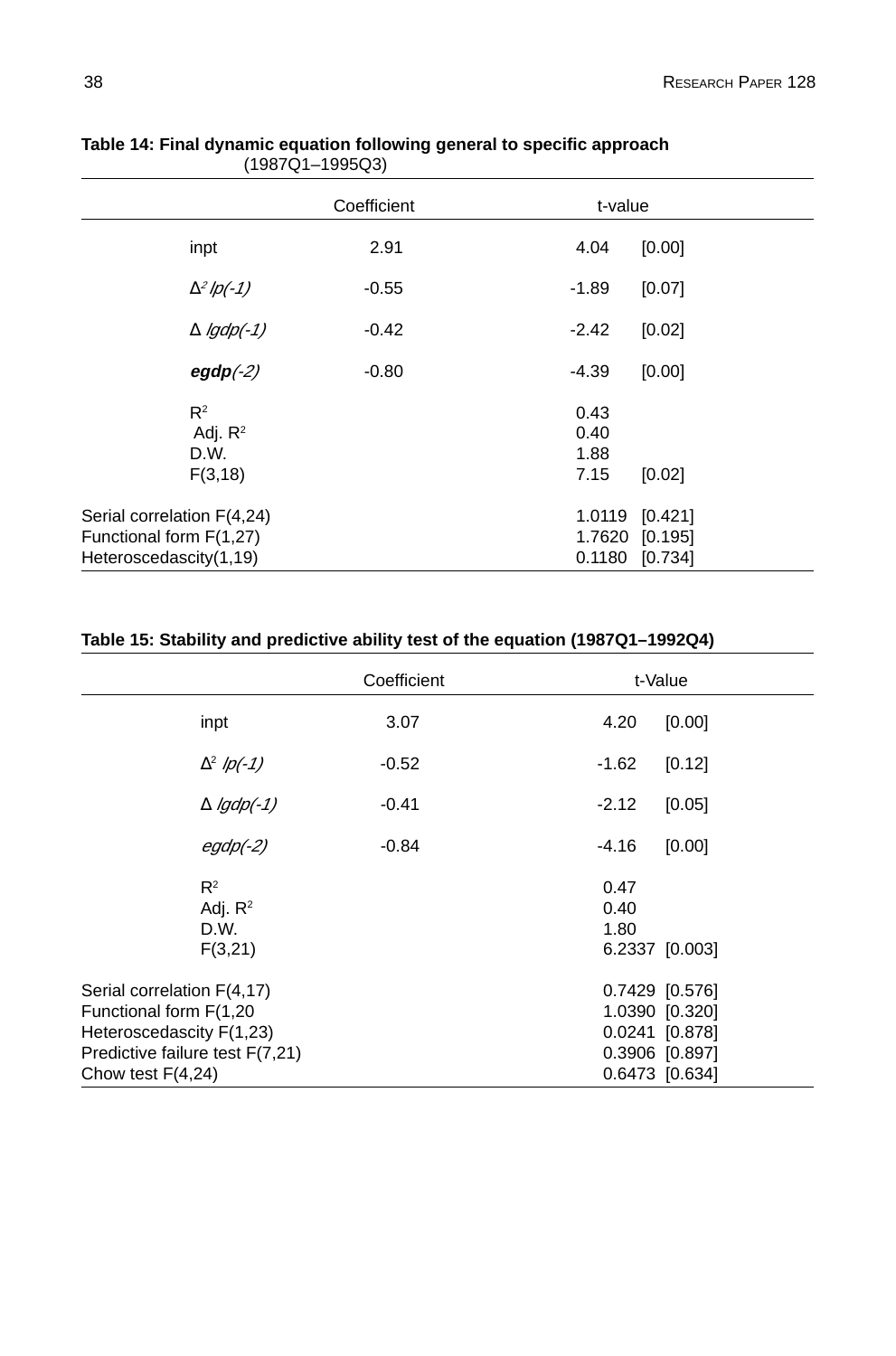|                                                                                 | Coefficient | t-value                      |                                  |
|---------------------------------------------------------------------------------|-------------|------------------------------|----------------------------------|
| inpt                                                                            | 2.91        | 4.04                         | [0.00]                           |
| $\Delta^2$ lp(-1)                                                               | $-0.55$     | $-1.89$                      | [0.07]                           |
| $\triangle$ lgdp(-1)                                                            | $-0.42$     | $-2.42$                      | [0.02]                           |
| $egdp(-2)$                                                                      | $-0.80$     | $-4.39$                      | [0.00]                           |
| $R^2$<br>Adj. $R^2$<br>D.W.<br>F(3, 18)                                         |             | 0.43<br>0.40<br>1.88<br>7.15 | [0.02]                           |
| Serial correlation F(4,24)<br>Functional form F(1,27)<br>Heteroscedascity(1,19) |             | 0.1180 [0.734]               | 1.0119 [0.421]<br>1.7620 [0.195] |

**Table 14: Final dynamic equation following general to specific approach** (1987Q1–1995Q3)

#### **Table 15: Stability and predictive ability test of the equation (1987Q1–1992Q4)**

|                                                                                                                                            | Coefficient | t-Value                                                                                |
|--------------------------------------------------------------------------------------------------------------------------------------------|-------------|----------------------------------------------------------------------------------------|
| inpt                                                                                                                                       | 3.07        | 4.20<br>[0.00]                                                                         |
| $\Delta^2$ lp(-1)                                                                                                                          | $-0.52$     | $-1.62$<br>[0.12]                                                                      |
| $\Delta$ <i>lgdp(-1)</i>                                                                                                                   | $-0.41$     | $-2.12$<br>[0.05]                                                                      |
| $egdp(-2)$                                                                                                                                 | $-0.84$     | $-4.16$<br>[0.00]                                                                      |
| $R^2$<br>Adj. $R^2$<br>D.W.<br>F(3,21)                                                                                                     |             | 0.47<br>0.40<br>1.80<br>6.2337 [0.003]                                                 |
| Serial correlation F(4,17)<br>Functional form F(1,20<br>Heteroscedascity F(1,23)<br>Predictive failure test F(7,21)<br>Chow test $F(4,24)$ |             | 0.7429 [0.576]<br>1.0390 [0.320]<br>0.0241 [0.878]<br>0.3906 [0.897]<br>0.6473 [0.634] |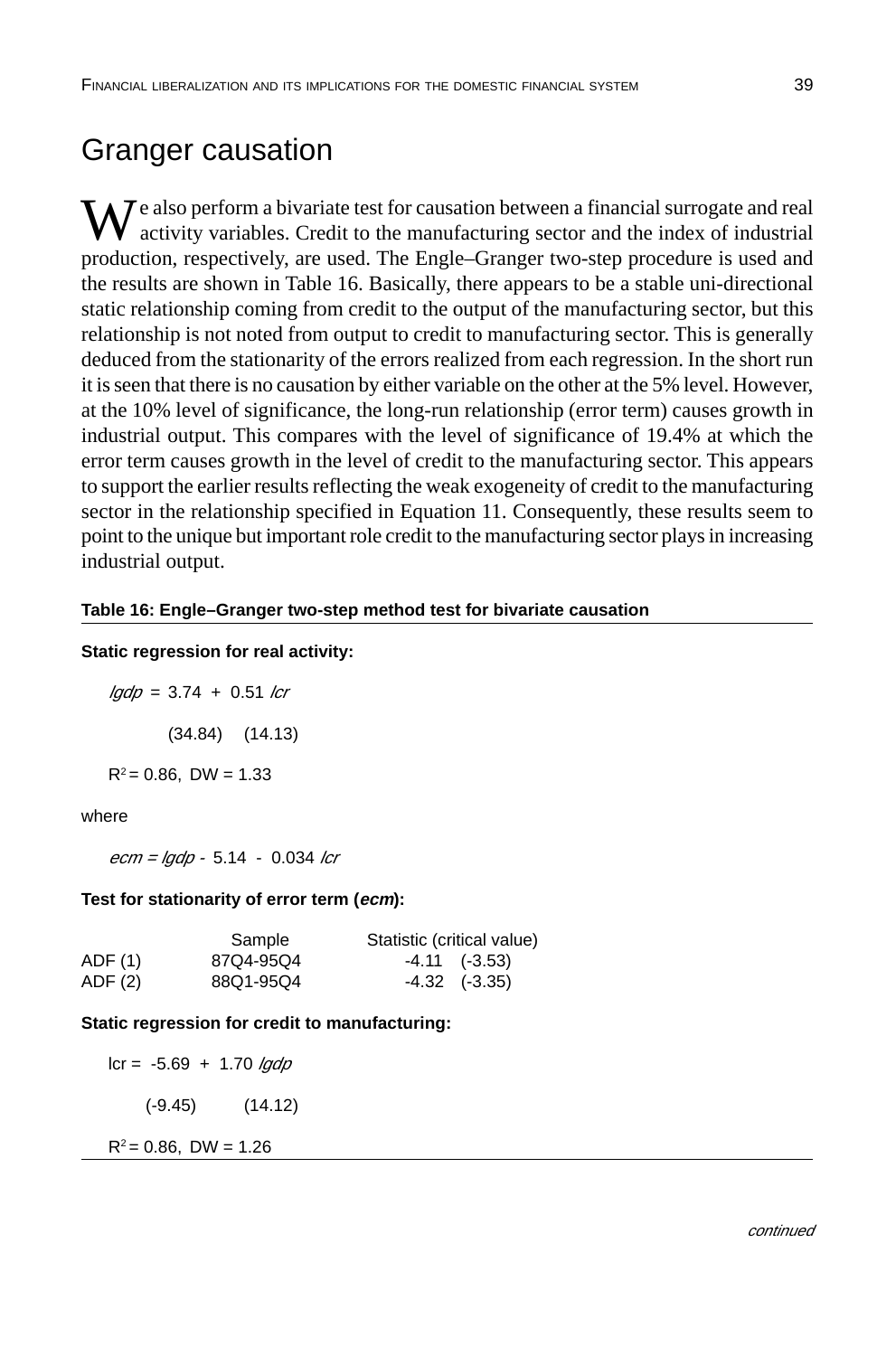# Granger causation

 $\sum_{i=1}^{n}$  also perform a bivariate test for causation between a financial surrogate and real activity variables. Credit to the manufacturing sector and the index of industrial production, respectively, are used. The Engle–Granger two-step procedure is used and the results are shown in Table 16. Basically, there appears to be a stable uni-directional static relationship coming from credit to the output of the manufacturing sector, but this relationship is not noted from output to credit to manufacturing sector. This is generally deduced from the stationarity of the errors realized from each regression. In the short run it is seen that there is no causation by either variable on the other at the 5% level. However, at the 10% level of significance, the long-run relationship (error term) causes growth in industrial output. This compares with the level of significance of 19.4% at which the error term causes growth in the level of credit to the manufacturing sector. This appears to support the earlier results reflecting the weak exogeneity of credit to the manufacturing sector in the relationship specified in Equation 11. Consequently, these results seem to point to the unique but important role credit to the manufacturing sector plays in increasing industrial output.

#### **Table 16: Engle–Granger two-step method test for bivariate causation**

#### **Static regression for real activity:**

 $lqdp = 3.74 + 0.51$  lcr (34.84) (14.13)  $R^2 = 0.86$ , DW = 1.33

#### where

 $ecm = lqdp - 5.14 - 0.034$  lcr

#### **Test for stationarity of error term (ecm):**

|         | Sample    | Statistic (critical value) |
|---------|-----------|----------------------------|
| ADF (1) | 87Q4-95Q4 | $-4.11$ $(-3.53)$          |
| ADF (2) | 88Q1-95Q4 | $-4.32$ $(-3.35)$          |

#### **Static regression for credit to manufacturing:**

 $lcr = -5.69 + 1.70$  lgdp (-9.45) (14.12)  $R^2 = 0.86$ , DW = 1.26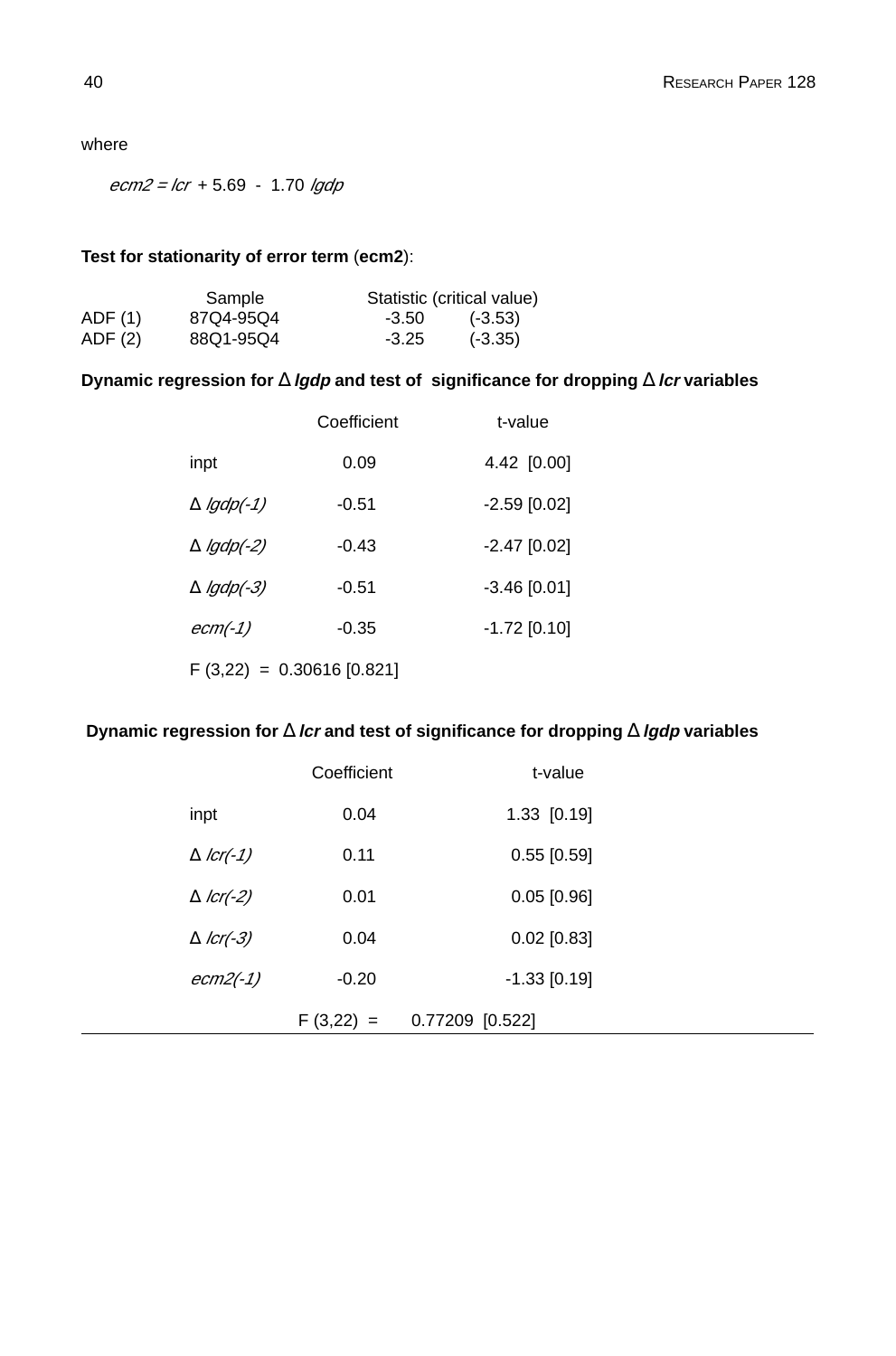where

 $ecm2 = lcr + 5.69 - 1.70$  lgdp

#### **Test for stationarity of error term** (**ecm2**):

|         | Sample    |         | Statistic (critical value) |
|---------|-----------|---------|----------------------------|
| ADF (1) | 87Q4-95Q4 | -3.50   | $(-3.53)$                  |
| ADF (2) | 88Q1-95Q4 | $-3.25$ | $(-3.35)$                  |

#### **Dynamic regression for** ∆ **lgdp and test of significance for dropping** ∆ **lcr variables**

|                            | Coefficient | t-value        |
|----------------------------|-------------|----------------|
| inpt                       | 0.09        | 4.42 [0.00]    |
| $\Delta$ lgdp(-1)          | -0.51       | $-2.59$ [0.02] |
| $\Delta$ lgdp(-2)          | $-0.43$     | $-2.47$ [0.02] |
| $\Delta$ lgdp(-3)          | $-0.51$     | $-3.46$ [0.01] |
| $ecm(-1)$                  | $-0.35$     | $-1.72$ [0.10] |
| $F(3,22) = 0.30616[0.821]$ |             |                |

#### **Dynamic regression for** ∆ **lcr and test of significance for dropping** ∆ **lgdp variables**

|                     | $F(3,22) =$ | 0.77209 [0.522] |  |
|---------------------|-------------|-----------------|--|
| $ecm2(-1)$          | $-0.20$     | $-1.33$ [0.19]  |  |
| $\triangle$ lcr(-3) | 0.04        | $0.02$ [0.83]   |  |
| $\triangle$ lcr(-2) | 0.01        | $0.05$ [0.96]   |  |
| $\triangle$ lcr(-1) | 0.11        | $0.55$ [0.59]   |  |
| inpt                | 0.04        | 1.33 [0.19]     |  |
|                     | Coefficient | t-value         |  |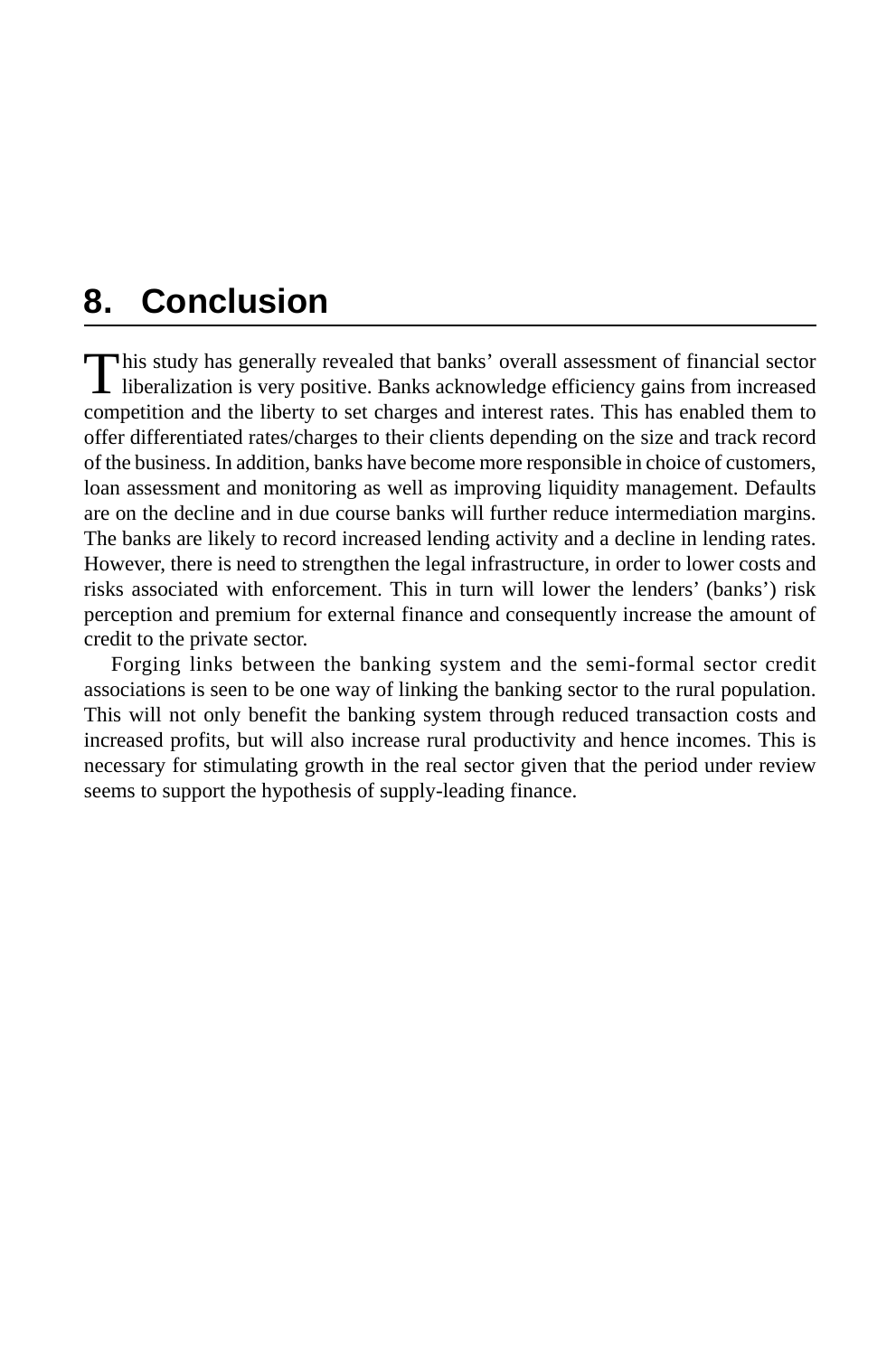# **8. Conclusion**

This study has generally revealed that banks' overall assessment of financial sector<br>liberalization is very positive. Banks acknowledge efficiency gains from increased competition and the liberty to set charges and interest rates. This has enabled them to offer differentiated rates/charges to their clients depending on the size and track record of the business. In addition, banks have become more responsible in choice of customers, loan assessment and monitoring as well as improving liquidity management. Defaults are on the decline and in due course banks will further reduce intermediation margins. The banks are likely to record increased lending activity and a decline in lending rates. However, there is need to strengthen the legal infrastructure, in order to lower costs and risks associated with enforcement. This in turn will lower the lenders' (banks') risk perception and premium for external finance and consequently increase the amount of credit to the private sector.

Forging links between the banking system and the semi-formal sector credit associations is seen to be one way of linking the banking sector to the rural population. This will not only benefit the banking system through reduced transaction costs and increased profits, but will also increase rural productivity and hence incomes. This is necessary for stimulating growth in the real sector given that the period under review seems to support the hypothesis of supply-leading finance.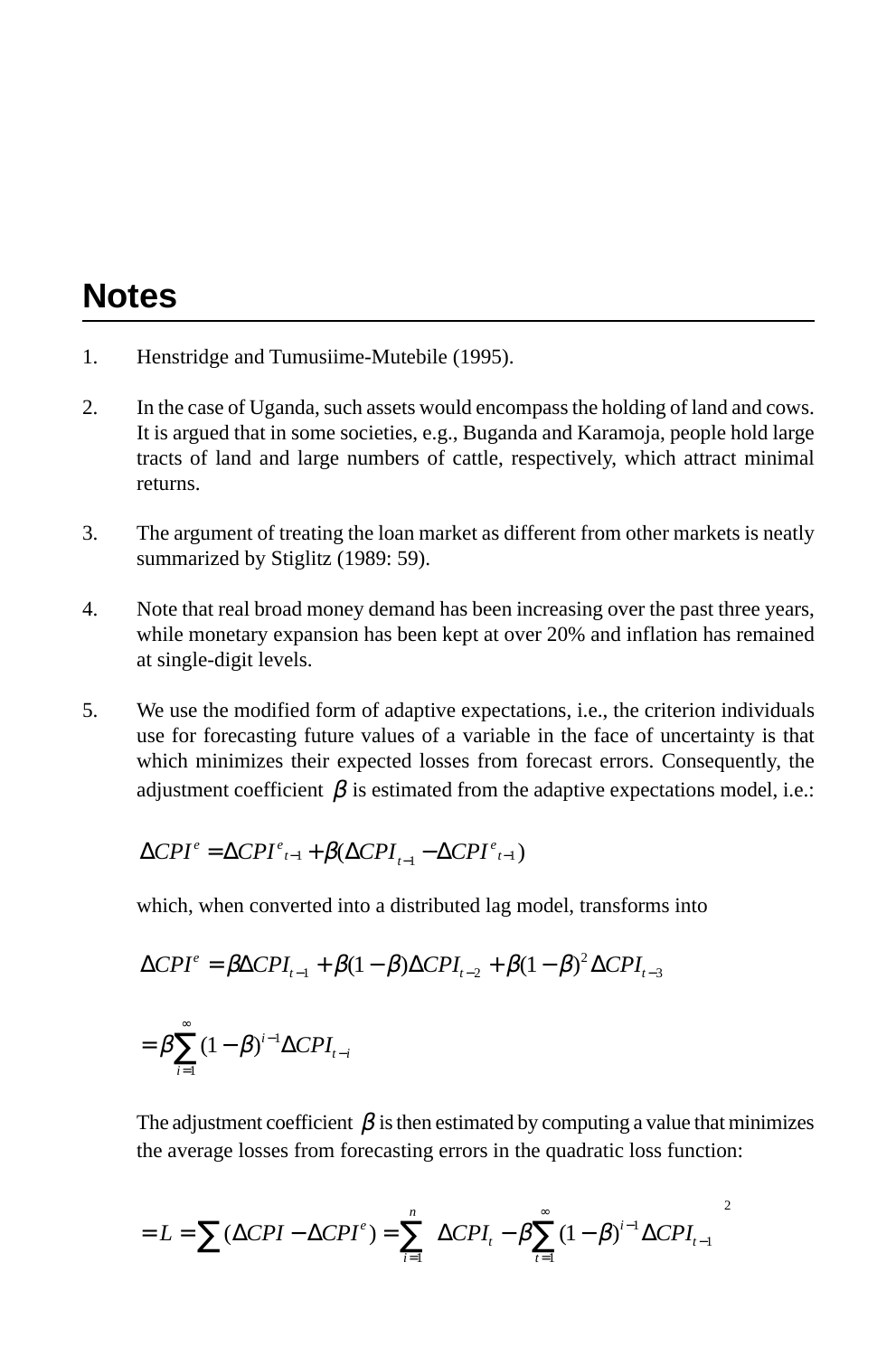# **Notes**

- 1. Henstridge and Tumusiime-Mutebile (1995).
- 2. In the case of Uganda, such assets would encompass the holding of land and cows. It is argued that in some societies, e.g., Buganda and Karamoja, people hold large tracts of land and large numbers of cattle, respectively, which attract minimal returns.
- 3. The argument of treating the loan market as different from other markets is neatly summarized by Stiglitz (1989: 59).
- 4. Note that real broad money demand has been increasing over the past three years, while monetary expansion has been kept at over 20% and inflation has remained at single-digit levels.
- 5. We use the modified form of adaptive expectations, i.e., the criterion individuals use for forecasting future values of a variable in the face of uncertainty is that which minimizes their expected losses from forecast errors. Consequently, the adjustment coefficient  $\beta$  is estimated from the adaptive expectations model, i.e.:

$$
\Delta CPI^{e} = \Delta CPI^{e}_{t-1} + \beta(\Delta CPI_{t-1} - \Delta CPI^{e}_{t-1})
$$

which, when converted into a distributed lag model, transforms into

$$
\Delta CPI^{e} = \beta \Delta CPI_{t-1} + \beta (1 - \beta) \Delta CPI_{t-2} + \beta (1 - \beta)^{2} \Delta CPI_{t-3}
$$

$$
= \beta \sum_{i=1}^{\infty} (1 - \beta)^{i-1} \Delta CPI_{t-i}
$$

The adjustment coefficient  $\beta$  is then estimated by computing a value that minimizes the average losses from forecasting errors in the quadratic loss function:

$$
= L = \sum (\Delta CPI - \Delta CPI^e) = \sum_{i=1}^n \left[ \Delta CPI_i - \beta \sum_{t=1}^\infty (1 - \beta)^{i-1} \Delta CPI_{t-1} \right]^2
$$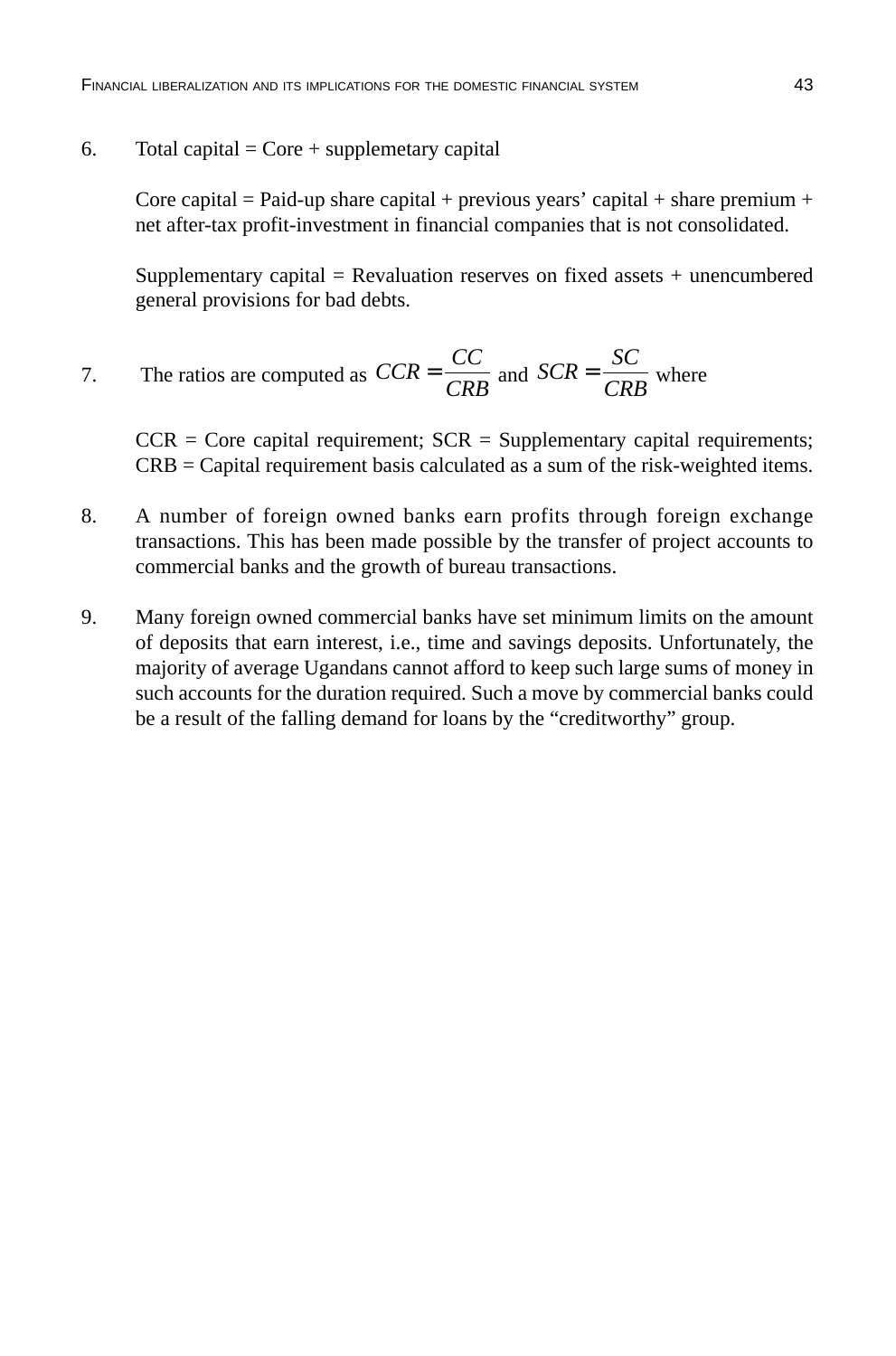6. Total capital =  $Core + supplementary capital$ 

Core capital = Paid-up share capital + previous years' capital + share premium + net after-tax profit-investment in financial companies that is not consolidated.

Supplementary capital  $=$  Revaluation reserves on fixed assets  $+$  unencumbered general provisions for bad debts.

7. The ratios are computed as 
$$
CCR = \frac{CC}{CRB}
$$
 and  $SCR = \frac{SC}{CRB}$  where

 $CCR = Core capital requirement$ ;  $SCR = Supplementary capital requirements$ ; CRB = Capital requirement basis calculated as a sum of the risk-weighted items.

- 8. A number of foreign owned banks earn profits through foreign exchange transactions. This has been made possible by the transfer of project accounts to commercial banks and the growth of bureau transactions.
- 9. Many foreign owned commercial banks have set minimum limits on the amount of deposits that earn interest, i.e., time and savings deposits. Unfortunately, the majority of average Ugandans cannot afford to keep such large sums of money in such accounts for the duration required. Such a move by commercial banks could be a result of the falling demand for loans by the "creditworthy" group.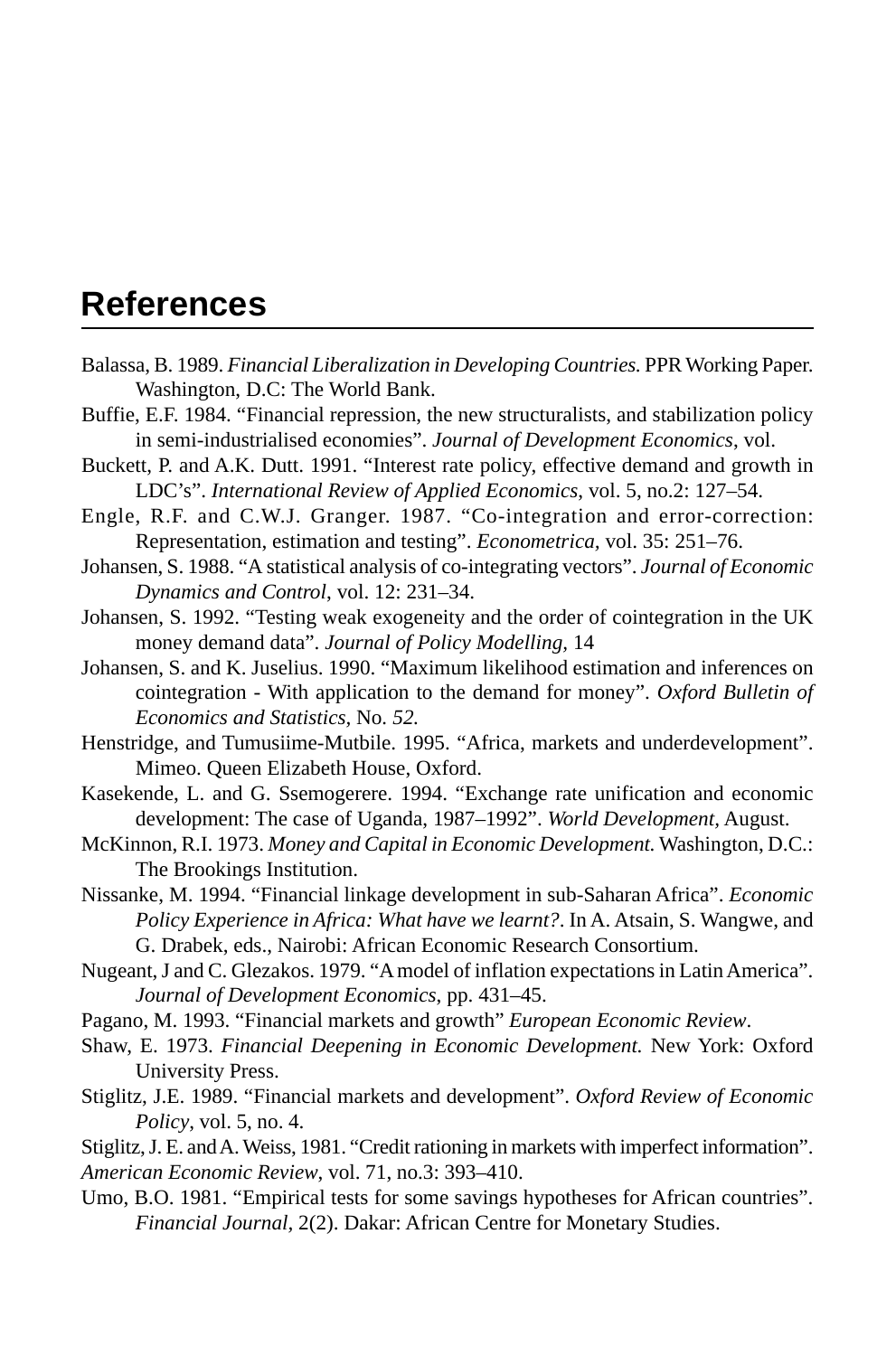# **References**

- Balassa, B. 1989. *Financial Liberalization in Developing Countries.* PPR Working Paper. Washington, D.C: The World Bank.
- Buffie, E.F. 1984. "Financial repression, the new structuralists, and stabilization policy in semi-industrialised economies". *Journal of Development Economics*, vol.
- Buckett, P. and A.K. Dutt. 1991. "Interest rate policy, effective demand and growth in LDC's". *International Review of Applied Economics*, vol. 5, no.2: 127–54.
- Engle, R.F. and C.W.J. Granger. 1987. "Co-integration and error-correction: Representation, estimation and testing". *Econometrica,* vol. 35: 251–76.
- Johansen, S. 1988. "A statistical analysis of co-integrating vectors". *Journal of Economic Dynamics and Control*, vol. 12: 231–34.
- Johansen, S. 1992. "Testing weak exogeneity and the order of cointegration in the UK money demand data". *Journal of Policy Modelling,* 14
- Johansen, S. and K. Juselius. 1990. "Maximum likelihood estimation and inferences on cointegration - With application to the demand for money". *Oxford Bulletin of Economics and Statistics,* No*. 52.*
- Henstridge, and Tumusiime-Mutbile. 1995. "Africa, markets and underdevelopment". Mimeo. Queen Elizabeth House, Oxford.
- Kasekende, L. and G. Ssemogerere. 1994. "Exchange rate unification and economic development: The case of Uganda, 1987–1992". *World Development,* August.
- McKinnon, R.I. 1973. *Money and Capital in Economic Development.* Washington, D.C.: The Brookings Institution.
- Nissanke, M. 1994. "Financial linkage development in sub-Saharan Africa". *Economic Policy Experience in Africa: What have we learnt?*. In A. Atsain, S. Wangwe, and G. Drabek, eds., Nairobi: African Economic Research Consortium.
- Nugeant, J and C. Glezakos. 1979. "A model of inflation expectations in Latin America". *Journal of Development Economics*, pp. 431–45.
- Pagano, M. 1993. "Financial markets and growth" *European Economic Review*.
- Shaw, E. 1973. *Financial Deepening in Economic Development.* New York: Oxford University Press.
- Stiglitz, J.E. 1989. "Financial markets and development". *Oxford Review of Economic Policy*, vol. 5, no. 4.
- Stiglitz, J. E. and A. Weiss, 1981. "Credit rationing in markets with imperfect information". *American Economic Review*, vol. 71, no.3: 393–410.
- Umo, B.O. 1981. "Empirical tests for some savings hypotheses for African countries". *Financial Journal,* 2(2). Dakar: African Centre for Monetary Studies.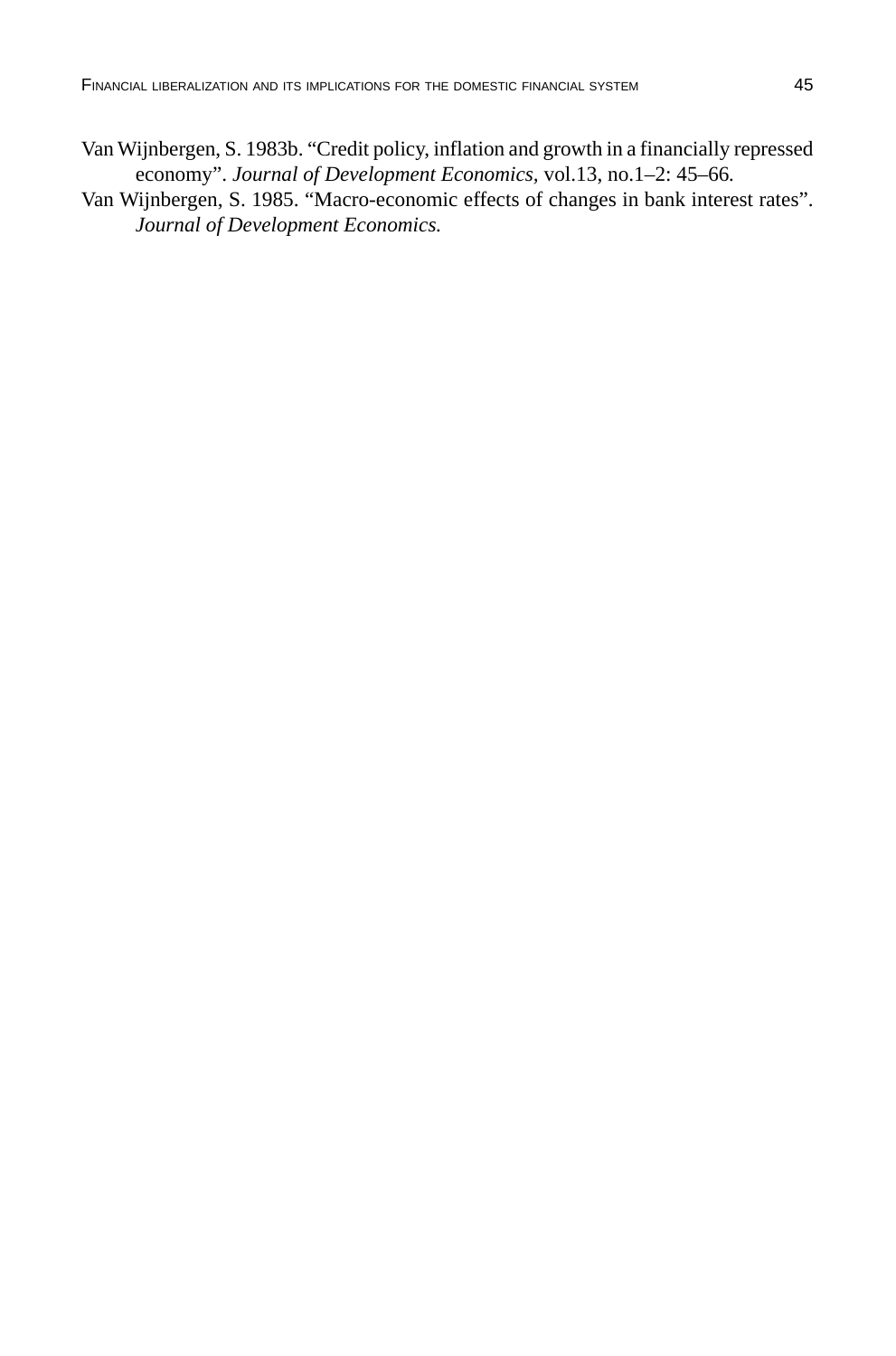- Van Wijnbergen, S. 1983b. "Credit policy, inflation and growth in a financially repressed economy". *Journal of Development Economics,* vol.13, no.1–2: 45–66*.*
- Van Wijnbergen, S. 1985. "Macro-economic effects of changes in bank interest rates". *Journal of Development Economics.*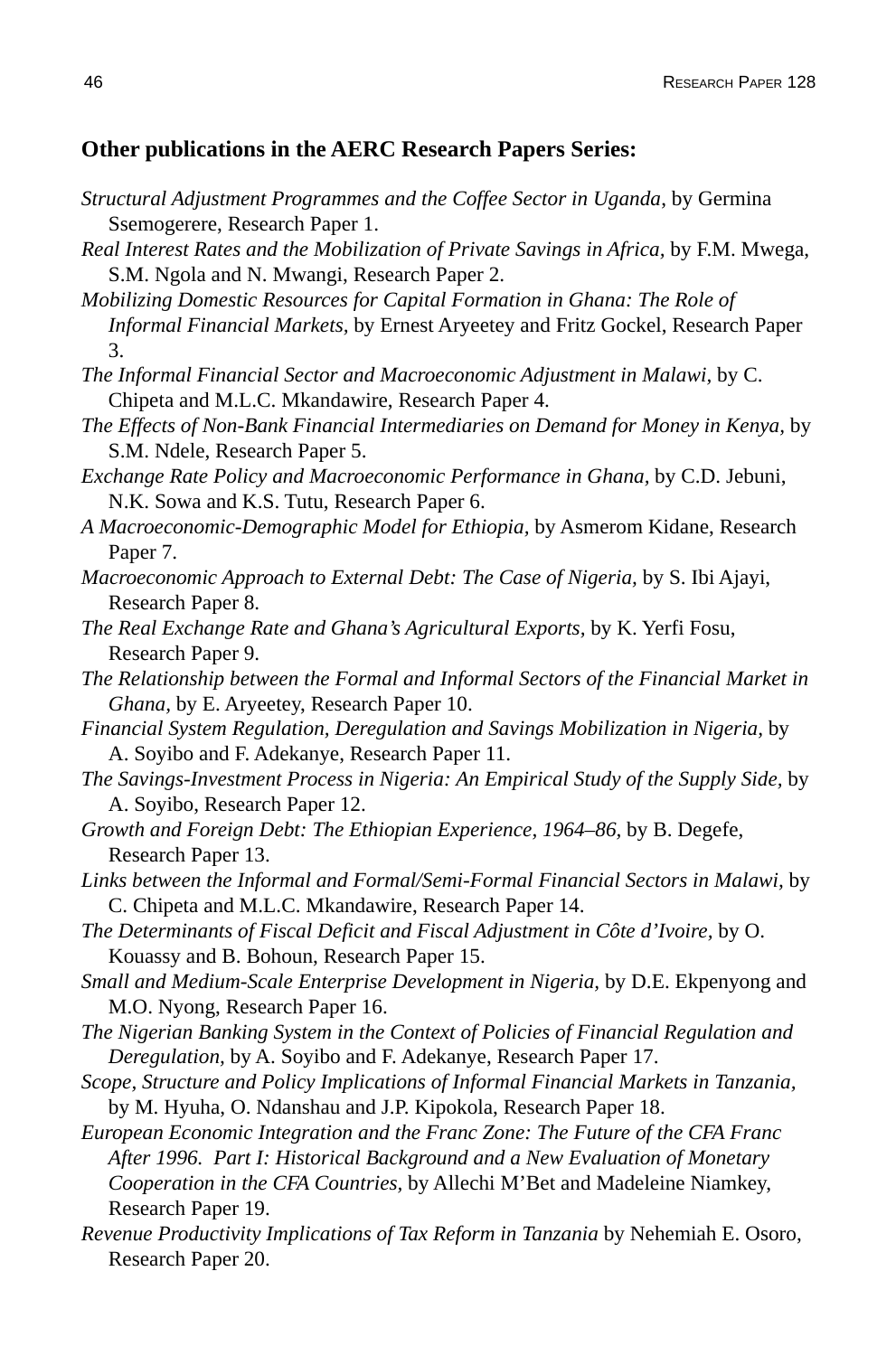#### **Other publications in the AERC Research Papers Series:**

- *Structural Adjustment Programmes and the Coffee Sector in Uganda*, by Germina Ssemogerere, Research Paper 1.
- *Real Interest Rates and the Mobilization of Private Savings in Africa,* by F.M. Mwega, S.M. Ngola and N. Mwangi, Research Paper 2.
- *Mobilizing Domestic Resources for Capital Formation in Ghana: The Role of Informal Financial Markets,* by Ernest Aryeetey and Fritz Gockel, Research Paper 3.
- *The Informal Financial Sector and Macroeconomic Adjustment in Malawi,* by C. Chipeta and M.L.C. Mkandawire, Research Paper 4.
- *The Effects of Non-Bank Financial Intermediaries on Demand for Money in Kenya,* by S.M. Ndele, Research Paper 5.
- *Exchange Rate Policy and Macroeconomic Performance in Ghana,* by C.D. Jebuni, N.K. Sowa and K.S. Tutu, Research Paper 6.
- *A Macroeconomic-Demographic Model for Ethiopia,* by Asmerom Kidane, Research Paper 7.
- *Macroeconomic Approach to External Debt: The Case of Nigeria,* by S. Ibi Ajayi, Research Paper 8.
- *The Real Exchange Rate and Ghana's Agricultural Exports,* by K. Yerfi Fosu, Research Paper 9.
- *The Relationship between the Formal and Informal Sectors of the Financial Market in Ghana,* by E. Aryeetey, Research Paper 10.
- *Financial System Regulation, Deregulation and Savings Mobilization in Nigeria,* by A. Soyibo and F. Adekanye, Research Paper 11.
- *The Savings-Investment Process in Nigeria: An Empirical Study of the Supply Side,* by A. Soyibo, Research Paper 12.
- *Growth and Foreign Debt: The Ethiopian Experience, 1964–86,* by B. Degefe, Research Paper 13.
- *Links between the Informal and Formal/Semi-Formal Financial Sectors in Malawi,* by C. Chipeta and M.L.C. Mkandawire, Research Paper 14.
- *The Determinants of Fiscal Deficit and Fiscal Adjustment in Côte d'Ivoire,* by O. Kouassy and B. Bohoun, Research Paper 15.
- *Small and Medium-Scale Enterprise Development in Nigeria,* by D.E. Ekpenyong and M.O. Nyong, Research Paper 16.
- *The Nigerian Banking System in the Context of Policies of Financial Regulation and Deregulation,* by A. Soyibo and F. Adekanye, Research Paper 17.
- *Scope, Structure and Policy Implications of Informal Financial Markets in Tanzania,* by M. Hyuha, O. Ndanshau and J.P. Kipokola, Research Paper 18.
- *European Economic Integration and the Franc Zone: The Future of the CFA Franc After 1996. Part I: Historical Background and a New Evaluation of Monetary Cooperation in the CFA Countries,* by Allechi M'Bet and Madeleine Niamkey, Research Paper 19.
- *Revenue Productivity Implications of Tax Reform in Tanzania* by Nehemiah E. Osoro, Research Paper 20.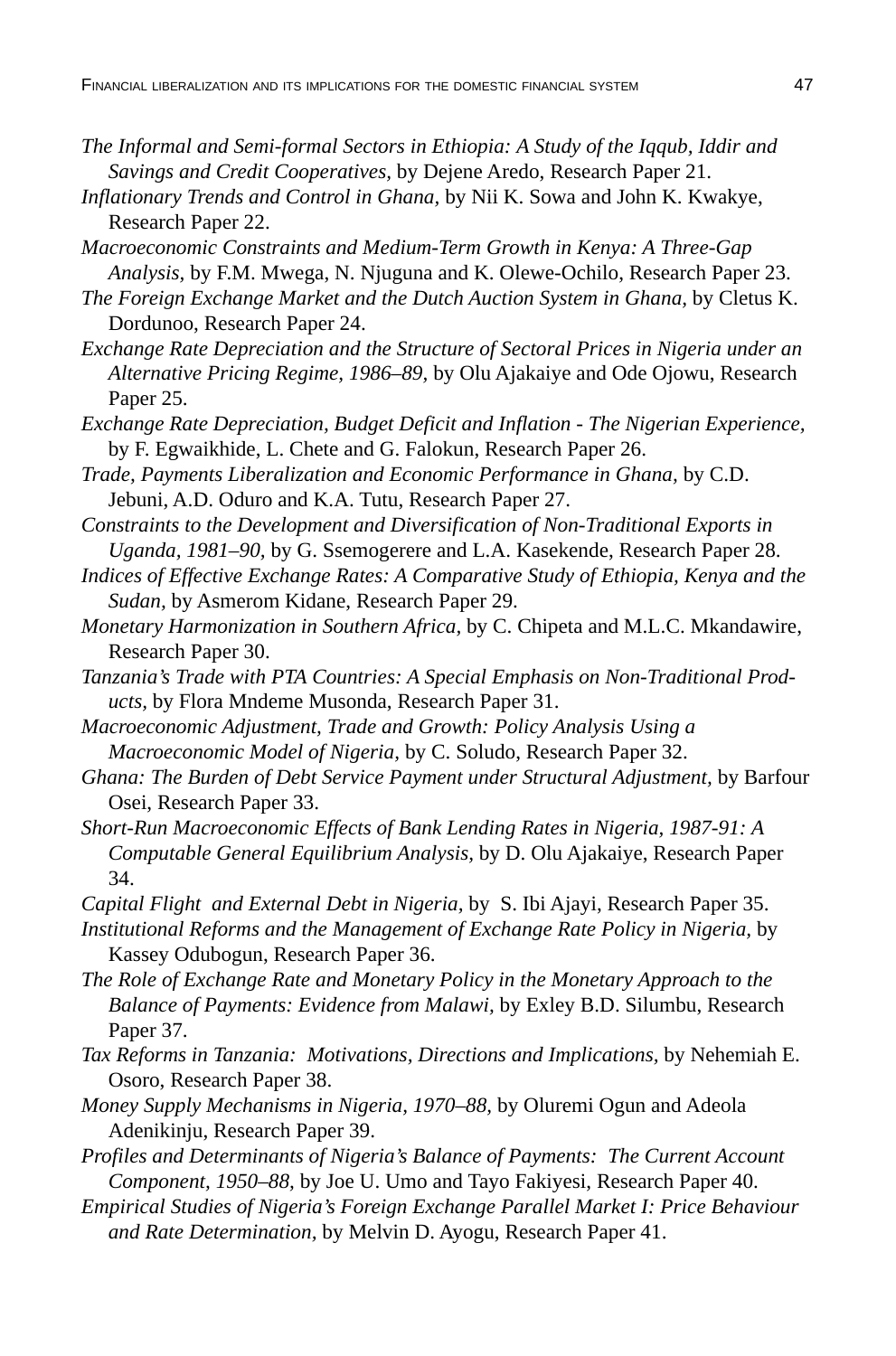- *The Informal and Semi-formal Sectors in Ethiopia: A Study of the Iqqub, Iddir and Savings and Credit Cooperatives,* by Dejene Aredo, Research Paper 21.
- *Inflationary Trends and Control in Ghana,* by Nii K. Sowa and John K. Kwakye, Research Paper 22.
- *Macroeconomic Constraints and Medium-Term Growth in Kenya: A Three-Gap Analysis,* by F.M. Mwega, N. Njuguna and K. Olewe-Ochilo, Research Paper 23.
- *The Foreign Exchange Market and the Dutch Auction System in Ghana,* by Cletus K. Dordunoo, Research Paper 24.
- *Exchange Rate Depreciation and the Structure of Sectoral Prices in Nigeria under an Alternative Pricing Regime, 1986–89,* by Olu Ajakaiye and Ode Ojowu, Research Paper 25.
- *Exchange Rate Depreciation, Budget Deficit and Inflation The Nigerian Experience,* by F. Egwaikhide, L. Chete and G. Falokun, Research Paper 26.
- *Trade, Payments Liberalization and Economic Performance in Ghana,* by C.D. Jebuni, A.D. Oduro and K.A. Tutu, Research Paper 27.
- *Constraints to the Development and Diversification of Non-Traditional Exports in Uganda, 1981–90,* by G. Ssemogerere and L.A. Kasekende, Research Paper 28.
- *Indices of Effective Exchange Rates: A Comparative Study of Ethiopia, Kenya and the Sudan,* by Asmerom Kidane, Research Paper 29.
- *Monetary Harmonization in Southern Africa,* by C. Chipeta and M.L.C. Mkandawire, Research Paper 30.
- *Tanzania's Trade with PTA Countries: A Special Emphasis on Non-Traditional Products,* by Flora Mndeme Musonda, Research Paper 31.
- *Macroeconomic Adjustment, Trade and Growth: Policy Analysis Using a Macroeconomic Model of Nigeria,* by C. Soludo, Research Paper 32.
- *Ghana: The Burden of Debt Service Payment under Structural Adjustment,* by Barfour Osei, Research Paper 33.
- *Short-Run Macroeconomic Effects of Bank Lending Rates in Nigeria, 1987-91: A Computable General Equilibrium Analysis,* by D. Olu Ajakaiye, Research Paper 34.
- *Capital Flight and External Debt in Nigeria,* by S. Ibi Ajayi, Research Paper 35.
- *Institutional Reforms and the Management of Exchange Rate Policy in Nigeria,* by Kassey Odubogun, Research Paper 36.
- *The Role of Exchange Rate and Monetary Policy in the Monetary Approach to the Balance of Payments: Evidence from Malawi,* by Exley B.D. Silumbu, Research Paper 37.
- *Tax Reforms in Tanzania: Motivations, Directions and Implications,* by Nehemiah E. Osoro, Research Paper 38.
- *Money Supply Mechanisms in Nigeria, 1970–88,* by Oluremi Ogun and Adeola Adenikinju, Research Paper 39.
- *Profiles and Determinants of Nigeria's Balance of Payments: The Current Account Component, 1950–88,* by Joe U. Umo and Tayo Fakiyesi, Research Paper 40.
- *Empirical Studies of Nigeria's Foreign Exchange Parallel Market I: Price Behaviour and Rate Determination,* by Melvin D. Ayogu, Research Paper 41.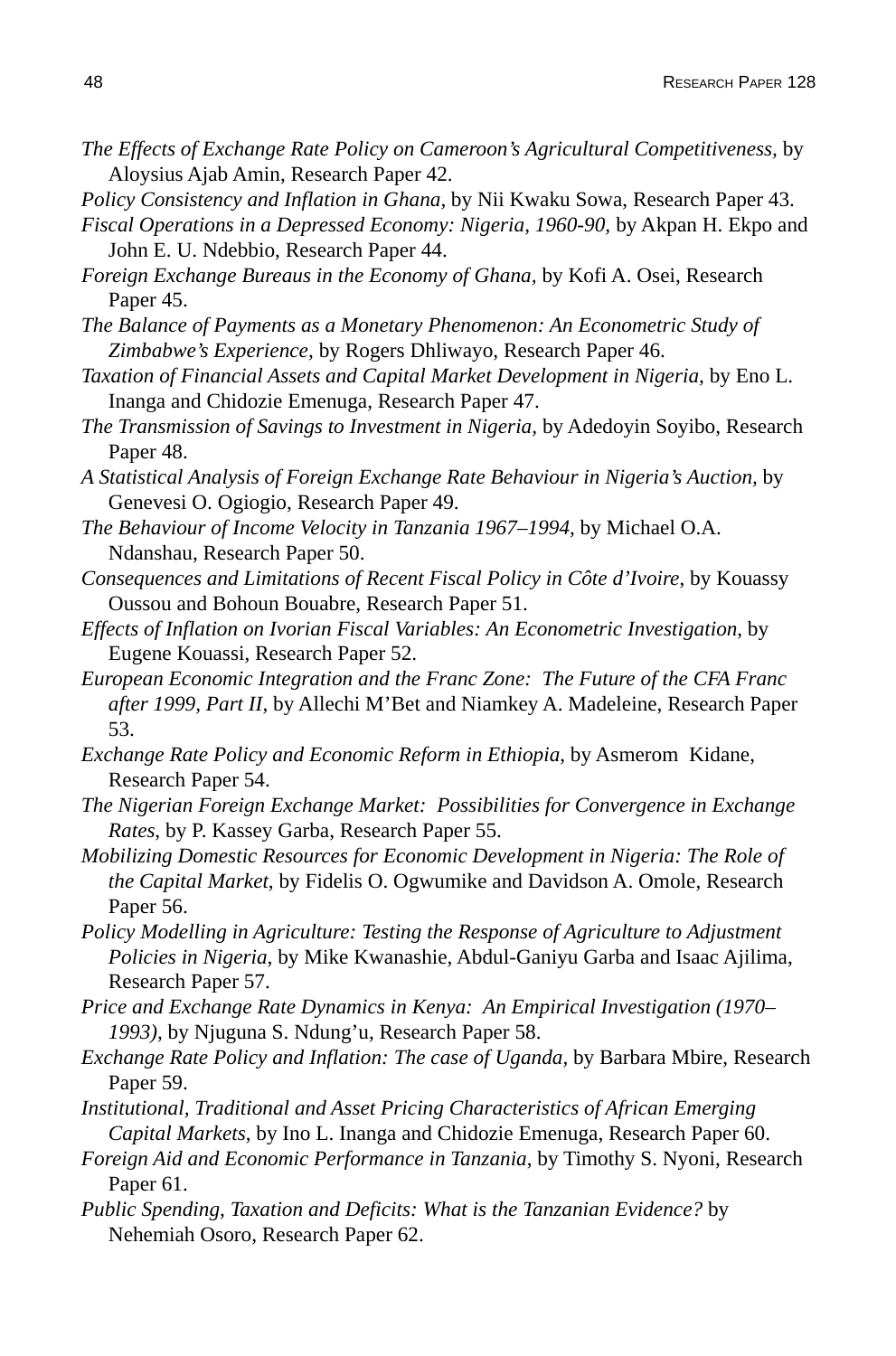- *The Effects of Exchange Rate Policy on Cameroon's Agricultural Competitiveness,* by Aloysius Ajab Amin, Research Paper 42.
- *Policy Consistency and Inflation in Ghana,* by Nii Kwaku Sowa, Research Paper 43.
- *Fiscal Operations in a Depressed Economy: Nigeria, 1960-90,* by Akpan H. Ekpo and John E. U. Ndebbio, Research Paper 44.
- *Foreign Exchange Bureaus in the Economy of Ghana,* by Kofi A. Osei, Research Paper 45.
- *The Balance of Payments as a Monetary Phenomenon: An Econometric Study of Zimbabwe's Experience,* by Rogers Dhliwayo, Research Paper 46.
- *Taxation of Financial Assets and Capital Market Development in Nigeria,* by Eno L. Inanga and Chidozie Emenuga, Research Paper 47.
- *The Transmission of Savings to Investment in Nigeria,* by Adedoyin Soyibo, Research Paper 48.
- *A Statistical Analysis of Foreign Exchange Rate Behaviour in Nigeria's Auction,* by Genevesi O. Ogiogio, Research Paper 49.
- *The Behaviour of Income Velocity in Tanzania 1967–1994,* by Michael O.A. Ndanshau, Research Paper 50.
- *Consequences and Limitations of Recent Fiscal Policy in Côte d'Ivoire*, by Kouassy Oussou and Bohoun Bouabre, Research Paper 51.
- *Effects of Inflation on Ivorian Fiscal Variables: An Econometric Investigation*, by Eugene Kouassi, Research Paper 52.
- *European Economic Integration and the Franc Zone: The Future of the CFA Franc after 1999, Part II*, by Allechi M'Bet and Niamkey A. Madeleine, Research Paper 53.
- *Exchange Rate Policy and Economic Reform in Ethiopia*, by Asmerom Kidane, Research Paper 54.
- *The Nigerian Foreign Exchange Market: Possibilities for Convergence in Exchange Rates*, by P. Kassey Garba, Research Paper 55.
- *Mobilizing Domestic Resources for Economic Development in Nigeria: The Role of the Capital Market*, by Fidelis O. Ogwumike and Davidson A. Omole, Research Paper 56.
- *Policy Modelling in Agriculture: Testing the Response of Agriculture to Adjustment Policies in Nigeria*, by Mike Kwanashie, Abdul-Ganiyu Garba and Isaac Ajilima, Research Paper 57.
- *Price and Exchange Rate Dynamics in Kenya: An Empirical Investigation (1970– 1993),* by Njuguna S. Ndung'u, Research Paper 58.
- *Exchange Rate Policy and Inflation: The case of Uganda,* by Barbara Mbire, Research Paper 59.
- *Institutional, Traditional and Asset Pricing Characteristics of African Emerging Capital Markets*, by Ino L. Inanga and Chidozie Emenuga, Research Paper 60.
- *Foreign Aid and Economic Performance in Tanzania*, by Timothy S. Nyoni, Research Paper<sub>61</sub>.
- *Public Spending, Taxation and Deficits: What is the Tanzanian Evidence?* by Nehemiah Osoro, Research Paper 62.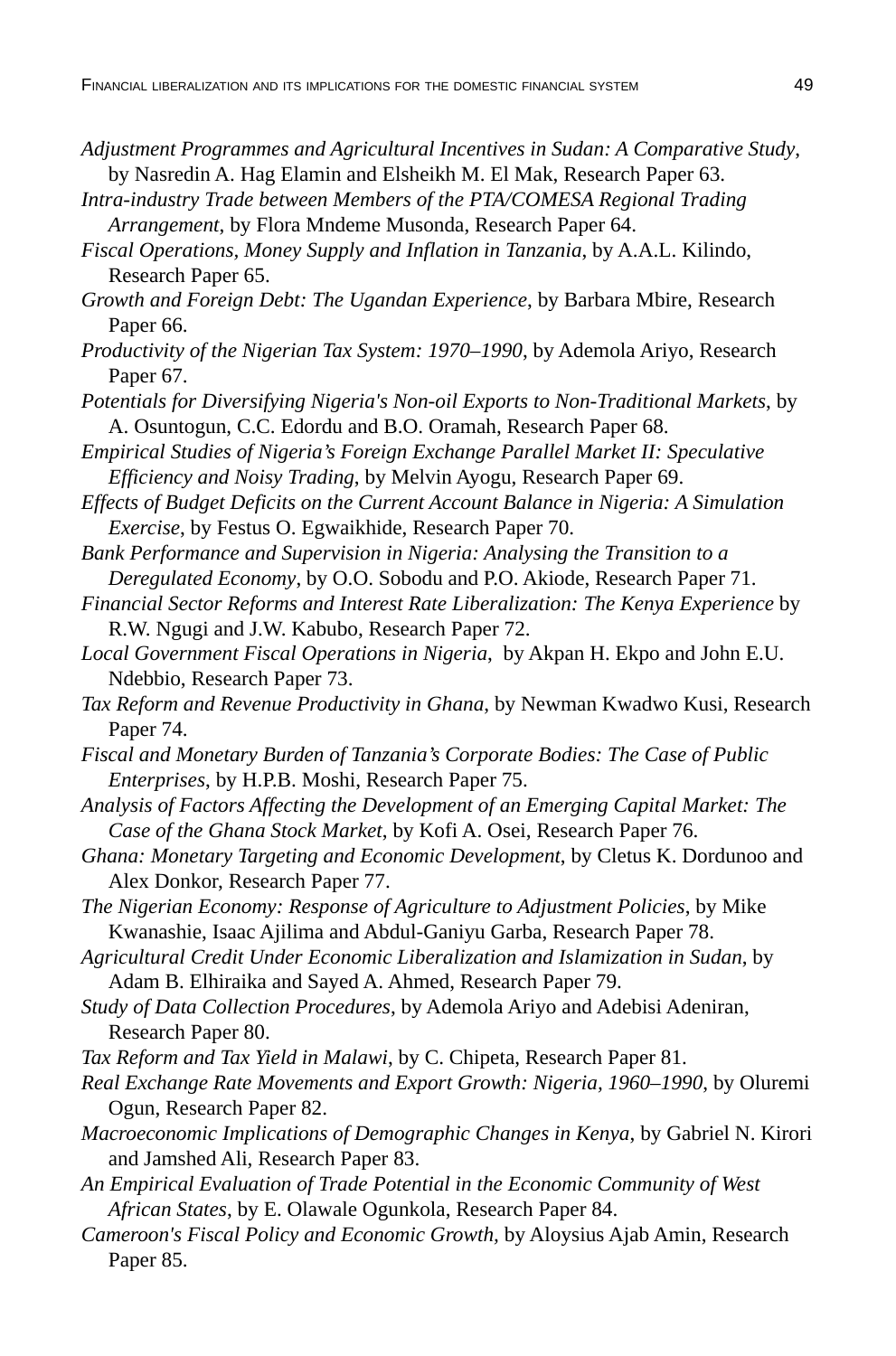- *Adjustment Programmes and Agricultural Incentives in Sudan: A Comparative Study*, by Nasredin A. Hag Elamin and Elsheikh M. El Mak, Research Paper 63.
- *Intra-industry Trade between Members of the PTA/COMESA Regional Trading Arrangement*, by Flora Mndeme Musonda, Research Paper 64.
- *Fiscal Operations, Money Supply and Inflation in Tanzania*, by A.A.L. Kilindo, Research Paper 65.
- *Growth and Foreign Debt: The Ugandan Experience*, by Barbara Mbire, Research Paper 66.
- *Productivity of the Nigerian Tax System: 1970–1990*, by Ademola Ariyo, Research Paper 67.
- *Potentials for Diversifying Nigeria's Non-oil Exports to Non-Traditional Markets*, by A. Osuntogun, C.C. Edordu and B.O. Oramah, Research Paper 68.
- *Empirical Studies of Nigeria's Foreign Exchange Parallel Market II: Speculative Efficiency and Noisy Trading*, by Melvin Ayogu, Research Paper 69.
- *Effects of Budget Deficits on the Current Account Balance in Nigeria: A Simulation Exercise*, by Festus O. Egwaikhide, Research Paper 70.
- *Bank Performance and Supervision in Nigeria: Analysing the Transition to a Deregulated Economy*, by O.O. Sobodu and P.O. Akiode, Research Paper 71.
- *Financial Sector Reforms and Interest Rate Liberalization: The Kenya Experience* by R.W. Ngugi and J.W. Kabubo, Research Paper 72.
- *Local Government Fiscal Operations in Nigeria*, by Akpan H. Ekpo and John E.U. Ndebbio, Research Paper 73.
- *Tax Reform and Revenue Productivity in Ghana*, by Newman Kwadwo Kusi, Research Paper 74.
- *Fiscal and Monetary Burden of Tanzania's Corporate Bodies: The Case of Public Enterprises*, by H.P.B. Moshi, Research Paper 75.
- *Analysis of Factors Affecting the Development of an Emerging Capital Market: The Case of the Ghana Stock Market*, by Kofi A. Osei, Research Paper 76.
- *Ghana: Monetary Targeting and Economic Development*, by Cletus K. Dordunoo and Alex Donkor, Research Paper 77.
- *The Nigerian Economy: Response of Agriculture to Adjustment Policies*, by Mike Kwanashie, Isaac Ajilima and Abdul-Ganiyu Garba, Research Paper 78.
- *Agricultural Credit Under Economic Liberalization and Islamization in Sudan*, by Adam B. Elhiraika and Sayed A. Ahmed, Research Paper 79.
- *Study of Data Collection Procedures*, by Ademola Ariyo and Adebisi Adeniran, Research Paper 80.
- *Tax Reform and Tax Yield in Malawi*, by C. Chipeta, Research Paper 81.
- *Real Exchange Rate Movements and Export Growth: Nigeria, 1960–1990*, by Oluremi Ogun, Research Paper 82.
- *Macroeconomic Implications of Demographic Changes in Kenya*, by Gabriel N. Kirori and Jamshed Ali, Research Paper 83.
- *An Empirical Evaluation of Trade Potential in the Economic Community of West African States*, by E. Olawale Ogunkola, Research Paper 84.
- *Cameroon's Fiscal Policy and Economic Growth,* by Aloysius Ajab Amin, Research Paper 85.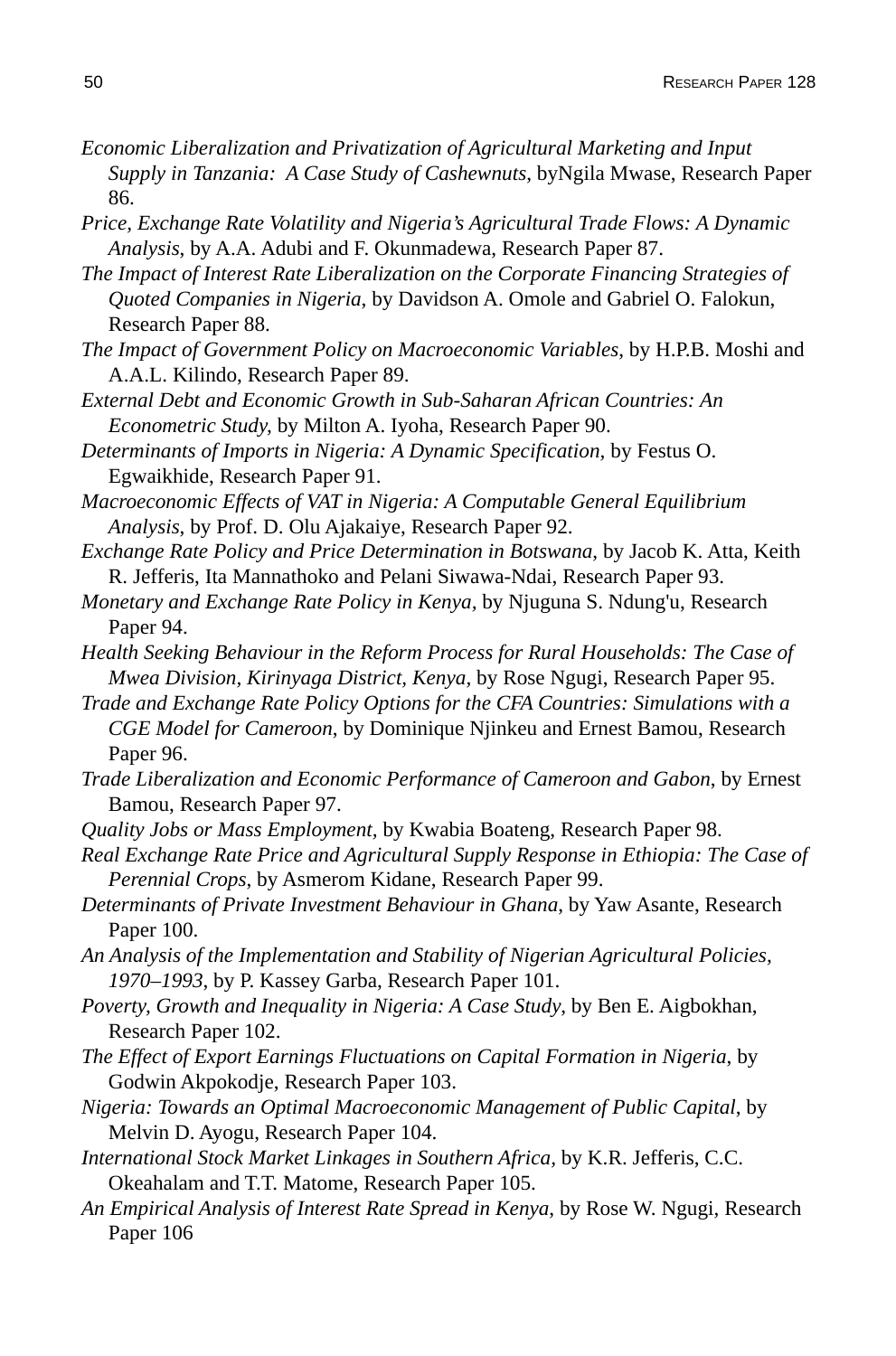- *Economic Liberalization and Privatization of Agricultural Marketing and Input Supply in Tanzania: A Case Study of Cashewnuts*, byNgila Mwase, Research Paper 86.
- *Price, Exchange Rate Volatility and Nigeria's Agricultural Trade Flows: A Dynamic Analysis*, by A.A. Adubi and F. Okunmadewa, Research Paper 87.
- *The Impact of Interest Rate Liberalization on the Corporate Financing Strategies of Quoted Companies in Nigeria*, by Davidson A. Omole and Gabriel O. Falokun, Research Paper 88.
- *The Impact of Government Policy on Macroeconomic Variables*, by H.P.B. Moshi and A.A.L. Kilindo, Research Paper 89.
- *External Debt and Economic Growth in Sub-Saharan African Countries: An Econometric Study,* by Milton A. Iyoha, Research Paper 90.
- *Determinants of Imports in Nigeria: A Dynamic Specification,* by Festus O. Egwaikhide, Research Paper 91.
- *Macroeconomic Effects of VAT in Nigeria: A Computable General Equilibrium Analysis*, by Prof. D. Olu Ajakaiye, Research Paper 92.
- *Exchange Rate Policy and Price Determination in Botswana*, by Jacob K. Atta, Keith R. Jefferis, Ita Mannathoko and Pelani Siwawa-Ndai, Research Paper 93.
- *Monetary and Exchange Rate Policy in Kenya,* by Njuguna S. Ndung'u, Research Paper 94.
- *Health Seeking Behaviour in the Reform Process for Rural Households: The Case of Mwea Division, Kirinyaga District, Kenya,* by Rose Ngugi, Research Paper 95.
- *Trade and Exchange Rate Policy Options for the CFA Countries: Simulations with a CGE Model for Cameroon*, by Dominique Njinkeu and Ernest Bamou, Research Paper 96.
- *Trade Liberalization and Economic Performance of Cameroon and Gabon*, by Ernest Bamou, Research Paper 97.
- *Quality Jobs or Mass Employment,* by Kwabia Boateng, Research Paper 98.
- *Real Exchange Rate Price and Agricultural Supply Response in Ethiopia: The Case of Perennial Crops*, by Asmerom Kidane, Research Paper 99.
- *Determinants of Private Investment Behaviour in Ghana*, by Yaw Asante, Research Paper 100.
- *An Analysis of the Implementation and Stability of Nigerian Agricultural Policies, 1970–1993*, by P. Kassey Garba, Research Paper 101.
- *Poverty, Growth and Inequality in Nigeria: A Case Study*, by Ben E. Aigbokhan, Research Paper 102.
- *The Effect of Export Earnings Fluctuations on Capital Formation in Nigeria*, by Godwin Akpokodje, Research Paper 103.
- *Nigeria: Towards an Optimal Macroeconomic Management of Public Capital*, by Melvin D. Ayogu, Research Paper 104.
- *International Stock Market Linkages in Southern Africa,* by K.R. Jefferis, C.C. Okeahalam and T.T. Matome, Research Paper 105.
- *An Empirical Analysis of Interest Rate Spread in Kenya*, by Rose W. Ngugi, Research Paper 106